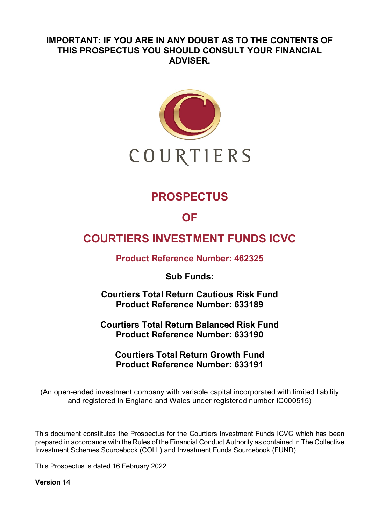# **IMPORTANT: IF YOU ARE IN ANY DOUBT AS TO THE CONTENTS OF THIS PROSPECTUS YOU SHOULD CONSULT YOUR FINANCIAL ADVISER.**



# **PROSPECTUS**

# **OF**

# **COURTIERS INVESTMENT FUNDS ICVC**

**Product Reference Number: 462325**

**Sub Funds:**

**Courtiers Total Return Cautious Risk Fund Product Reference Number: 633189**

**Courtiers Total Return Balanced Risk Fund Product Reference Number: 633190**

**Courtiers Total Return Growth Fund Product Reference Number: 633191**

(An open-ended investment company with variable capital incorporated with limited liability and registered in England and Wales under registered number IC000515)

This document constitutes the Prospectus for the Courtiers Investment Funds ICVC which has been prepared in accordance with the Rules of the Financial Conduct Authority as contained in The Collective Investment Schemes Sourcebook (COLL) and Investment Funds Sourcebook (FUND).

This Prospectus is dated 16 February 2022.

**Version 14**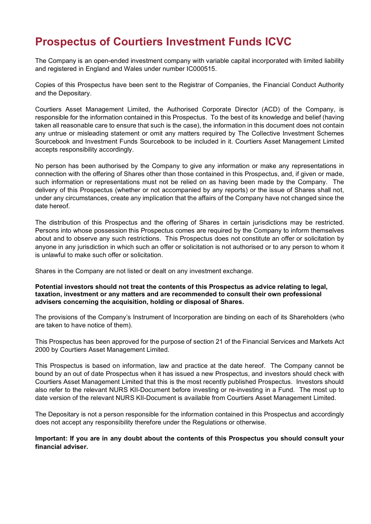# **Prospectus of Courtiers Investment Funds ICVC**

The Company is an open-ended investment company with variable capital incorporated with limited liability and registered in England and Wales under number IC000515.

Copies of this Prospectus have been sent to the Registrar of Companies, the Financial Conduct Authority and the Depositary.

Courtiers Asset Management Limited, the Authorised Corporate Director (ACD) of the Company, is responsible for the information contained in this Prospectus. To the best of its knowledge and belief (having taken all reasonable care to ensure that such is the case), the information in this document does not contain any untrue or misleading statement or omit any matters required by The Collective Investment Schemes Sourcebook and Investment Funds Sourcebook to be included in it. Courtiers Asset Management Limited accepts responsibility accordingly.

No person has been authorised by the Company to give any information or make any representations in connection with the offering of Shares other than those contained in this Prospectus, and, if given or made, such information or representations must not be relied on as having been made by the Company. The delivery of this Prospectus (whether or not accompanied by any reports) or the issue of Shares shall not, under any circumstances, create any implication that the affairs of the Company have not changed since the date hereof.

The distribution of this Prospectus and the offering of Shares in certain jurisdictions may be restricted. Persons into whose possession this Prospectus comes are required by the Company to inform themselves about and to observe any such restrictions. This Prospectus does not constitute an offer or solicitation by anyone in any jurisdiction in which such an offer or solicitation is not authorised or to any person to whom it is unlawful to make such offer or solicitation.

Shares in the Company are not listed or dealt on any investment exchange.

#### **Potential investors should not treat the contents of this Prospectus as advice relating to legal, taxation, investment or any matters and are recommended to consult their own professional advisers concerning the acquisition, holding or disposal of Shares.**

The provisions of the Company's Instrument of Incorporation are binding on each of its Shareholders (who are taken to have notice of them).

This Prospectus has been approved for the purpose of section 21 of the Financial Services and Markets Act 2000 by Courtiers Asset Management Limited.

This Prospectus is based on information, law and practice at the date hereof. The Company cannot be bound by an out of date Prospectus when it has issued a new Prospectus, and investors should check with Courtiers Asset Management Limited that this is the most recently published Prospectus. Investors should also refer to the relevant NURS KII-Document before investing or re-investing in a Fund. The most up to date version of the relevant NURS KII-Document is available from Courtiers Asset Management Limited.

The Depositary is not a person responsible for the information contained in this Prospectus and accordingly does not accept any responsibility therefore under the Regulations or otherwise.

**Important: If you are in any doubt about the contents of this Prospectus you should consult your financial adviser.**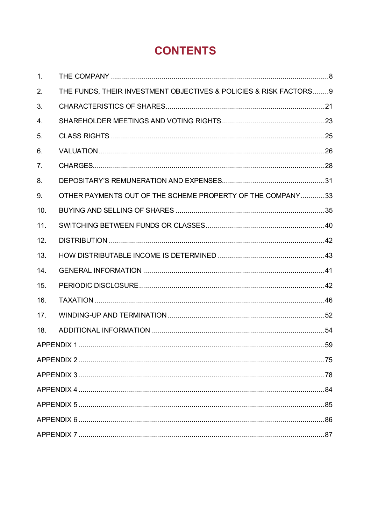# **CONTENTS**

| 1.             |                                                                   |  |  |  |
|----------------|-------------------------------------------------------------------|--|--|--|
| 2.             | THE FUNDS, THEIR INVESTMENT OBJECTIVES & POLICIES & RISK FACTORS9 |  |  |  |
| 3.             |                                                                   |  |  |  |
| 4.             |                                                                   |  |  |  |
| 5.             |                                                                   |  |  |  |
| 6.             |                                                                   |  |  |  |
| 7 <sub>1</sub> |                                                                   |  |  |  |
| 8.             |                                                                   |  |  |  |
| 9.             | OTHER PAYMENTS OUT OF THE SCHEME PROPERTY OF THE COMPANY33        |  |  |  |
| 10.            |                                                                   |  |  |  |
| 11.            |                                                                   |  |  |  |
| 12.            |                                                                   |  |  |  |
| 13.            |                                                                   |  |  |  |
| 14.            |                                                                   |  |  |  |
| 15.            |                                                                   |  |  |  |
| 16.            |                                                                   |  |  |  |
| 17.            |                                                                   |  |  |  |
| 18.            |                                                                   |  |  |  |
|                |                                                                   |  |  |  |
|                |                                                                   |  |  |  |
|                |                                                                   |  |  |  |
|                |                                                                   |  |  |  |
|                |                                                                   |  |  |  |
|                |                                                                   |  |  |  |
|                |                                                                   |  |  |  |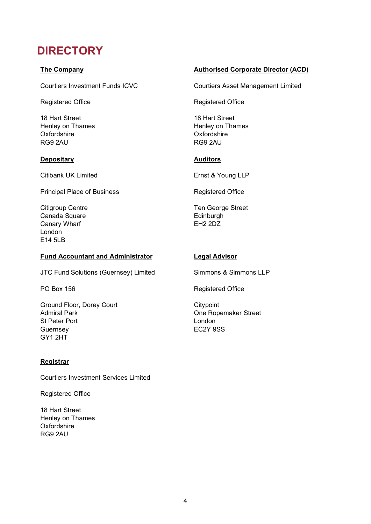# **DIRECTORY**

### **The Company**

Courtiers Investment Funds ICVC

Registered Office **Registered Office** 

18 Hart Street Henley on Thames **Oxfordshire** RG9 2AU

#### **Depositary Auditors**

Citibank UK Limited **Ernst & Young LLP** 

Principal Place of Business Registered Office

Citigroup Centre Canada Square Canary Wharf London E14 5LB

#### **Fund Accountant and Administrator Legal Advisor**

JTC Fund Solutions (Guernsey) Limited Simmons & Simmons LLP

Ground Floor, Dorey Court Admiral Park St Peter Port **Guernsey** GY1 2HT

### **Registrar**

Courtiers Investment Services Limited

Registered Office

18 Hart Street Henley on Thames **Oxfordshire** RG9 2AU

#### **Authorised Corporate Director (ACD)**

Courtiers Asset Management Limited

18 Hart Street Henley on Thames **Oxfordshire** RG9 2AU

Ten George Street **Edinburgh** EH2 2DZ

PO Box 156 **Registered Office** Registered Office

**Citypoint** One Ropemaker Street London EC2Y 9SS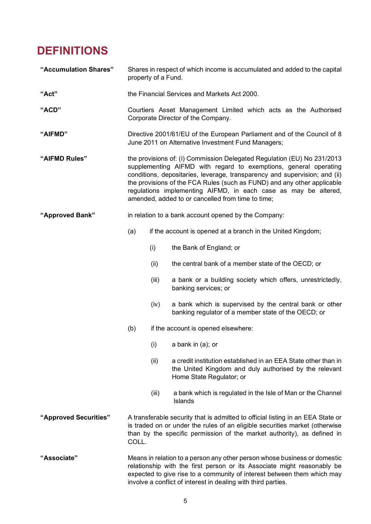# **DEFINITIONS**

| "Accumulation Shares" | Shares in respect of which income is accumulated and added to the capital<br>property of a Fund.                                                                                                                                                                                                                                                                                                                             |       |                                                                                                                                                      |  |  |
|-----------------------|------------------------------------------------------------------------------------------------------------------------------------------------------------------------------------------------------------------------------------------------------------------------------------------------------------------------------------------------------------------------------------------------------------------------------|-------|------------------------------------------------------------------------------------------------------------------------------------------------------|--|--|
| "Act"                 |                                                                                                                                                                                                                                                                                                                                                                                                                              |       | the Financial Services and Markets Act 2000.                                                                                                         |  |  |
| "ACD"                 | Courtiers Asset Management Limited which acts as the Authorised<br>Corporate Director of the Company.                                                                                                                                                                                                                                                                                                                        |       |                                                                                                                                                      |  |  |
| "AIFMD"               | Directive 2001/61/EU of the European Parliament and of the Council of 8<br>June 2011 on Alternative Investment Fund Managers;                                                                                                                                                                                                                                                                                                |       |                                                                                                                                                      |  |  |
| "AIFMD Rules"         | the provisions of: (i) Commission Delegated Regulation (EU) No 231/2013<br>supplementing AIFMD with regard to exemptions, general operating<br>conditions, depositaries, leverage, transparency and supervision; and (ii)<br>the provisions of the FCA Rules (such as FUND) and any other applicable<br>regulations implementing AIFMD, in each case as may be altered,<br>amended, added to or cancelled from time to time; |       |                                                                                                                                                      |  |  |
| "Approved Bank"       | in relation to a bank account opened by the Company:                                                                                                                                                                                                                                                                                                                                                                         |       |                                                                                                                                                      |  |  |
|                       | (a)                                                                                                                                                                                                                                                                                                                                                                                                                          |       | if the account is opened at a branch in the United Kingdom;                                                                                          |  |  |
|                       |                                                                                                                                                                                                                                                                                                                                                                                                                              | (i)   | the Bank of England; or                                                                                                                              |  |  |
|                       |                                                                                                                                                                                                                                                                                                                                                                                                                              | (ii)  | the central bank of a member state of the OECD; or                                                                                                   |  |  |
|                       |                                                                                                                                                                                                                                                                                                                                                                                                                              | (iii) | a bank or a building society which offers, unrestrictedly,<br>banking services; or                                                                   |  |  |
|                       |                                                                                                                                                                                                                                                                                                                                                                                                                              | (iv)  | a bank which is supervised by the central bank or other<br>banking regulator of a member state of the OECD; or                                       |  |  |
|                       | (b)                                                                                                                                                                                                                                                                                                                                                                                                                          |       | if the account is opened elsewhere:                                                                                                                  |  |  |
|                       |                                                                                                                                                                                                                                                                                                                                                                                                                              |       | $(i)$ a bank in $(a)$ ; or                                                                                                                           |  |  |
|                       |                                                                                                                                                                                                                                                                                                                                                                                                                              | (ii)  | a credit institution established in an EEA State other than in<br>the United Kingdom and duly authorised by the relevant<br>Home State Regulator; or |  |  |
|                       |                                                                                                                                                                                                                                                                                                                                                                                                                              | (iii) | a bank which is regulated in the Isle of Man or the Channel<br><b>Islands</b>                                                                        |  |  |
| "Approved Securities" | A transferable security that is admitted to official listing in an EEA State or<br>is traded on or under the rules of an eligible securities market (otherwise<br>than by the specific permission of the market authority), as defined in<br>COLL.                                                                                                                                                                           |       |                                                                                                                                                      |  |  |
| "Associate"           | Means in relation to a person any other person whose business or domestic<br>relationship with the first person or its Associate might reasonably be<br>expected to give rise to a community of interest between them which may                                                                                                                                                                                              |       |                                                                                                                                                      |  |  |

involve a conflict of interest in dealing with third parties.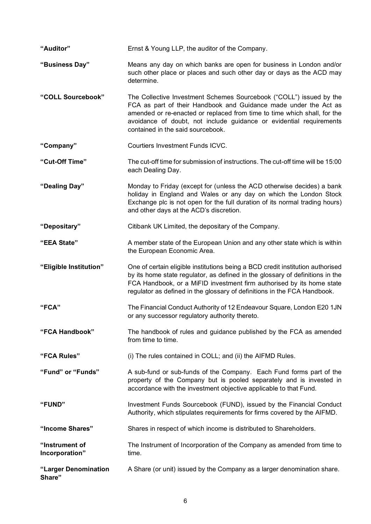| "Auditor"                        | Ernst & Young LLP, the auditor of the Company.                                                                                                                                                                                                                                                                                  |
|----------------------------------|---------------------------------------------------------------------------------------------------------------------------------------------------------------------------------------------------------------------------------------------------------------------------------------------------------------------------------|
| "Business Day"                   | Means any day on which banks are open for business in London and/or<br>such other place or places and such other day or days as the ACD may<br>determine.                                                                                                                                                                       |
| "COLL Sourcebook"                | The Collective Investment Schemes Sourcebook ("COLL") issued by the<br>FCA as part of their Handbook and Guidance made under the Act as<br>amended or re-enacted or replaced from time to time which shall, for the<br>avoidance of doubt, not include guidance or evidential requirements<br>contained in the said sourcebook. |
| "Company"                        | Courtiers Investment Funds ICVC.                                                                                                                                                                                                                                                                                                |
| "Cut-Off Time"                   | The cut-off time for submission of instructions. The cut-off time will be 15:00<br>each Dealing Day.                                                                                                                                                                                                                            |
| "Dealing Day"                    | Monday to Friday (except for (unless the ACD otherwise decides) a bank<br>holiday in England and Wales or any day on which the London Stock<br>Exchange plc is not open for the full duration of its normal trading hours)<br>and other days at the ACD's discretion.                                                           |
| "Depositary"                     | Citibank UK Limited, the depositary of the Company.                                                                                                                                                                                                                                                                             |
| "EEA State"                      | A member state of the European Union and any other state which is within<br>the European Economic Area.                                                                                                                                                                                                                         |
| "Eligible Institution"           | One of certain eligible institutions being a BCD credit institution authorised<br>by its home state regulator, as defined in the glossary of definitions in the<br>FCA Handbook, or a MiFID investment firm authorised by its home state<br>regulator as defined in the glossary of definitions in the FCA Handbook.            |
| "FCA"                            | The Financial Conduct Authority of 12 Endeavour Square, London E20 1JN<br>or any successor regulatory authority thereto.                                                                                                                                                                                                        |
| "FCA Handbook"                   | The handbook of rules and guidance published by the FCA as amended<br>from time to time.                                                                                                                                                                                                                                        |
| "FCA Rules"                      | (i) The rules contained in COLL; and (ii) the AIFMD Rules.                                                                                                                                                                                                                                                                      |
| "Fund" or "Funds"                | A sub-fund or sub-funds of the Company. Each Fund forms part of the<br>property of the Company but is pooled separately and is invested in<br>accordance with the investment objective applicable to that Fund.                                                                                                                 |
| "FUND"                           | Investment Funds Sourcebook (FUND), issued by the Financial Conduct<br>Authority, which stipulates requirements for firms covered by the AIFMD.                                                                                                                                                                                 |
| "Income Shares"                  | Shares in respect of which income is distributed to Shareholders.                                                                                                                                                                                                                                                               |
| "Instrument of<br>Incorporation" | The Instrument of Incorporation of the Company as amended from time to<br>time.                                                                                                                                                                                                                                                 |
| "Larger Denomination<br>Share"   | A Share (or unit) issued by the Company as a larger denomination share.                                                                                                                                                                                                                                                         |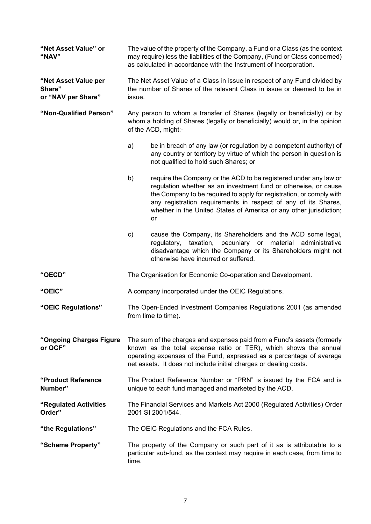| "Net Asset Value" or<br>"NAV"                        | The value of the property of the Company, a Fund or a Class (as the context<br>may require) less the liabilities of the Company, (Fund or Class concerned)<br>as calculated in accordance with the Instrument of Incorporation.                                                          |                                                                                                                                                                                                                                                                                                                                                           |  |  |  |  |
|------------------------------------------------------|------------------------------------------------------------------------------------------------------------------------------------------------------------------------------------------------------------------------------------------------------------------------------------------|-----------------------------------------------------------------------------------------------------------------------------------------------------------------------------------------------------------------------------------------------------------------------------------------------------------------------------------------------------------|--|--|--|--|
| "Net Asset Value per<br>Share"<br>or "NAV per Share" | The Net Asset Value of a Class in issue in respect of any Fund divided by<br>the number of Shares of the relevant Class in issue or deemed to be in<br>issue.                                                                                                                            |                                                                                                                                                                                                                                                                                                                                                           |  |  |  |  |
| "Non-Qualified Person"                               |                                                                                                                                                                                                                                                                                          | Any person to whom a transfer of Shares (legally or beneficially) or by<br>whom a holding of Shares (legally or beneficially) would or, in the opinion<br>of the ACD, might:-                                                                                                                                                                             |  |  |  |  |
|                                                      | a)                                                                                                                                                                                                                                                                                       | be in breach of any law (or regulation by a competent authority) of<br>any country or territory by virtue of which the person in question is<br>not qualified to hold such Shares; or                                                                                                                                                                     |  |  |  |  |
|                                                      | b)                                                                                                                                                                                                                                                                                       | require the Company or the ACD to be registered under any law or<br>regulation whether as an investment fund or otherwise, or cause<br>the Company to be required to apply for registration, or comply with<br>any registration requirements in respect of any of its Shares,<br>whether in the United States of America or any other jurisdiction;<br>or |  |  |  |  |
|                                                      | c)                                                                                                                                                                                                                                                                                       | cause the Company, its Shareholders and the ACD some legal,<br>taxation,<br>pecuniary<br>material administrative<br>regulatory,<br>or<br>disadvantage which the Company or its Shareholders might not<br>otherwise have incurred or suffered.                                                                                                             |  |  |  |  |
| "OECD"                                               |                                                                                                                                                                                                                                                                                          | The Organisation for Economic Co-operation and Development.                                                                                                                                                                                                                                                                                               |  |  |  |  |
| "OEIC"                                               | A company incorporated under the OEIC Regulations.                                                                                                                                                                                                                                       |                                                                                                                                                                                                                                                                                                                                                           |  |  |  |  |
| "OEIC Regulations"                                   | The Open-Ended Investment Companies Regulations 2001 (as amended<br>from time to time).                                                                                                                                                                                                  |                                                                                                                                                                                                                                                                                                                                                           |  |  |  |  |
| "Ongoing Charges Figure<br>or OCF"                   | The sum of the charges and expenses paid from a Fund's assets (formerly<br>known as the total expense ratio or TER), which shows the annual<br>operating expenses of the Fund, expressed as a percentage of average<br>net assets. It does not include initial charges or dealing costs. |                                                                                                                                                                                                                                                                                                                                                           |  |  |  |  |
| "Product Reference"<br>Number"                       | The Product Reference Number or "PRN" is issued by the FCA and is<br>unique to each fund managed and marketed by the ACD.                                                                                                                                                                |                                                                                                                                                                                                                                                                                                                                                           |  |  |  |  |
| "Regulated Activities<br>Order"                      | The Financial Services and Markets Act 2000 (Regulated Activities) Order<br>2001 SI 2001/544.                                                                                                                                                                                            |                                                                                                                                                                                                                                                                                                                                                           |  |  |  |  |
| "the Regulations"                                    | The OEIC Regulations and the FCA Rules.                                                                                                                                                                                                                                                  |                                                                                                                                                                                                                                                                                                                                                           |  |  |  |  |
| "Scheme Property"                                    | The property of the Company or such part of it as is attributable to a<br>particular sub-fund, as the context may require in each case, from time to<br>time.                                                                                                                            |                                                                                                                                                                                                                                                                                                                                                           |  |  |  |  |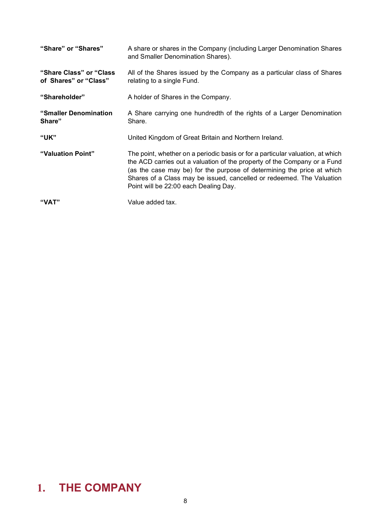| "Share" or "Shares"                               | A share or shares in the Company (including Larger Denomination Shares<br>and Smaller Denomination Shares).                                                                                                                                                                                                                                            |
|---------------------------------------------------|--------------------------------------------------------------------------------------------------------------------------------------------------------------------------------------------------------------------------------------------------------------------------------------------------------------------------------------------------------|
| "Share Class" or "Class"<br>of Shares" or "Class" | All of the Shares issued by the Company as a particular class of Shares<br>relating to a single Fund.                                                                                                                                                                                                                                                  |
| "Shareholder"                                     | A holder of Shares in the Company.                                                                                                                                                                                                                                                                                                                     |
| "Smaller Denomination<br>Share"                   | A Share carrying one hundredth of the rights of a Larger Denomination<br>Share.                                                                                                                                                                                                                                                                        |
| <b>"UK"</b>                                       | United Kingdom of Great Britain and Northern Ireland.                                                                                                                                                                                                                                                                                                  |
| "Valuation Point"                                 | The point, whether on a periodic basis or for a particular valuation, at which<br>the ACD carries out a valuation of the property of the Company or a Fund<br>(as the case may be) for the purpose of determining the price at which<br>Shares of a Class may be issued, cancelled or redeemed. The Valuation<br>Point will be 22:00 each Dealing Day. |
| "VAT"                                             | Value added tax.                                                                                                                                                                                                                                                                                                                                       |

# <span id="page-7-0"></span>**1. THE COMPANY**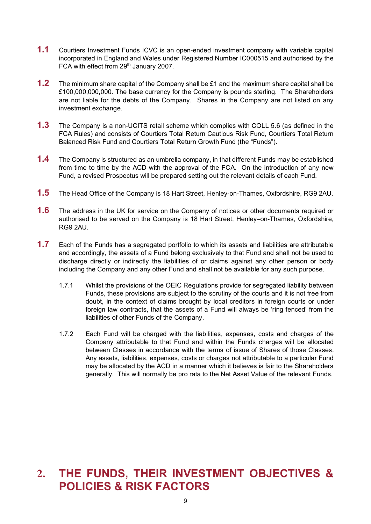- **1.1** Courtiers Investment Funds ICVC is an open-ended investment company with variable capital incorporated in England and Wales under Registered Number IC000515 and authorised by the FCA with effect from 29<sup>th</sup> January 2007.
- **1.2** The minimum share capital of the Company shall be £1 and the maximum share capital shall be £100,000,000,000. The base currency for the Company is pounds sterling. The Shareholders are not liable for the debts of the Company. Shares in the Company are not listed on any investment exchange.
- **1.3** The Company is a non-UCITS retail scheme which complies with COLL 5.6 (as defined in the FCA Rules) and consists of Courtiers Total Return Cautious Risk Fund, Courtiers Total Return Balanced Risk Fund and Courtiers Total Return Growth Fund (the "Funds").
- **1.4** The Company is structured as an umbrella company, in that different Funds may be established from time to time by the ACD with the approval of the FCA. On the introduction of any new Fund, a revised Prospectus will be prepared setting out the relevant details of each Fund.
- **1.5** The Head Office of the Company is 18 Hart Street, Henley-on-Thames, Oxfordshire, RG9 2AU.
- **1.6** The address in the UK for service on the Company of notices or other documents required or authorised to be served on the Company is 18 Hart Street, Henley–on-Thames, Oxfordshire, RG9 2AU.
- **1.7** Each of the Funds has a segregated portfolio to which its assets and liabilities are attributable and accordingly, the assets of a Fund belong exclusively to that Fund and shall not be used to discharge directly or indirectly the liabilities of or claims against any other person or body including the Company and any other Fund and shall not be available for any such purpose.
	- 1.7.1 Whilst the provisions of the OEIC Regulations provide for segregated liability between Funds, these provisions are subject to the scrutiny of the courts and it is not free from doubt, in the context of claims brought by local creditors in foreign courts or under foreign law contracts, that the assets of a Fund will always be 'ring fenced' from the liabilities of other Funds of the Company.
	- 1.7.2 Each Fund will be charged with the liabilities, expenses, costs and charges of the Company attributable to that Fund and within the Funds charges will be allocated between Classes in accordance with the terms of issue of Shares of those Classes. Any assets, liabilities, expenses, costs or charges not attributable to a particular Fund may be allocated by the ACD in a manner which it believes is fair to the Shareholders generally. This will normally be pro rata to the Net Asset Value of the relevant Funds.

# <span id="page-8-0"></span>**2. THE FUNDS, THEIR INVESTMENT OBJECTIVES & POLICIES & RISK FACTORS**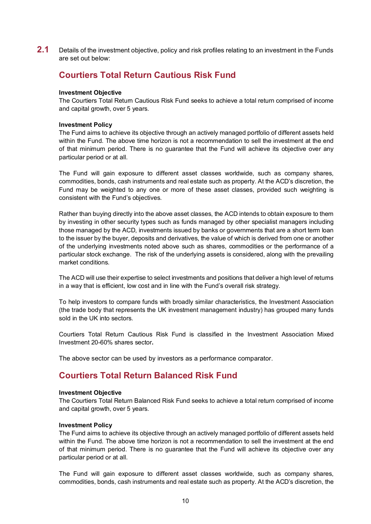**2.1** Details of the investment objective, policy and risk profiles relating to an investment in the Funds are set out below:

### **Courtiers Total Return Cautious Risk Fund**

#### **Investment Objective**

The Courtiers Total Return Cautious Risk Fund seeks to achieve a total return comprised of income and capital growth, over 5 years.

#### **Investment Policy**

The Fund aims to achieve its objective through an actively managed portfolio of different assets held within the Fund. The above time horizon is not a recommendation to sell the investment at the end of that minimum period. There is no guarantee that the Fund will achieve its objective over any particular period or at all.

The Fund will gain exposure to different asset classes worldwide, such as company shares, commodities, bonds, cash instruments and real estate such as property. At the ACD's discretion, the Fund may be weighted to any one or more of these asset classes, provided such weighting is consistent with the Fund's objectives.

Rather than buying directly into the above asset classes, the ACD intends to obtain exposure to them by investing in other security types such as funds managed by other specialist managers including those managed by the ACD, investments issued by banks or governments that are a short term loan to the issuer by the buyer, deposits and derivatives, the value of which is derived from one or another of the underlying investments noted above such as shares, commodities or the performance of a particular stock exchange. The risk of the underlying assets is considered, along with the prevailing market conditions.

The ACD will use their expertise to select investments and positions that deliver a high level of returns in a way that is efficient, low cost and in line with the Fund's overall risk strategy.

To help investors to compare funds with broadly similar characteristics, the Investment Association (the trade body that represents the UK investment management industry) has grouped many funds sold in the UK into sectors.

Courtiers Total Return Cautious Risk Fund is classified in the Investment Association Mixed Investment 20-60% shares sector**.**

The above sector can be used by investors as a performance comparator.

### **Courtiers Total Return Balanced Risk Fund**

#### **Investment Objective**

The Courtiers Total Return Balanced Risk Fund seeks to achieve a total return comprised of income and capital growth, over 5 years.

#### **Investment Policy**

The Fund aims to achieve its objective through an actively managed portfolio of different assets held within the Fund. The above time horizon is not a recommendation to sell the investment at the end of that minimum period. There is no guarantee that the Fund will achieve its objective over any particular period or at all.

The Fund will gain exposure to different asset classes worldwide, such as company shares, commodities, bonds, cash instruments and real estate such as property. At the ACD's discretion, the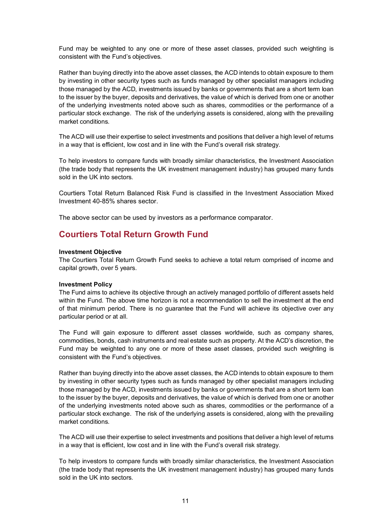Fund may be weighted to any one or more of these asset classes, provided such weighting is consistent with the Fund's objectives.

Rather than buying directly into the above asset classes, the ACD intends to obtain exposure to them by investing in other security types such as funds managed by other specialist managers including those managed by the ACD, investments issued by banks or governments that are a short term loan to the issuer by the buyer, deposits and derivatives, the value of which is derived from one or another of the underlying investments noted above such as shares, commodities or the performance of a particular stock exchange. The risk of the underlying assets is considered, along with the prevailing market conditions.

The ACD will use their expertise to select investments and positions that deliver a high level of returns in a way that is efficient, low cost and in line with the Fund's overall risk strategy.

To help investors to compare funds with broadly similar characteristics, the Investment Association (the trade body that represents the UK investment management industry) has grouped many funds sold in the UK into sectors.

Courtiers Total Return Balanced Risk Fund is classified in the Investment Association Mixed Investment 40-85% shares sector.

The above sector can be used by investors as a performance comparator.

### **Courtiers Total Return Growth Fund**

#### **Investment Objective**

The Courtiers Total Return Growth Fund seeks to achieve a total return comprised of income and capital growth, over 5 years.

#### **Investment Policy**

The Fund aims to achieve its objective through an actively managed portfolio of different assets held within the Fund. The above time horizon is not a recommendation to sell the investment at the end of that minimum period. There is no guarantee that the Fund will achieve its objective over any particular period or at all.

The Fund will gain exposure to different asset classes worldwide, such as company shares, commodities, bonds, cash instruments and real estate such as property. At the ACD's discretion, the Fund may be weighted to any one or more of these asset classes, provided such weighting is consistent with the Fund's objectives.

Rather than buying directly into the above asset classes, the ACD intends to obtain exposure to them by investing in other security types such as funds managed by other specialist managers including those managed by the ACD, investments issued by banks or governments that are a short term loan to the issuer by the buyer, deposits and derivatives, the value of which is derived from one or another of the underlying investments noted above such as shares, commodities or the performance of a particular stock exchange. The risk of the underlying assets is considered, along with the prevailing market conditions.

The ACD will use their expertise to select investments and positions that deliver a high level of returns in a way that is efficient, low cost and in line with the Fund's overall risk strategy.

To help investors to compare funds with broadly similar characteristics, the Investment Association (the trade body that represents the UK investment management industry) has grouped many funds sold in the UK into sectors.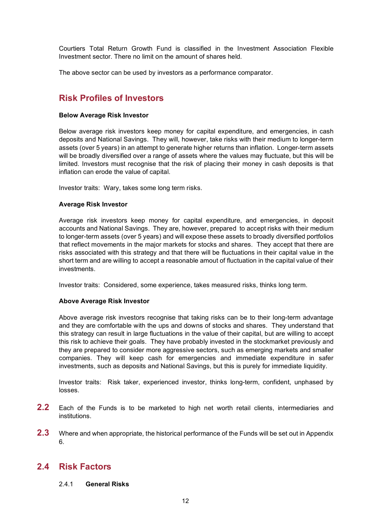Courtiers Total Return Growth Fund is classified in the Investment Association Flexible Investment sector. There no limit on the amount of shares held.

The above sector can be used by investors as a performance comparator.

## **Risk Profiles of Investors**

#### **Below Average Risk Investor**

Below average risk investors keep money for capital expenditure, and emergencies, in cash deposits and National Savings. They will, however, take risks with their medium to longer-term assets (over 5 years) in an attempt to generate higher returns than inflation. Longer-term assets will be broadly diversified over a range of assets where the values may fluctuate, but this will be limited. Investors must recognise that the risk of placing their money in cash deposits is that inflation can erode the value of capital.

Investor traits: Wary, takes some long term risks.

#### **Average Risk Investor**

Average risk investors keep money for capital expenditure, and emergencies, in deposit accounts and National Savings. They are, however, prepared to accept risks with their medium to longer-term assets (over 5 years) and will expose these assets to broadly diversified portfolios that reflect movements in the major markets for stocks and shares. They accept that there are risks associated with this strategy and that there will be fluctuations in their capital value in the short term and are willing to accept a reasonable amout of fluctuation in the capital value of their investments.

Investor traits: Considered, some experience, takes measured risks, thinks long term.

#### **Above Average Risk Investor**

Above average risk investors recognise that taking risks can be to their long-term advantage and they are comfortable with the ups and downs of stocks and shares. They understand that this strategy can result in large fluctuations in the value of their capital, but are willing to accept this risk to achieve their goals. They have probably invested in the stockmarket previously and they are prepared to consider more aggressive sectors, such as emerging markets and smaller companies. They will keep cash for emergencies and immediate expenditure in safer investments, such as deposits and National Savings, but this is purely for immediate liquidity.

Investor traits: Risk taker, experienced investor, thinks long-term, confident, unphased by losses.

- **2.2** Each of the Funds is to be marketed to high net worth retail clients, intermediaries and institutions.
- **2.3** Where and when appropriate, the historical performance of the Funds will be set out in Appendix 6.

### **2.4 Risk Factors**

#### 2.4.1 **General Risks**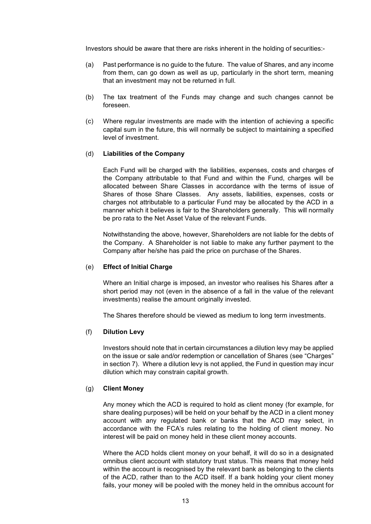Investors should be aware that there are risks inherent in the holding of securities:-

- (a) Past performance is no guide to the future. The value of Shares, and any income from them, can go down as well as up, particularly in the short term, meaning that an investment may not be returned in full.
- (b) The tax treatment of the Funds may change and such changes cannot be foreseen.
- (c) Where regular investments are made with the intention of achieving a specific capital sum in the future, this will normally be subject to maintaining a specified level of investment.

#### (d) **Liabilities of the Company**

Each Fund will be charged with the liabilities, expenses, costs and charges of the Company attributable to that Fund and within the Fund, charges will be allocated between Share Classes in accordance with the terms of issue of Shares of those Share Classes. Any assets, liabilities, expenses, costs or charges not attributable to a particular Fund may be allocated by the ACD in a manner which it believes is fair to the Shareholders generally. This will normally be pro rata to the Net Asset Value of the relevant Funds.

Notwithstanding the above, however, Shareholders are not liable for the debts of the Company. A Shareholder is not liable to make any further payment to the Company after he/she has paid the price on purchase of the Shares.

#### (e) **Effect of Initial Charge**

Where an Initial charge is imposed, an investor who realises his Shares after a short period may not (even in the absence of a fall in the value of the relevant investments) realise the amount originally invested.

The Shares therefore should be viewed as medium to long term investments.

#### (f) **Dilution Levy**

Investors should note that in certain circumstances a dilution levy may be applied on the issue or sale and/or redemption or cancellation of Shares (see "Charges" in section [7\)](#page-26-0). Where a dilution levy is not applied, the Fund in question may incur dilution which may constrain capital growth.

#### (g) **Client Money**

Any money which the ACD is required to hold as client money (for example, for share dealing purposes) will be held on your behalf by the ACD in a client money account with any regulated bank or banks that the ACD may select, in accordance with the FCA's rules relating to the holding of client money. No interest will be paid on money held in these client money accounts.

Where the ACD holds client money on your behalf, it will do so in a designated omnibus client account with statutory trust status. This means that money held within the account is recognised by the relevant bank as belonging to the clients of the ACD, rather than to the ACD itself. If a bank holding your client money fails, your money will be pooled with the money held in the omnibus account for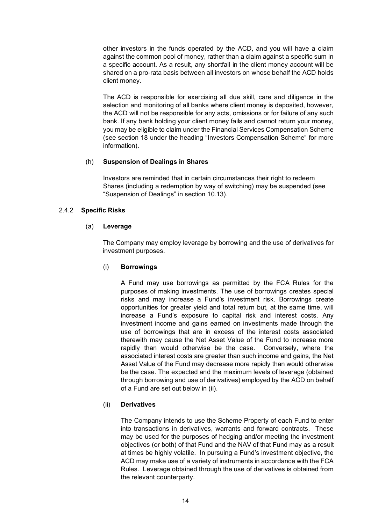other investors in the funds operated by the ACD, and you will have a claim against the common pool of money, rather than a claim against a specific sum in a specific account. As a result, any shortfall in the client money account will be shared on a pro-rata basis between all investors on whose behalf the ACD holds client money.

The ACD is responsible for exercising all due skill, care and diligence in the selection and monitoring of all banks where client money is deposited, however, the ACD will not be responsible for any acts, omissions or for failure of any such bank. If any bank holding your client money fails and cannot return your money, you may be eligible to claim under the Financial Services Compensation Scheme (see section 18 under the heading "Investors Compensation Scheme" for more information).

#### (h) **Suspension of Dealings in Shares**

Investors are reminded that in certain circumstances their right to redeem Shares (including a redemption by way of switching) may be suspended (see "Suspension of Dealings" in section [10.13\)](#page-35-0).

#### 2.4.2 **Specific Risks**

#### (a) **Leverage**

The Company may employ leverage by borrowing and the use of derivatives for investment purposes.

#### (i) **Borrowings**

A Fund may use borrowings as permitted by the FCA Rules for the purposes of making investments. The use of borrowings creates special risks and may increase a Fund's investment risk. Borrowings create opportunities for greater yield and total return but, at the same time, will increase a Fund's exposure to capital risk and interest costs. Any investment income and gains earned on investments made through the use of borrowings that are in excess of the interest costs associated therewith may cause the Net Asset Value of the Fund to increase more rapidly than would otherwise be the case. Conversely, where the associated interest costs are greater than such income and gains, the Net Asset Value of the Fund may decrease more rapidly than would otherwise be the case. The expected and the maximum levels of leverage (obtained through borrowing and use of derivatives) employed by the ACD on behalf of a Fund are set out below in (ii).

#### (ii) **Derivatives**

The Company intends to use the Scheme Property of each Fund to enter into transactions in derivatives, warrants and forward contracts. These may be used for the purposes of hedging and/or meeting the investment objectives (or both) of that Fund and the NAV of that Fund may as a result at times be highly volatile. In pursuing a Fund's investment objective, the ACD may make use of a variety of instruments in accordance with the FCA Rules. Leverage obtained through the use of derivatives is obtained from the relevant counterparty.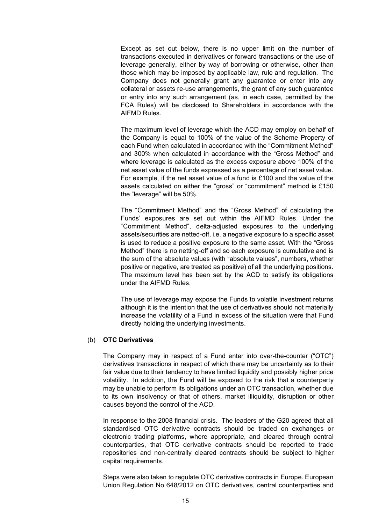Except as set out below, there is no upper limit on the number of transactions executed in derivatives or forward transactions or the use of leverage generally, either by way of borrowing or otherwise, other than those which may be imposed by applicable law, rule and regulation. The Company does not generally grant any guarantee or enter into any collateral or assets re-use arrangements, the grant of any such guarantee or entry into any such arrangement (as, in each case, permitted by the FCA Rules) will be disclosed to Shareholders in accordance with the AIFMD Rules.

The maximum level of leverage which the ACD may employ on behalf of the Company is equal to 100% of the value of the Scheme Property of each Fund when calculated in accordance with the "Commitment Method" and 300% when calculated in accordance with the "Gross Method" and where leverage is calculated as the excess exposure above 100% of the net asset value of the funds expressed as a percentage of net asset value. For example, if the net asset value of a fund is £100 and the value of the assets calculated on either the "gross" or "commitment" method is £150 the "leverage" will be 50%.

The "Commitment Method" and the "Gross Method" of calculating the Funds' exposures are set out within the AIFMD Rules. Under the "Commitment Method", delta-adjusted exposures to the underlying assets/securities are netted-off, i.e. a negative exposure to a specific asset is used to reduce a positive exposure to the same asset. With the "Gross Method" there is no netting-off and so each exposure is cumulative and is the sum of the absolute values (with "absolute values", numbers, whether positive or negative, are treated as positive) of all the underlying positions. The maximum level has been set by the ACD to satisfy its obligations under the AIFMD Rules.

The use of leverage may expose the Funds to volatile investment returns although it is the intention that the use of derivatives should not materially increase the volatility of a Fund in excess of the situation were that Fund directly holding the underlying investments.

#### (b) **OTC Derivatives**

The Company may in respect of a Fund enter into over-the-counter ("OTC") derivatives transactions in respect of which there may be uncertainty as to their fair value due to their tendency to have limited liquidity and possibly higher price volatility. In addition, the Fund will be exposed to the risk that a counterparty may be unable to perform its obligations under an OTC transaction, whether due to its own insolvency or that of others, market illiquidity, disruption or other causes beyond the control of the ACD.

In response to the 2008 financial crisis. The leaders of the G20 agreed that all standardised OTC derivative contracts should be traded on exchanges or electronic trading platforms, where appropriate, and cleared through central counterparties, that OTC derivative contracts should be reported to trade repositories and non-centrally cleared contracts should be subject to higher capital requirements.

Steps were also taken to regulate OTC derivative contracts in Europe. European Union Regulation No 648/2012 on OTC derivatives, central counterparties and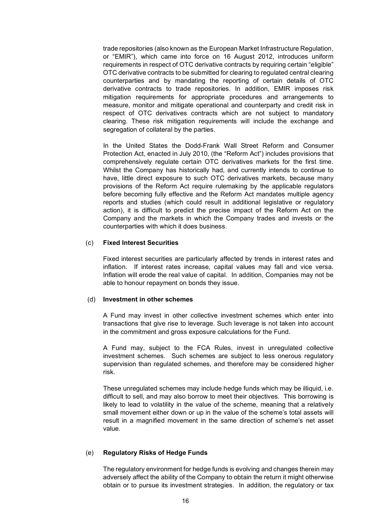trade repositories (also known as the European Market Infrastructure Regulation, or "EMIR"), which came into force on 16 August 2012, introduces uniform requirements in respect of OTC derivative contracts by requiring certain "eligible" OTC derivative contracts to be submitted for clearing to regulated central clearing counterparties and by mandating the reporting of certain details of OTC derivative contracts to trade repositories. In addition, EMIR imposes risk mitigation requirements for appropriate procedures and arrangements to measure, monitor and mitigate operational and counterparty and credit risk in respect of OTC derivatives contracts which are not subject to mandatory clearing. These risk mitigation requirements will include the exchange and segregation of collateral by the parties.

In the United States the Dodd-Frank Wall Street Reform and Consumer Protection Act, enacted in July 2010, (the "Reform Act") includes provisions that comprehensively regulate certain OTC derivatives markets for the first time. Whilst the Company has historically had, and currently intends to continue to have, little direct exposure to such OTC derivatives markets, because many provisions of the Reform Act require rulemaking by the applicable regulators before becoming fully effective and the Reform Act mandates multiple agency reports and studies (which could result in additional legislative or regulatory action), it is difficult to predict the precise impact of the Reform Act on the Company and the markets in which the Company trades and invests or the counterparties with which it does business.

#### (c) **Fixed Interest Securities**

Fixed interest securities are particularly affected by trends in interest rates and inflation. If interest rates increase, capital values may fall and vice versa. Inflation will erode the real value of capital. In addition, Companies may not be able to honour repayment on bonds they issue.

#### (d) **Investment in other schemes**

A Fund may invest in other collective investment schemes which enter into transactions that give rise to leverage. Such leverage is not taken into account in the commitment and gross exposure calculations for the Fund.

A Fund may, subject to the FCA Rules, invest in unregulated collective investment schemes. Such schemes are subject to less onerous regulatory supervision than regulated schemes, and therefore may be considered higher risk.

These unregulated schemes may include hedge funds which may be illiquid, i.e. difficult to sell, and may also borrow to meet their objectives. This borrowing is likely to lead to volatility in the value of the scheme, meaning that a relatively small movement either down or up in the value of the scheme's total assets will result in a magnified movement in the same direction of scheme's net asset value.

#### (e) **Regulatory Risks of Hedge Funds**

The regulatory environment for hedge funds is evolving and changes therein may adversely affect the ability of the Company to obtain the return it might otherwise obtain or to pursue its investment strategies. In addition, the regulatory or tax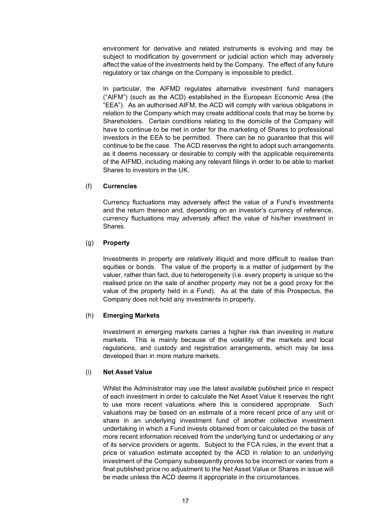environment for derivative and related instruments is evolving and may be subject to modification by government or judicial action which may adversely affect the value of the investments held by the Company. The effect of any future regulatory or tax change on the Company is impossible to predict.

In particular, the AIFMD regulates alternative investment fund managers ("AIFM") (such as the ACD) established in the European Economic Area (the "EEA"). As an authorised AIFM, the ACD will comply with various obligations in relation to the Company which may create additional costs that may be borne by Shareholders. Certain conditions relating to the domicile of the Company will have to continue to be met in order for the marketing of Shares to professional investors in the EEA to be permitted. There can be no guarantee that this will continue to be the case. The ACD reserves the right to adopt such arrangements as it deems necessary or desirable to comply with the applicable requirements of the AIFMD, including making any relevant filings in order to be able to market Shares to investors in the UK.

#### (f) **Currencies**

Currency fluctuations may adversely affect the value of a Fund's investments and the return thereon and, depending on an investor's currency of reference, currency fluctuations may adversely affect the value of his/her investment in Shares.

#### (g) **Property**

Investments in property are relatively illiquid and more difficult to realise than equities or bonds. The value of the property is a matter of judgement by the valuer, rather than fact, due to heterogeneity (i.e. every property is unique so the realised price on the sale of another property may not be a good proxy for the value of the property held in a Fund). As at the date of this Prospectus, the Company does not hold any investments in property.

#### (h) **Emerging Markets**

Investment in emerging markets carries a higher risk than investing in mature markets. This is mainly because of the volatility of the markets and local regulations, and custody and registration arrangements, which may be less developed than in more mature markets.

#### (i) **Net Asset Value**

Whilst the Administrator may use the latest available published price in respect of each investment in order to calculate the Net Asset Value it reserves the right to use more recent valuations where this is considered appropriate. Such valuations may be based on an estimate of a more recent price of any unit or share in an underlying investment fund of another collective investment undertaking in which a Fund invests obtained from or calculated on the basis of more recent information received from the underlying fund or undertaking or any of its service providers or agents. Subject to the FCA rules, in the event that a price or valuation estimate accepted by the ACD in relation to an underlying investment of the Company subsequently proves to be incorrect or varies from a final published price no adjustment to the Net Asset Value or Shares in issue will be made unless the ACD deems it appropriate in the circumstances.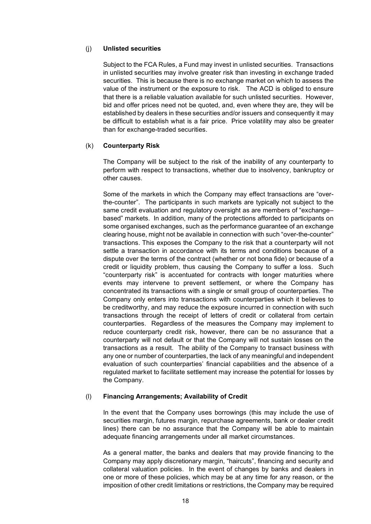#### (j) **Unlisted securities**

Subject to the FCA Rules, a Fund may invest in unlisted securities. Transactions in unlisted securities may involve greater risk than investing in exchange traded securities. This is because there is no exchange market on which to assess the value of the instrument or the exposure to risk. The ACD is obliged to ensure that there is a reliable valuation available for such unlisted securities. However, bid and offer prices need not be quoted, and, even where they are, they will be established by dealers in these securities and/or issuers and consequently it may be difficult to establish what is a fair price. Price volatility may also be greater than for exchange-traded securities.

#### (k) **Counterparty Risk**

The Company will be subject to the risk of the inability of any counterparty to perform with respect to transactions, whether due to insolvency, bankruptcy or other causes.

Some of the markets in which the Company may effect transactions are "overthe-counter". The participants in such markets are typically not subject to the same credit evaluation and regulatory oversight as are members of "exchange– based" markets. In addition, many of the protections afforded to participants on some organised exchanges, such as the performance guarantee of an exchange clearing house, might not be available in connection with such "over-the-counter" transactions. This exposes the Company to the risk that a counterparty will not settle a transaction in accordance with its terms and conditions because of a dispute over the terms of the contract (whether or not bona fide) or because of a credit or liquidity problem, thus causing the Company to suffer a loss. Such "counterparty risk" is accentuated for contracts with longer maturities where events may intervene to prevent settlement, or where the Company has concentrated its transactions with a single or small group of counterparties. The Company only enters into transactions with counterparties which it believes to be creditworthy, and may reduce the exposure incurred in connection with such transactions through the receipt of letters of credit or collateral from certain counterparties. Regardless of the measures the Company may implement to reduce counterparty credit risk, however, there can be no assurance that a counterparty will not default or that the Company will not sustain losses on the transactions as a result. The ability of the Company to transact business with any one or number of counterparties, the lack of any meaningful and independent evaluation of such counterparties' financial capabilities and the absence of a regulated market to facilitate settlement may increase the potential for losses by the Company.

#### (l) **Financing Arrangements; Availability of Credit**

In the event that the Company uses borrowings (this may include the use of securities margin, futures margin, repurchase agreements, bank or dealer credit lines) there can be no assurance that the Company will be able to maintain adequate financing arrangements under all market circumstances.

As a general matter, the banks and dealers that may provide financing to the Company may apply discretionary margin, "haircuts", financing and security and collateral valuation policies. In the event of changes by banks and dealers in one or more of these policies, which may be at any time for any reason, or the imposition of other credit limitations or restrictions, the Company may be required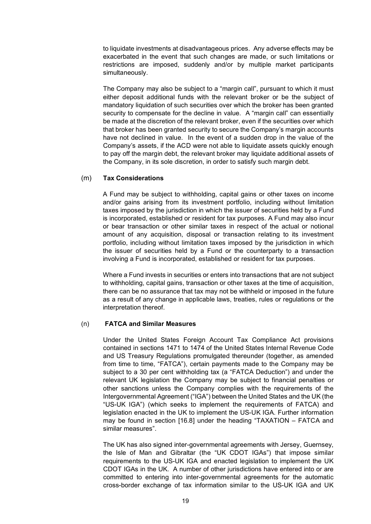to liquidate investments at disadvantageous prices. Any adverse effects may be exacerbated in the event that such changes are made, or such limitations or restrictions are imposed, suddenly and/or by multiple market participants simultaneously.

The Company may also be subject to a "margin call", pursuant to which it must either deposit additional funds with the relevant broker or be the subject of mandatory liquidation of such securities over which the broker has been granted security to compensate for the decline in value. A "margin call" can essentially be made at the discretion of the relevant broker, even if the securities over which that broker has been granted security to secure the Company's margin accounts have not declined in value. In the event of a sudden drop in the value of the Company's assets, if the ACD were not able to liquidate assets quickly enough to pay off the margin debt, the relevant broker may liquidate additional assets of the Company, in its sole discretion, in order to satisfy such margin debt.

#### (m) **Tax Considerations**

A Fund may be subject to withholding, capital gains or other taxes on income and/or gains arising from its investment portfolio, including without limitation taxes imposed by the jurisdiction in which the issuer of securities held by a Fund is incorporated, established or resident for tax purposes. A Fund may also incur or bear transaction or other similar taxes in respect of the actual or notional amount of any acquisition, disposal or transaction relating to its investment portfolio, including without limitation taxes imposed by the jurisdiction in which the issuer of securities held by a Fund or the counterparty to a transaction involving a Fund is incorporated, established or resident for tax purposes.

Where a Fund invests in securities or enters into transactions that are not subject to withholding, capital gains, transaction or other taxes at the time of acquisition, there can be no assurance that tax may not be withheld or imposed in the future as a result of any change in applicable laws, treaties, rules or regulations or the interpretation thereof.

#### (n) **FATCA and Similar Measures**

Under the United States Foreign Account Tax Compliance Act provisions contained in sections 1471 to 1474 of the United States Internal Revenue Code and US Treasury Regulations promulgated thereunder (together, as amended from time to time, "FATCA"), certain payments made to the Company may be subject to a 30 per cent withholding tax (a "FATCA Deduction") and under the relevant UK legislation the Company may be subject to financial penalties or other sanctions unless the Company complies with the requirements of the Intergovernmental Agreement ("IGA") between the United States and the UK (the "US-UK IGA") (which seeks to implement the requirements of FATCA) and legislation enacted in the UK to implement the US-UK IGA. Further information may be found in section [16.8] under the heading "TAXATION – FATCA and similar measures".

The UK has also signed inter-governmental agreements with Jersey, Guernsey, the Isle of Man and Gibraltar (the "UK CDOT IGAs") that impose similar requirements to the US-UK IGA and enacted legislation to implement the UK CDOT IGAs in the UK. A number of other jurisdictions have entered into or are committed to entering into inter-governmental agreements for the automatic cross-border exchange of tax information similar to the US-UK IGA and UK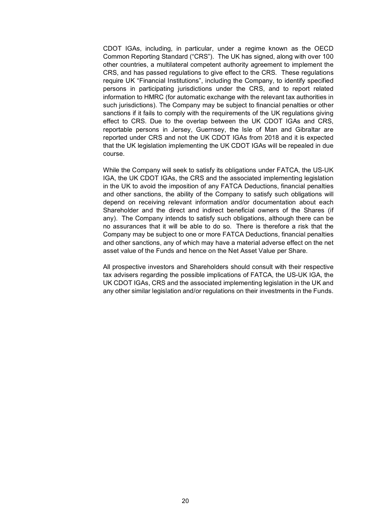CDOT IGAs, including, in particular, under a regime known as the OECD Common Reporting Standard ("CRS"). The UK has signed, along with over 100 other countries, a multilateral competent authority agreement to implement the CRS, and has passed regulations to give effect to the CRS. These regulations require UK "Financial Institutions", including the Company, to identify specified persons in participating jurisdictions under the CRS, and to report related information to HMRC (for automatic exchange with the relevant tax authorities in such jurisdictions). The Company may be subject to financial penalties or other sanctions if it fails to comply with the requirements of the UK regulations giving effect to CRS. Due to the overlap between the UK CDOT IGAs and CRS, reportable persons in Jersey, Guernsey, the Isle of Man and Gibraltar are reported under CRS and not the UK CDOT IGAs from 2018 and it is expected that the UK legislation implementing the UK CDOT IGAs will be repealed in due course.

While the Company will seek to satisfy its obligations under FATCA, the US-UK IGA, the UK CDOT IGAs, the CRS and the associated implementing legislation in the UK to avoid the imposition of any FATCA Deductions, financial penalties and other sanctions, the ability of the Company to satisfy such obligations will depend on receiving relevant information and/or documentation about each Shareholder and the direct and indirect beneficial owners of the Shares (if any). The Company intends to satisfy such obligations, although there can be no assurances that it will be able to do so. There is therefore a risk that the Company may be subject to one or more FATCA Deductions, financial penalties and other sanctions, any of which may have a material adverse effect on the net asset value of the Funds and hence on the Net Asset Value per Share.

All prospective investors and Shareholders should consult with their respective tax advisers regarding the possible implications of FATCA, the US-UK IGA, the UK CDOT IGAs, CRS and the associated implementing legislation in the UK and any other similar legislation and/or regulations on their investments in the Funds.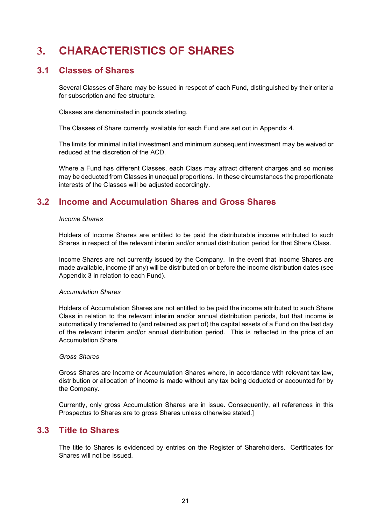# <span id="page-20-0"></span>**3. CHARACTERISTICS OF SHARES**

### **3.1 Classes of Shares**

Several Classes of Share may be issued in respect of each Fund, distinguished by their criteria for subscription and fee structure.

Classes are denominated in pounds sterling.

The Classes of Share currently available for each Fund are set out in Appendix 4.

The limits for minimal initial investment and minimum subsequent investment may be waived or reduced at the discretion of the ACD.

Where a Fund has different Classes, each Class may attract different charges and so monies may be deducted from Classes in unequal proportions. In these circumstances the proportionate interests of the Classes will be adjusted accordingly.

# **3.2 Income and Accumulation Shares and Gross Shares**

#### *Income Shares*

Holders of Income Shares are entitled to be paid the distributable income attributed to such Shares in respect of the relevant interim and/or annual distribution period for that Share Class.

Income Shares are not currently issued by the Company. In the event that Income Shares are made available, income (if any) will be distributed on or before the income distribution dates (see Appendix 3 in relation to each Fund).

#### *Accumulation Shares*

Holders of Accumulation Shares are not entitled to be paid the income attributed to such Share Class in relation to the relevant interim and/or annual distribution periods, but that income is automatically transferred to (and retained as part of) the capital assets of a Fund on the last day of the relevant interim and/or annual distribution period. This is reflected in the price of an Accumulation Share.

#### *Gross Shares*

Gross Shares are Income or Accumulation Shares where, in accordance with relevant tax law, distribution or allocation of income is made without any tax being deducted or accounted for by the Company.

Currently, only gross Accumulation Shares are in issue. Consequently, all references in this Prospectus to Shares are to gross Shares unless otherwise stated.]

### **3.3 Title to Shares**

The title to Shares is evidenced by entries on the Register of Shareholders. Certificates for Shares will not be issued.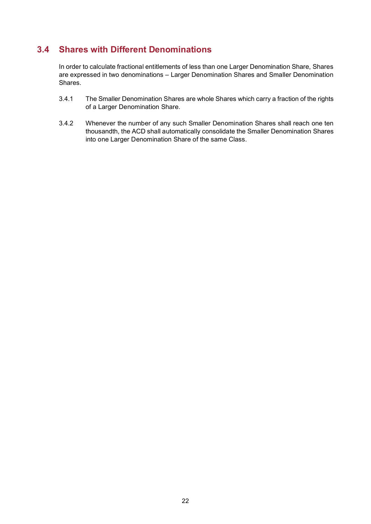# **3.4 Shares with Different Denominations**

In order to calculate fractional entitlements of less than one Larger Denomination Share, Shares are expressed in two denominations – Larger Denomination Shares and Smaller Denomination Shares.

- 3.4.1 The Smaller Denomination Shares are whole Shares which carry a fraction of the rights of a Larger Denomination Share.
- 3.4.2 Whenever the number of any such Smaller Denomination Shares shall reach one ten thousandth, the ACD shall automatically consolidate the Smaller Denomination Shares into one Larger Denomination Share of the same Class.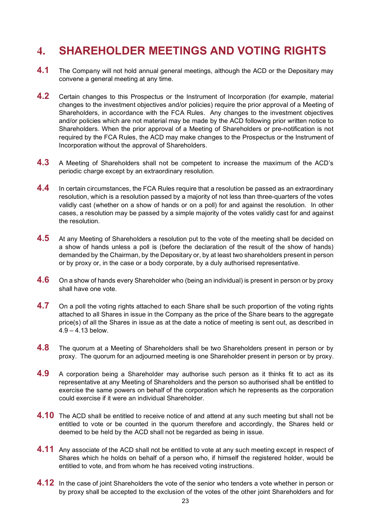# <span id="page-22-0"></span>**4. SHAREHOLDER MEETINGS AND VOTING RIGHTS**

- **4.1** The Company will not hold annual general meetings, although the ACD or the Depositary may convene a general meeting at any time.
- **4.2** Certain changes to this Prospectus or the Instrument of Incorporation (for example, material changes to the investment objectives and/or policies) require the prior approval of a Meeting of Shareholders, in accordance with the FCA Rules. Any changes to the investment objectives and/or policies which are not material may be made by the ACD following prior written notice to Shareholders. When the prior approval of a Meeting of Shareholders or pre-notification is not required by the FCA Rules, the ACD may make changes to the Prospectus or the Instrument of Incorporation without the approval of Shareholders.
- **4.3** A Meeting of Shareholders shall not be competent to increase the maximum of the ACD's periodic charge except by an extraordinary resolution.
- **4.4** In certain circumstances, the FCA Rules require that a resolution be passed as an extraordinary resolution, which is a resolution passed by a majority of not less than three-quarters of the votes validly cast (whether on a show of hands or on a poll) for and against the resolution. In other cases, a resolution may be passed by a simple majority of the votes validly cast for and against the resolution.
- **4.5** At any Meeting of Shareholders a resolution put to the vote of the meeting shall be decided on a show of hands unless a poll is (before the declaration of the result of the show of hands) demanded by the Chairman, by the Depositary or, by at least two shareholders present in person or by proxy or, in the case or a body corporate, by a duly authorised representative.
- **4.6** On a show of hands every Shareholder who (being an individual) is present in person or by proxy shall have one vote.
- **4.7** On a poll the voting rights attached to each Share shall be such proportion of the voting rights attached to all Shares in issue in the Company as the price of the Share bears to the aggregate price(s) of all the Shares in issue as at the date a notice of meeting is sent out, as described in 4.9 – 4.13 below.
- **4.8** The quorum at a Meeting of Shareholders shall be two Shareholders present in person or by proxy. The quorum for an adjourned meeting is one Shareholder present in person or by proxy.
- **4.9** A corporation being a Shareholder may authorise such person as it thinks fit to act as its representative at any Meeting of Shareholders and the person so authorised shall be entitled to exercise the same powers on behalf of the corporation which he represents as the corporation could exercise if it were an individual Shareholder.
- **4.10** The ACD shall be entitled to receive notice of and attend at any such meeting but shall not be entitled to vote or be counted in the quorum therefore and accordingly, the Shares held or deemed to be held by the ACD shall not be regarded as being in issue.
- **4.11** Any associate of the ACD shall not be entitled to vote at any such meeting except in respect of Shares which he holds on behalf of a person who, if himself the registered holder, would be entitled to vote, and from whom he has received voting instructions.
- **4.12** In the case of joint Shareholders the vote of the senior who tenders a vote whether in person or by proxy shall be accepted to the exclusion of the votes of the other joint Shareholders and for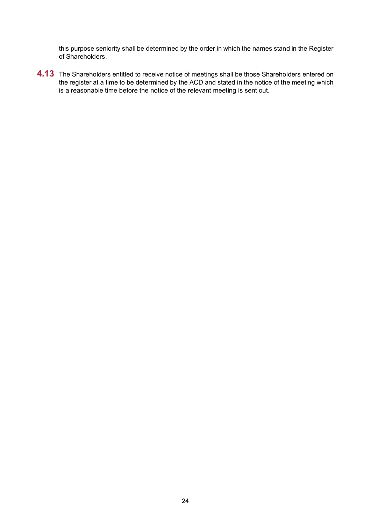this purpose seniority shall be determined by the order in which the names stand in the Register of Shareholders.

**4.13** The Shareholders entitled to receive notice of meetings shall be those Shareholders entered on the register at a time to be determined by the ACD and stated in the notice of the meeting which is a reasonable time before the notice of the relevant meeting is sent out.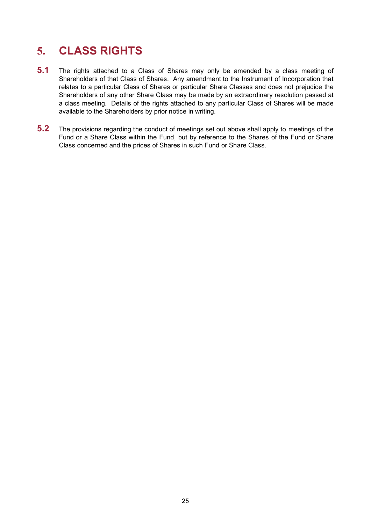# <span id="page-24-0"></span>**5. CLASS RIGHTS**

- **5.1** The rights attached to a Class of Shares may only be amended by a class meeting of Shareholders of that Class of Shares. Any amendment to the Instrument of Incorporation that relates to a particular Class of Shares or particular Share Classes and does not prejudice the Shareholders of any other Share Class may be made by an extraordinary resolution passed at a class meeting. Details of the rights attached to any particular Class of Shares will be made available to the Shareholders by prior notice in writing.
- **5.2** The provisions regarding the conduct of meetings set out above shall apply to meetings of the Fund or a Share Class within the Fund, but by reference to the Shares of the Fund or Share Class concerned and the prices of Shares in such Fund or Share Class.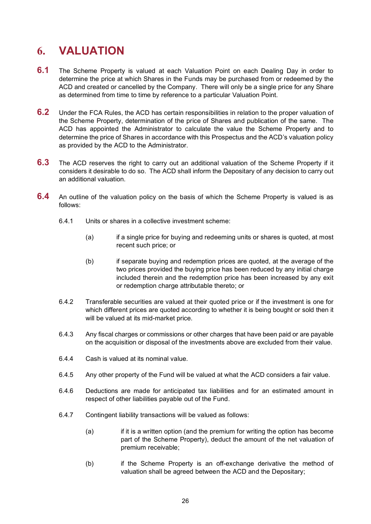# <span id="page-25-0"></span>**6. VALUATION**

- **6.1** The Scheme Property is valued at each Valuation Point on each Dealing Day in order to determine the price at which Shares in the Funds may be purchased from or redeemed by the ACD and created or cancelled by the Company. There will only be a single price for any Share as determined from time to time by reference to a particular Valuation Point.
- **6.2** Under the FCA Rules, the ACD has certain responsibilities in relation to the proper valuation of the Scheme Property, determination of the price of Shares and publication of the same. The ACD has appointed the Administrator to calculate the value the Scheme Property and to determine the price of Shares in accordance with this Prospectus and the ACD's valuation policy as provided by the ACD to the Administrator.
- **6.3** The ACD reserves the right to carry out an additional valuation of the Scheme Property if it considers it desirable to do so. The ACD shall inform the Depositary of any decision to carry out an additional valuation.
- **6.4** An outline of the valuation policy on the basis of which the Scheme Property is valued is as follows:
	- 6.4.1 Units or shares in a collective investment scheme:
		- (a) if a single price for buying and redeeming units or shares is quoted, at most recent such price; or
		- (b) if separate buying and redemption prices are quoted, at the average of the two prices provided the buying price has been reduced by any initial charge included therein and the redemption price has been increased by any exit or redemption charge attributable thereto; or
	- 6.4.2 Transferable securities are valued at their quoted price or if the investment is one for which different prices are quoted according to whether it is being bought or sold then it will be valued at its mid-market price.
	- 6.4.3 Any fiscal charges or commissions or other charges that have been paid or are payable on the acquisition or disposal of the investments above are excluded from their value.
	- 6.4.4 Cash is valued at its nominal value.
	- 6.4.5 Any other property of the Fund will be valued at what the ACD considers a fair value.
	- 6.4.6 Deductions are made for anticipated tax liabilities and for an estimated amount in respect of other liabilities payable out of the Fund.
	- 6.4.7 Contingent liability transactions will be valued as follows:
		- (a) if it is a written option (and the premium for writing the option has become part of the Scheme Property), deduct the amount of the net valuation of premium receivable;
		- (b) if the Scheme Property is an off-exchange derivative the method of valuation shall be agreed between the ACD and the Depositary;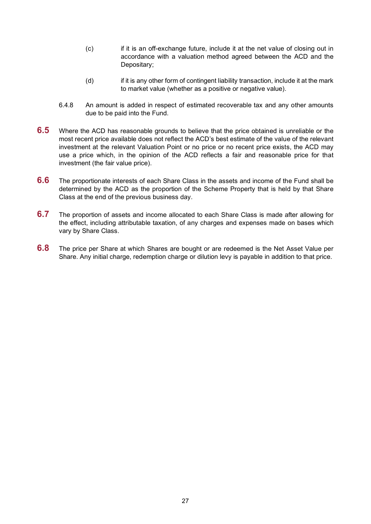- (c) if it is an off-exchange future, include it at the net value of closing out in accordance with a valuation method agreed between the ACD and the Depositary;
- (d) if it is any other form of contingent liability transaction, include it at the mark to market value (whether as a positive or negative value).
- 6.4.8 An amount is added in respect of estimated recoverable tax and any other amounts due to be paid into the Fund.
- **6.5** Where the ACD has reasonable grounds to believe that the price obtained is unreliable or the most recent price available does not reflect the ACD's best estimate of the value of the relevant investment at the relevant Valuation Point or no price or no recent price exists, the ACD may use a price which, in the opinion of the ACD reflects a fair and reasonable price for that investment (the fair value price).
- **6.6** The proportionate interests of each Share Class in the assets and income of the Fund shall be determined by the ACD as the proportion of the Scheme Property that is held by that Share Class at the end of the previous business day.
- **6.7** The proportion of assets and income allocated to each Share Class is made after allowing for the effect, including attributable taxation, of any charges and expenses made on bases which vary by Share Class.
- <span id="page-26-0"></span>**6.8** The price per Share at which Shares are bought or are redeemed is the Net Asset Value per Share. Any initial charge, redemption charge or dilution levy is payable in addition to that price.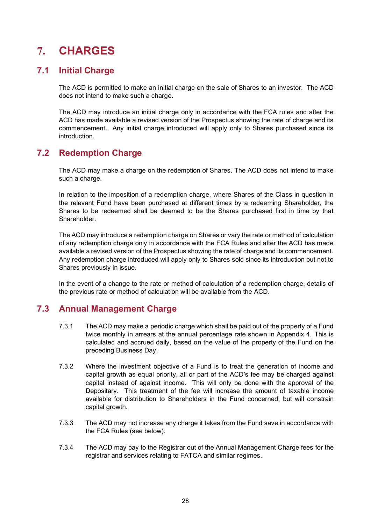# <span id="page-27-0"></span>**7. CHARGES**

# **7.1 Initial Charge**

The ACD is permitted to make an initial charge on the sale of Shares to an investor. The ACD does not intend to make such a charge.

The ACD may introduce an initial charge only in accordance with the FCA rules and after the ACD has made available a revised version of the Prospectus showing the rate of charge and its commencement. Any initial charge introduced will apply only to Shares purchased since its introduction.

# **7.2 Redemption Charge**

The ACD may make a charge on the redemption of Shares. The ACD does not intend to make such a charge.

In relation to the imposition of a redemption charge, where Shares of the Class in question in the relevant Fund have been purchased at different times by a redeeming Shareholder, the Shares to be redeemed shall be deemed to be the Shares purchased first in time by that Shareholder.

The ACD may introduce a redemption charge on Shares or vary the rate or method of calculation of any redemption charge only in accordance with the FCA Rules and after the ACD has made available a revised version of the Prospectus showing the rate of charge and its commencement. Any redemption charge introduced will apply only to Shares sold since its introduction but not to Shares previously in issue.

In the event of a change to the rate or method of calculation of a redemption charge, details of the previous rate or method of calculation will be available from the ACD.

### **7.3 Annual Management Charge**

- 7.3.1 The ACD may make a periodic charge which shall be paid out of the property of a Fund twice monthly in arrears at the annual percentage rate shown in Appendix 4. This is calculated and accrued daily, based on the value of the property of the Fund on the preceding Business Day.
- 7.3.2 Where the investment objective of a Fund is to treat the generation of income and capital growth as equal priority, all or part of the ACD's fee may be charged against capital instead of against income. This will only be done with the approval of the Depositary. This treatment of the fee will increase the amount of taxable income available for distribution to Shareholders in the Fund concerned, but will constrain capital growth.
- 7.3.3 The ACD may not increase any charge it takes from the Fund save in accordance with the FCA Rules (see below).
- 7.3.4 The ACD may pay to the Registrar out of the Annual Management Charge fees for the registrar and services relating to FATCA and similar regimes.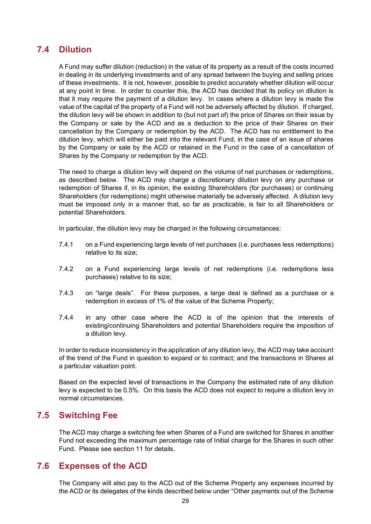# **7.4 Dilution**

A Fund may suffer dilution (reduction) in the value of its property as a result of the costs incurred in dealing in its underlying investments and of any spread between the buying and selling prices of these investments. It is not, however, possible to predict accurately whether dilution will occur at any point in time. In order to counter this, the ACD has decided that its policy on dilution is that it may require the payment of a dilution levy. In cases where a dilution levy is made the value of the capital of the property of a Fund will not be adversely affected by dilution. If charged, the dilution levy will be shown in addition to (but not part of) the price of Shares on their issue by the Company or sale by the ACD and as a deduction to the price of their Shares on their cancellation by the Company or redemption by the ACD. The ACD has no entitlement to the dilution levy, which will either be paid into the relevant Fund, in the case of an issue of shares by the Company or sale by the ACD or retained in the Fund in the case of a cancellation of Shares by the Company or redemption by the ACD.

The need to charge a dilution levy will depend on the volume of net purchases or redemptions, as described below. The ACD may charge a discretionary dilution levy on any purchase or redemption of Shares if, in its opinion, the existing Shareholders (for purchases) or continuing Shareholders (for redemptions) might otherwise materially be adversely affected. A dilution levy must be imposed only in a manner that, so far as practicable, is fair to all Shareholders or potential Shareholders.

In particular, the dilution levy may be charged in the following circumstances:

- 7.4.1 on a Fund experiencing large levels of net purchases (i.e. purchases less redemptions) relative to its size;
- 7.4.2 on a Fund experiencing large levels of net redemptions (i.e. redemptions less purchases) relative to its size;
- 7.4.3 on "large deals". For these purposes, a large deal is defined as a purchase or a redemption in excess of 1% of the value of the Scheme Property;
- 7.4.4 in any other case where the ACD is of the opinion that the interests of existing/continuing Shareholders and potential Shareholders require the imposition of a dilution levy.

In order to reduce inconsistency in the application of any dilution levy, the ACD may take account of the trend of the Fund in question to expand or to contract; and the transactions in Shares at a particular valuation point.

Based on the expected level of transactions in the Company the estimated rate of any dilution levy is expected to be 0.5%. On this basis the ACD does not expect to require a dilution levy in normal circumstances.

### **7.5 Switching Fee**

The ACD may charge a switching fee when Shares of a Fund are switched for Shares in another Fund not exceeding the maximum percentage rate of Initial charge for the Shares in such other Fund. Please see section 11 for details.

### **7.6 Expenses of the ACD**

The Company will also pay to the ACD out of the Scheme Property any expenses incurred by the ACD or its delegates of the kinds described below under "Other payments out of the Scheme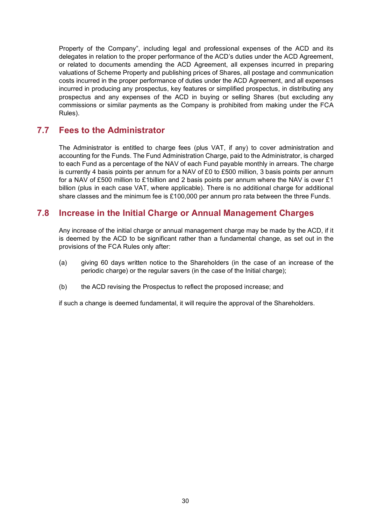Property of the Company", including legal and professional expenses of the ACD and its delegates in relation to the proper performance of the ACD's duties under the ACD Agreement, or related to documents amending the ACD Agreement, all expenses incurred in preparing valuations of Scheme Property and publishing prices of Shares, all postage and communication costs incurred in the proper performance of duties under the ACD Agreement, and all expenses incurred in producing any prospectus, key features or simplified prospectus, in distributing any prospectus and any expenses of the ACD in buying or selling Shares (but excluding any commissions or similar payments as the Company is prohibited from making under the FCA Rules).

### **7.7 Fees to the Administrator**

The Administrator is entitled to charge fees (plus VAT, if any) to cover administration and accounting for the Funds. The Fund Administration Charge, paid to the Administrator, is charged to each Fund as a percentage of the NAV of each Fund payable monthly in arrears. The charge is currently 4 basis points per annum for a NAV of £0 to £500 million, 3 basis points per annum for a NAV of £500 million to £1billion and 2 basis points per annum where the NAV is over £1 billion (plus in each case VAT, where applicable). There is no additional charge for additional share classes and the minimum fee is £100,000 per annum pro rata between the three Funds.

# **7.8 Increase in the Initial Charge or Annual Management Charges**

Any increase of the initial charge or annual management charge may be made by the ACD, if it is deemed by the ACD to be significant rather than a fundamental change, as set out in the provisions of the FCA Rules only after:

- (a) giving 60 days written notice to the Shareholders (in the case of an increase of the periodic charge) or the regular savers (in the case of the Initial charge);
- (b) the ACD revising the Prospectus to reflect the proposed increase; and

if such a change is deemed fundamental, it will require the approval of the Shareholders.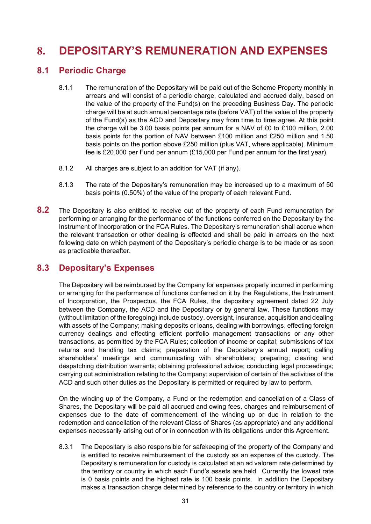# <span id="page-30-0"></span>**8. DEPOSITARY'S REMUNERATION AND EXPENSES**

### **8.1 Periodic Charge**

- 8.1.1 The remuneration of the Depositary will be paid out of the Scheme Property monthly in arrears and will consist of a periodic charge, calculated and accrued daily, based on the value of the property of the Fund(s) on the preceding Business Day. The periodic charge will be at such annual percentage rate (before VAT) of the value of the property of the Fund(s) as the ACD and Depositary may from time to time agree. At this point the charge will be 3.00 basis points per annum for a NAV of £0 to £100 million, 2.00 basis points for the portion of NAV between £100 million and £250 million and 1.50 basis points on the portion above £250 million (plus VAT, where applicable). Minimum fee is £20,000 per Fund per annum (£15,000 per Fund per annum for the first year).
- 8.1.2 All charges are subject to an addition for VAT (if any).
- 8.1.3 The rate of the Depositary's remuneration may be increased up to a maximum of 50 basis points (0.50%) of the value of the property of each relevant Fund.
- **8.2** The Depositary is also entitled to receive out of the property of each Fund remuneration for performing or arranging for the performance of the functions conferred on the Depositary by the Instrument of Incorporation or the FCA Rules. The Depositary's remuneration shall accrue when the relevant transaction or other dealing is effected and shall be paid in arrears on the next following date on which payment of the Depositary's periodic charge is to be made or as soon as practicable thereafter.

### **8.3 Depositary's Expenses**

The Depositary will be reimbursed by the Company for expenses properly incurred in performing or arranging for the performance of functions conferred on it by the Regulations, the Instrument of Incorporation, the Prospectus, the FCA Rules, the depositary agreement dated 22 July between the Company, the ACD and the Depositary or by general law. These functions may (without limitation of the foregoing) include custody, oversight, insurance, acquisition and dealing with assets of the Company; making deposits or loans, dealing with borrowings, effecting foreign currency dealings and effecting efficient portfolio management transactions or any other transactions, as permitted by the FCA Rules; collection of income or capital; submissions of tax returns and handling tax claims; preparation of the Depositary's annual report; calling shareholders' meetings and communicating with shareholders; preparing; clearing and despatching distribution warrants; obtaining professional advice; conducting legal proceedings; carrying out administration relating to the Company; supervision of certain of the activities of the ACD and such other duties as the Depositary is permitted or required by law to perform.

On the winding up of the Company, a Fund or the redemption and cancellation of a Class of Shares, the Depositary will be paid all accrued and owing fees, charges and reimbursement of expenses due to the date of commencement of the winding up or due in relation to the redemption and cancellation of the relevant Class of Shares (as appropriate) and any additional expenses necessarily arising out of or in connection with its obligations under this Agreement.

8.3.1 The Depositary is also responsible for safekeeping of the property of the Company and is entitled to receive reimbursement of the custody as an expense of the custody. The Depositary's remuneration for custody is calculated at an ad valorem rate determined by the territory or country in which each Fund's assets are held. Currently the lowest rate is 0 basis points and the highest rate is 100 basis points. In addition the Depositary makes a transaction charge determined by reference to the country or territory in which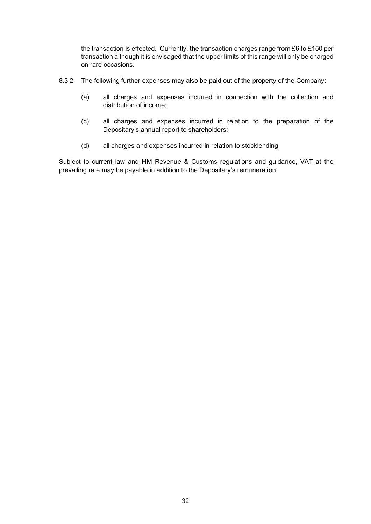the transaction is effected. Currently, the transaction charges range from £6 to £150 per transaction although it is envisaged that the upper limits of this range will only be charged on rare occasions.

- 8.3.2 The following further expenses may also be paid out of the property of the Company:
	- (a) all charges and expenses incurred in connection with the collection and distribution of income;
	- (c) all charges and expenses incurred in relation to the preparation of the Depositary's annual report to shareholders;
	- (d) all charges and expenses incurred in relation to stocklending.

Subject to current law and HM Revenue & Customs regulations and guidance, VAT at the prevailing rate may be payable in addition to the Depositary's remuneration.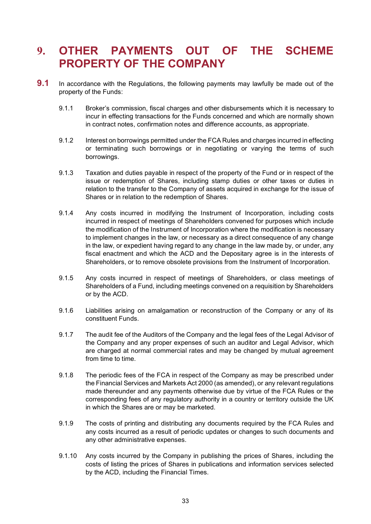# <span id="page-32-0"></span>**9. OTHER PAYMENTS OUT OF THE SCHEME PROPERTY OF THE COMPANY**

- **9.1** In accordance with the Regulations, the following payments may lawfully be made out of the property of the Funds:
	- 9.1.1 Broker's commission, fiscal charges and other disbursements which it is necessary to incur in effecting transactions for the Funds concerned and which are normally shown in contract notes, confirmation notes and difference accounts, as appropriate.
	- 9.1.2 Interest on borrowings permitted under the FCA Rules and charges incurred in effecting or terminating such borrowings or in negotiating or varying the terms of such borrowings.
	- 9.1.3 Taxation and duties payable in respect of the property of the Fund or in respect of the issue or redemption of Shares, including stamp duties or other taxes or duties in relation to the transfer to the Company of assets acquired in exchange for the issue of Shares or in relation to the redemption of Shares.
	- 9.1.4 Any costs incurred in modifying the Instrument of Incorporation, including costs incurred in respect of meetings of Shareholders convened for purposes which include the modification of the Instrument of Incorporation where the modification is necessary to implement changes in the law, or necessary as a direct consequence of any change in the law, or expedient having regard to any change in the law made by, or under, any fiscal enactment and which the ACD and the Depositary agree is in the interests of Shareholders, or to remove obsolete provisions from the Instrument of Incorporation.
	- 9.1.5 Any costs incurred in respect of meetings of Shareholders, or class meetings of Shareholders of a Fund, including meetings convened on a requisition by Shareholders or by the ACD.
	- 9.1.6 Liabilities arising on amalgamation or reconstruction of the Company or any of its constituent Funds.
	- 9.1.7 The audit fee of the Auditors of the Company and the legal fees of the Legal Advisor of the Company and any proper expenses of such an auditor and Legal Advisor, which are charged at normal commercial rates and may be changed by mutual agreement from time to time.
	- 9.1.8 The periodic fees of the FCA in respect of the Company as may be prescribed under the Financial Services and Markets Act 2000 (as amended), or any relevant regulations made thereunder and any payments otherwise due by virtue of the FCA Rules or the corresponding fees of any regulatory authority in a country or territory outside the UK in which the Shares are or may be marketed.
	- 9.1.9 The costs of printing and distributing any documents required by the FCA Rules and any costs incurred as a result of periodic updates or changes to such documents and any other administrative expenses.
	- 9.1.10 Any costs incurred by the Company in publishing the prices of Shares, including the costs of listing the prices of Shares in publications and information services selected by the ACD, including the Financial Times.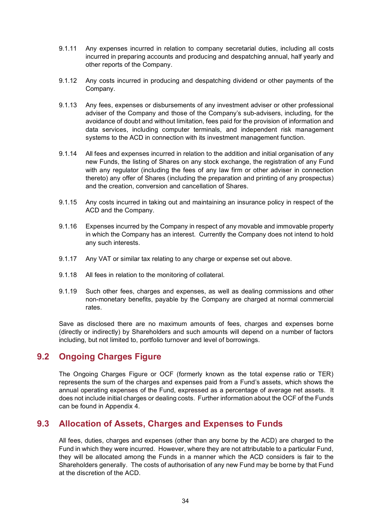- 9.1.11 Any expenses incurred in relation to company secretarial duties, including all costs incurred in preparing accounts and producing and despatching annual, half yearly and other reports of the Company.
- 9.1.12 Any costs incurred in producing and despatching dividend or other payments of the Company.
- 9.1.13 Any fees, expenses or disbursements of any investment adviser or other professional adviser of the Company and those of the Company's sub-advisers, including, for the avoidance of doubt and without limitation, fees paid for the provision of information and data services, including computer terminals, and independent risk management systems to the ACD in connection with its investment management function.
- 9.1.14 All fees and expenses incurred in relation to the addition and initial organisation of any new Funds, the listing of Shares on any stock exchange, the registration of any Fund with any regulator (including the fees of any law firm or other adviser in connection thereto) any offer of Shares (including the preparation and printing of any prospectus) and the creation, conversion and cancellation of Shares.
- 9.1.15 Any costs incurred in taking out and maintaining an insurance policy in respect of the ACD and the Company.
- 9.1.16 Expenses incurred by the Company in respect of any movable and immovable property in which the Company has an interest. Currently the Company does not intend to hold any such interests.
- 9.1.17 Any VAT or similar tax relating to any charge or expense set out above.
- 9.1.18 All fees in relation to the monitoring of collateral.
- 9.1.19 Such other fees, charges and expenses, as well as dealing commissions and other non-monetary benefits, payable by the Company are charged at normal commercial rates.

Save as disclosed there are no maximum amounts of fees, charges and expenses borne (directly or indirectly) by Shareholders and such amounts will depend on a number of factors including, but not limited to, portfolio turnover and level of borrowings.

### **9.2 Ongoing Charges Figure**

The Ongoing Charges Figure or OCF (formerly known as the total expense ratio or TER) represents the sum of the charges and expenses paid from a Fund's assets, which shows the annual operating expenses of the Fund, expressed as a percentage of average net assets. It does not include initial charges or dealing costs. Further information about the OCF of the Funds can be found in Appendix 4.

### **9.3 Allocation of Assets, Charges and Expenses to Funds**

All fees, duties, charges and expenses (other than any borne by the ACD) are charged to the Fund in which they were incurred. However, where they are not attributable to a particular Fund, they will be allocated among the Funds in a manner which the ACD considers is fair to the Shareholders generally. The costs of authorisation of any new Fund may be borne by that Fund at the discretion of the ACD.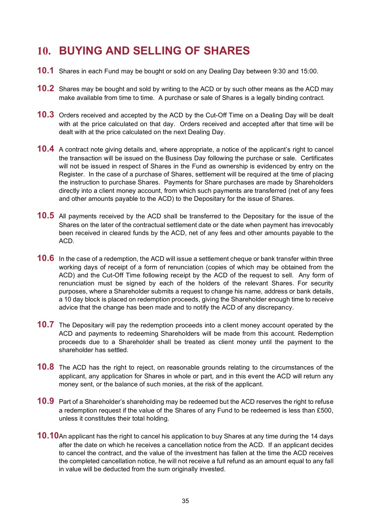# <span id="page-34-0"></span>**10. BUYING AND SELLING OF SHARES**

- **10.1** Shares in each Fund may be bought or sold on any Dealing Day between 9:30 and 15:00.
- **10.2** Shares may be bought and sold by writing to the ACD or by such other means as the ACD may make available from time to time. A purchase or sale of Shares is a legally binding contract.
- **10.3** Orders received and accepted by the ACD by the Cut-Off Time on a Dealing Day will be dealt with at the price calculated on that day. Orders received and accepted after that time will be dealt with at the price calculated on the next Dealing Day.
- **10.4** A contract note giving details and, where appropriate, a notice of the applicant's right to cancel the transaction will be issued on the Business Day following the purchase or sale. Certificates will not be issued in respect of Shares in the Fund as ownership is evidenced by entry on the Register. In the case of a purchase of Shares, settlement will be required at the time of placing the instruction to purchase Shares. Payments for Share purchases are made by Shareholders directly into a client money account, from which such payments are transferred (net of any fees and other amounts payable to the ACD) to the Depositary for the issue of Shares.
- **10.5** All payments received by the ACD shall be transferred to the Depositary for the issue of the Shares on the later of the contractual settlement date or the date when payment has irrevocably been received in cleared funds by the ACD, net of any fees and other amounts payable to the ACD.
- **10.6** In the case of a redemption, the ACD will issue a settlement cheque or bank transfer within three working days of receipt of a form of renunciation (copies of which may be obtained from the ACD) and the Cut-Off Time following receipt by the ACD of the request to sell. Any form of renunciation must be signed by each of the holders of the relevant Shares. For security purposes, where a Shareholder submits a request to change his name, address or bank details, a 10 day block is placed on redemption proceeds, giving the Shareholder enough time to receive advice that the change has been made and to notify the ACD of any discrepancy.
- **10.7** The Depositary will pay the redemption proceeds into a client money account operated by the ACD and payments to redeeming Shareholders will be made from this account. Redemption proceeds due to a Shareholder shall be treated as client money until the payment to the shareholder has settled.
- **10.8** The ACD has the right to reject, on reasonable grounds relating to the circumstances of the applicant, any application for Shares in whole or part, and in this event the ACD will return any money sent, or the balance of such monies, at the risk of the applicant.
- **10.9** Part of a Shareholder's shareholding may be redeemed but the ACD reserves the right to refuse a redemption request if the value of the Shares of any Fund to be redeemed is less than £500, unless it constitutes their total holding.
- **10.10**An applicant has the right to cancel his application to buy Shares at any time during the 14 days after the date on which he receives a cancellation notice from the ACD. If an applicant decides to cancel the contract, and the value of the investment has fallen at the time the ACD receives the completed cancellation notice, he will not receive a full refund as an amount equal to any fall in value will be deducted from the sum originally invested.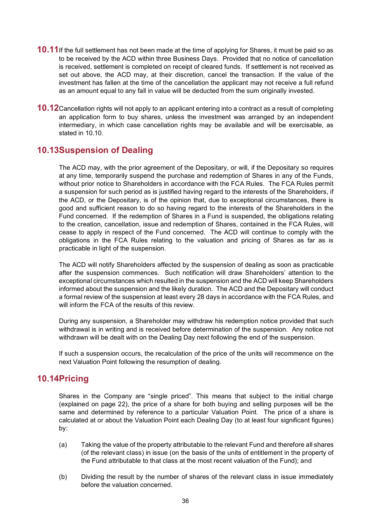- **10.11**If the full settlement has not been made at the time of applying for Shares, it must be paid so as to be received by the ACD within three Business Days. Provided that no notice of cancellation is received, settlement is completed on receipt of cleared funds. If settlement is not received as set out above, the ACD may, at their discretion, cancel the transaction. If the value of the investment has fallen at the time of the cancellation the applicant may not receive a full refund as an amount equal to any fall in value will be deducted from the sum originally invested.
- **10.12**Cancellation rights will not apply to an applicant entering into a contract as a result of completing an application form to buy shares, unless the investment was arranged by an independent intermediary, in which case cancellation rights may be available and will be exercisable, as stated in 10.10.

# <span id="page-35-0"></span>**10.13Suspension of Dealing**

The ACD may, with the prior agreement of the Depositary, or will, if the Depositary so requires at any time, temporarily suspend the purchase and redemption of Shares in any of the Funds, without prior notice to Shareholders in accordance with the FCA Rules. The FCA Rules permit a suspension for such period as is justified having regard to the interests of the Shareholders, if the ACD, or the Depositary, is of the opinion that, due to exceptional circumstances, there is good and sufficient reason to do so having regard to the interests of the Shareholders in the Fund concerned. If the redemption of Shares in a Fund is suspended, the obligations relating to the creation, cancellation, issue and redemption of Shares, contained in the FCA Rules, will cease to apply in respect of the Fund concerned. The ACD will continue to comply with the obligations in the FCA Rules relating to the valuation and pricing of Shares as far as is practicable in light of the suspension.

The ACD will notify Shareholders affected by the suspension of dealing as soon as practicable after the suspension commences. Such notification will draw Shareholders' attention to the exceptional circumstances which resulted in the suspension and the ACD will keep Shareholders informed about the suspension and the likely duration. The ACD and the Depositary will conduct a formal review of the suspension at least every 28 days in accordance with the FCA Rules, and will inform the FCA of the results of this review.

During any suspension, a Shareholder may withdraw his redemption notice provided that such withdrawal is in writing and is received before determination of the suspension. Any notice not withdrawn will be dealt with on the Dealing Day next following the end of the suspension.

If such a suspension occurs, the recalculation of the price of the units will recommence on the next Valuation Point following the resumption of dealing.

### **10.14Pricing**

Shares in the Company are "single priced". This means that subject to the initial charge (explained on page 22), the price of a share for both buying and selling purposes will be the same and determined by reference to a particular Valuation Point. The price of a share is calculated at or about the Valuation Point each Dealing Day (to at least four significant figures) by:

- (a) Taking the value of the property attributable to the relevant Fund and therefore all shares (of the relevant class) in issue (on the basis of the units of entitlement in the property of the Fund attributable to that class at the most recent valuation of the Fund); and
- (b) Dividing the result by the number of shares of the relevant class in issue immediately before the valuation concerned.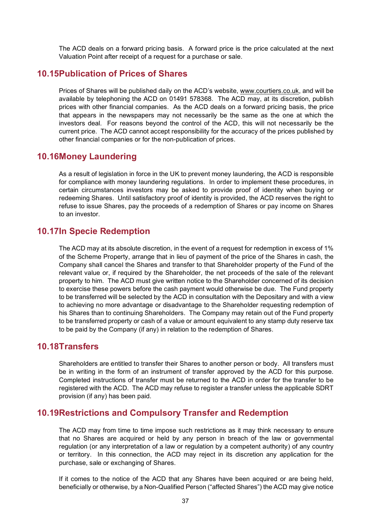The ACD deals on a forward pricing basis. A forward price is the price calculated at the next Valuation Point after receipt of a request for a purchase or sale.

#### **10.15Publication of Prices of Shares**

Prices of Shares will be published daily on the ACD's website, [www.courtiers.co.uk,](http://www.courtiers.co.uk/) and will be available by telephoning the ACD on 01491 578368. The ACD may, at its discretion, publish prices with other financial companies. As the ACD deals on a forward pricing basis, the price that appears in the newspapers may not necessarily be the same as the one at which the investors deal. For reasons beyond the control of the ACD, this will not necessarily be the current price. The ACD cannot accept responsibility for the accuracy of the prices published by other financial companies or for the non-publication of prices.

#### **10.16Money Laundering**

As a result of legislation in force in the UK to prevent money laundering, the ACD is responsible for compliance with money laundering regulations. In order to implement these procedures, in certain circumstances investors may be asked to provide proof of identity when buying or redeeming Shares. Until satisfactory proof of identity is provided, the ACD reserves the right to refuse to issue Shares, pay the proceeds of a redemption of Shares or pay income on Shares to an investor.

#### **10.17In Specie Redemption**

The ACD may at its absolute discretion, in the event of a request for redemption in excess of 1% of the Scheme Property, arrange that in lieu of payment of the price of the Shares in cash, the Company shall cancel the Shares and transfer to that Shareholder property of the Fund of the relevant value or, if required by the Shareholder, the net proceeds of the sale of the relevant property to him. The ACD must give written notice to the Shareholder concerned of its decision to exercise these powers before the cash payment would otherwise be due. The Fund property to be transferred will be selected by the ACD in consultation with the Depositary and with a view to achieving no more advantage or disadvantage to the Shareholder requesting redemption of his Shares than to continuing Shareholders. The Company may retain out of the Fund property to be transferred property or cash of a value or amount equivalent to any stamp duty reserve tax to be paid by the Company (if any) in relation to the redemption of Shares.

#### **10.18Transfers**

Shareholders are entitled to transfer their Shares to another person or body. All transfers must be in writing in the form of an instrument of transfer approved by the ACD for this purpose. Completed instructions of transfer must be returned to the ACD in order for the transfer to be registered with the ACD. The ACD may refuse to register a transfer unless the applicable SDRT provision (if any) has been paid.

#### **10.19Restrictions and Compulsory Transfer and Redemption**

The ACD may from time to time impose such restrictions as it may think necessary to ensure that no Shares are acquired or held by any person in breach of the law or governmental regulation (or any interpretation of a law or regulation by a competent authority) of any country or territory. In this connection, the ACD may reject in its discretion any application for the purchase, sale or exchanging of Shares.

If it comes to the notice of the ACD that any Shares have been acquired or are being held, beneficially or otherwise, by a Non-Qualified Person ("affected Shares") the ACD may give notice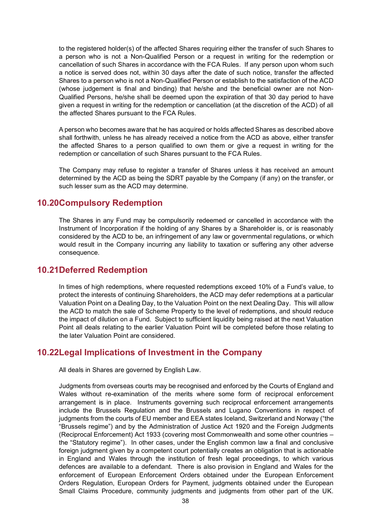to the registered holder(s) of the affected Shares requiring either the transfer of such Shares to a person who is not a Non-Qualified Person or a request in writing for the redemption or cancellation of such Shares in accordance with the FCA Rules. If any person upon whom such a notice is served does not, within 30 days after the date of such notice, transfer the affected Shares to a person who is not a Non-Qualified Person or establish to the satisfaction of the ACD (whose judgement is final and binding) that he/she and the beneficial owner are not Non-Qualified Persons, he/she shall be deemed upon the expiration of that 30 day period to have given a request in writing for the redemption or cancellation (at the discretion of the ACD) of all the affected Shares pursuant to the FCA Rules.

A person who becomes aware that he has acquired or holds affected Shares as described above shall forthwith, unless he has already received a notice from the ACD as above, either transfer the affected Shares to a person qualified to own them or give a request in writing for the redemption or cancellation of such Shares pursuant to the FCA Rules.

The Company may refuse to register a transfer of Shares unless it has received an amount determined by the ACD as being the SDRT payable by the Company (if any) on the transfer, or such lesser sum as the ACD may determine.

#### **10.20Compulsory Redemption**

The Shares in any Fund may be compulsorily redeemed or cancelled in accordance with the Instrument of Incorporation if the holding of any Shares by a Shareholder is, or is reasonably considered by the ACD to be, an infringement of any law or governmental regulations, or which would result in the Company incurring any liability to taxation or suffering any other adverse consequence.

#### **10.21Deferred Redemption**

In times of high redemptions, where requested redemptions exceed 10% of a Fund's value, to protect the interests of continuing Shareholders, the ACD may defer redemptions at a particular Valuation Point on a Dealing Day, to the Valuation Point on the next Dealing Day. This will allow the ACD to match the sale of Scheme Property to the level of redemptions, and should reduce the impact of dilution on a Fund. Subject to sufficient liquidity being raised at the next Valuation Point all deals relating to the earlier Valuation Point will be completed before those relating to the later Valuation Point are considered.

### **10.22Legal Implications of Investment in the Company**

All deals in Shares are governed by English Law.

Judgments from overseas courts may be recognised and enforced by the Courts of England and Wales without re-examination of the merits where some form of reciprocal enforcement arrangement is in place. Instruments governing such reciprocal enforcement arrangements include the Brussels Regulation and the Brussels and Lugano Conventions in respect of judgments from the courts of EU member and EEA states Iceland, Switzerland and Norway ("the "Brussels regime") and by the Administration of Justice Act 1920 and the Foreign Judgments (Reciprocal Enforcement) Act 1933 (covering most Commonwealth and some other countries – the "Statutory regime"). In other cases, under the English common law a final and conclusive foreign judgment given by a competent court potentially creates an obligation that is actionable in England and Wales through the institution of fresh legal proceedings, to which various defences are available to a defendant. There is also provision in England and Wales for the enforcement of European Enforcement Orders obtained under the European Enforcement Orders Regulation, European Orders for Payment, judgments obtained under the European Small Claims Procedure, community judgments and judgments from other part of the UK.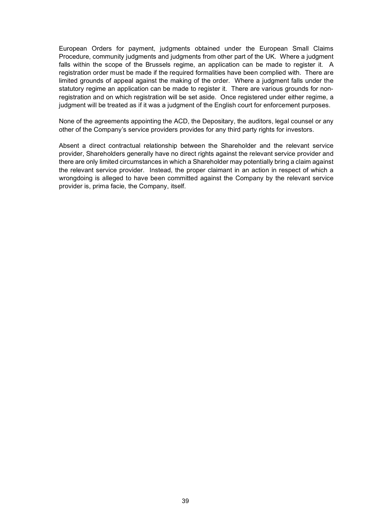European Orders for payment, judgments obtained under the European Small Claims Procedure, community judgments and judgments from other part of the UK. Where a judgment falls within the scope of the Brussels regime, an application can be made to register it. A registration order must be made if the required formalities have been complied with. There are limited grounds of appeal against the making of the order. Where a judgment falls under the statutory regime an application can be made to register it. There are various grounds for nonregistration and on which registration will be set aside. Once registered under either regime, a judgment will be treated as if it was a judgment of the English court for enforcement purposes.

None of the agreements appointing the ACD, the Depositary, the auditors, legal counsel or any other of the Company's service providers provides for any third party rights for investors.

Absent a direct contractual relationship between the Shareholder and the relevant service provider, Shareholders generally have no direct rights against the relevant service provider and there are only limited circumstances in which a Shareholder may potentially bring a claim against the relevant service provider. Instead, the proper claimant in an action in respect of which a wrongdoing is alleged to have been committed against the Company by the relevant service provider is, prima facie, the Company, itself.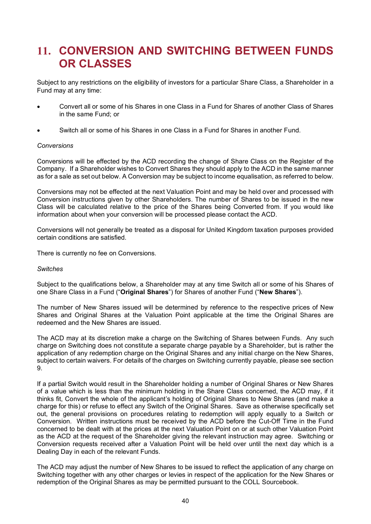# **11. CONVERSION AND SWITCHING BETWEEN FUNDS OR CLASSES**

Subject to any restrictions on the eligibility of investors for a particular Share Class, a Shareholder in a Fund may at any time:

- Convert all or some of his Shares in one Class in a Fund for Shares of another Class of Shares in the same Fund; or
- Switch all or some of his Shares in one Class in a Fund for Shares in another Fund.

#### *Conversions*

Conversions will be effected by the ACD recording the change of Share Class on the Register of the Company. If a Shareholder wishes to Convert Shares they should apply to the ACD in the same manner as for a sale as set out below. A Conversion may be subject to income equalisation, as referred to below.

Conversions may not be effected at the next Valuation Point and may be held over and processed with Conversion instructions given by other Shareholders. The number of Shares to be issued in the new Class will be calculated relative to the price of the Shares being Converted from. If you would like information about when your conversion will be processed please contact the ACD.

Conversions will not generally be treated as a disposal for United Kingdom taxation purposes provided certain conditions are satisfied.

There is currently no fee on Conversions*.*

#### *Switches*

Subject to the qualifications below, a Shareholder may at any time Switch all or some of his Shares of one Share Class in a Fund ("**Original Shares**") for Shares of another Fund ("**New Shares**").

The number of New Shares issued will be determined by reference to the respective prices of New Shares and Original Shares at the Valuation Point applicable at the time the Original Shares are redeemed and the New Shares are issued.

The ACD may at its discretion make a charge on the Switching of Shares between Funds. Any such charge on Switching does not constitute a separate charge payable by a Shareholder, but is rather the application of any redemption charge on the Original Shares and any initial charge on the New Shares, subject to certain waivers. For details of the charges on Switching currently payable, please see section 9.

If a partial Switch would result in the Shareholder holding a number of Original Shares or New Shares of a value which is less than the minimum holding in the Share Class concerned, the ACD may, if it thinks fit, Convert the whole of the applicant's holding of Original Shares to New Shares (and make a charge for this) or refuse to effect any Switch of the Original Shares. Save as otherwise specifically set out, the general provisions on procedures relating to redemption will apply equally to a Switch or Conversion. Written instructions must be received by the ACD before the Cut-Off Time in the Fund concerned to be dealt with at the prices at the next Valuation Point on or at such other Valuation Point as the ACD at the request of the Shareholder giving the relevant instruction may agree. Switching or Conversion requests received after a Valuation Point will be held over until the next day which is a Dealing Day in each of the relevant Funds.

The ACD may adjust the number of New Shares to be issued to reflect the application of any charge on Switching together with any other charges or levies in respect of the application for the New Shares or redemption of the Original Shares as may be permitted pursuant to the COLL Sourcebook.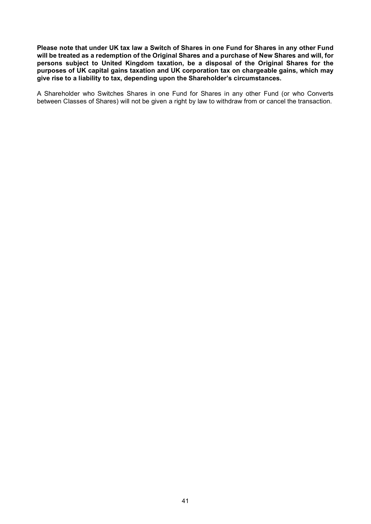**Please note that under UK tax law a Switch of Shares in one Fund for Shares in any other Fund will be treated as a redemption of the Original Shares and a purchase of New Shares and will, for persons subject to United Kingdom taxation, be a disposal of the Original Shares for the purposes of UK capital gains taxation and UK corporation tax on chargeable gains, which may give rise to a liability to tax, depending upon the Shareholder's circumstances.** 

A Shareholder who Switches Shares in one Fund for Shares in any other Fund (or who Converts between Classes of Shares) will not be given a right by law to withdraw from or cancel the transaction.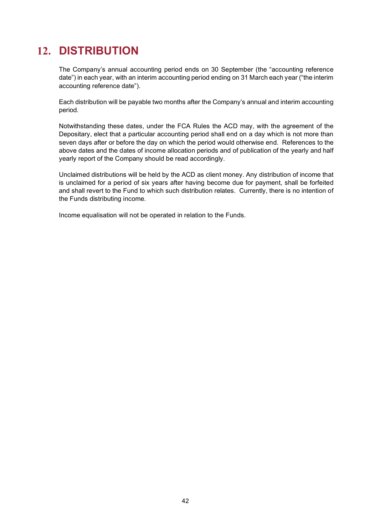# **12. DISTRIBUTION**

The Company's annual accounting period ends on 30 September (the "accounting reference date") in each year, with an interim accounting period ending on 31 March each year ("the interim accounting reference date").

Each distribution will be payable two months after the Company's annual and interim accounting period.

Notwithstanding these dates, under the FCA Rules the ACD may, with the agreement of the Depositary, elect that a particular accounting period shall end on a day which is not more than seven days after or before the day on which the period would otherwise end. References to the above dates and the dates of income allocation periods and of publication of the yearly and half yearly report of the Company should be read accordingly.

Unclaimed distributions will be held by the ACD as client money. Any distribution of income that is unclaimed for a period of six years after having become due for payment, shall be forfeited and shall revert to the Fund to which such distribution relates. Currently, there is no intention of the Funds distributing income.

Income equalisation will not be operated in relation to the Funds.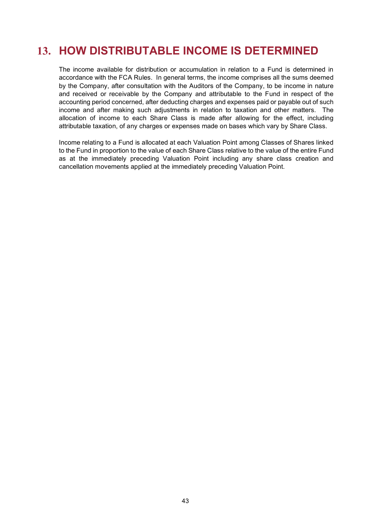# **13. HOW DISTRIBUTABLE INCOME IS DETERMINED**

The income available for distribution or accumulation in relation to a Fund is determined in accordance with the FCA Rules. In general terms, the income comprises all the sums deemed by the Company, after consultation with the Auditors of the Company, to be income in nature and received or receivable by the Company and attributable to the Fund in respect of the accounting period concerned, after deducting charges and expenses paid or payable out of such income and after making such adjustments in relation to taxation and other matters. The allocation of income to each Share Class is made after allowing for the effect, including attributable taxation, of any charges or expenses made on bases which vary by Share Class.

Income relating to a Fund is allocated at each Valuation Point among Classes of Shares linked to the Fund in proportion to the value of each Share Class relative to the value of the entire Fund as at the immediately preceding Valuation Point including any share class creation and cancellation movements applied at the immediately preceding Valuation Point.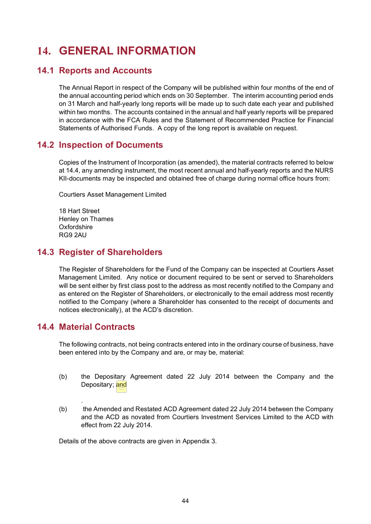# **14. GENERAL INFORMATION**

### **14.1 Reports and Accounts**

The Annual Report in respect of the Company will be published within four months of the end of the annual accounting period which ends on 30 September. The interim accounting period ends on 31 March and half-yearly long reports will be made up to such date each year and published within two months. The accounts contained in the annual and half yearly reports will be prepared in accordance with the FCA Rules and the Statement of Recommended Practice for Financial Statements of Authorised Funds. A copy of the long report is available on request.

## **14.2 Inspection of Documents**

Copies of the Instrument of Incorporation (as amended), the material contracts referred to below at 14.4, any amending instrument, the most recent annual and half-yearly reports and the NURS KII-documents may be inspected and obtained free of charge during normal office hours from:

Courtiers Asset Management Limited

18 Hart Street Henley on Thames **Oxfordshire** RG9 2AU

### **14.3 Register of Shareholders**

The Register of Shareholders for the Fund of the Company can be inspected at Courtiers Asset Management Limited. Any notice or document required to be sent or served to Shareholders will be sent either by first class post to the address as most recently notified to the Company and as entered on the Register of Shareholders, or electronically to the email address most recently notified to the Company (where a Shareholder has consented to the receipt of documents and notices electronically), at the ACD's discretion.

## **14.4 Material Contracts**

The following contracts, not being contracts entered into in the ordinary course of business, have been entered into by the Company and are, or may be, material:

- (b) the Depositary Agreement dated 22 July 2014 between the Company and the Depositary; and
- . (b) the Amended and Restated ACD Agreement dated 22 July 2014 between the Company and the ACD as novated from Courtiers Investment Services Limited to the ACD with effect from 22 July 2014.

Details of the above contracts are given in Appendix 3.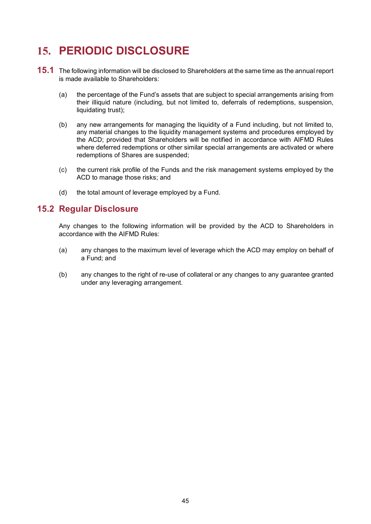# **15. PERIODIC DISCLOSURE**

- **15.1** The following information will be disclosed to Shareholders at the same time as the annual report is made available to Shareholders:
	- (a) the percentage of the Fund's assets that are subject to special arrangements arising from their illiquid nature (including, but not limited to, deferrals of redemptions, suspension, liquidating trust);
	- (b) any new arrangements for managing the liquidity of a Fund including, but not limited to, any material changes to the liquidity management systems and procedures employed by the ACD; provided that Shareholders will be notified in accordance with AIFMD Rules where deferred redemptions or other similar special arrangements are activated or where redemptions of Shares are suspended;
	- (c) the current risk profile of the Funds and the risk management systems employed by the ACD to manage those risks; and
	- (d) the total amount of leverage employed by a Fund.

### **15.2 Regular Disclosure**

Any changes to the following information will be provided by the ACD to Shareholders in accordance with the AIFMD Rules:

- (a) any changes to the maximum level of leverage which the ACD may employ on behalf of a Fund; and
- (b) any changes to the right of re-use of collateral or any changes to any guarantee granted under any leveraging arrangement.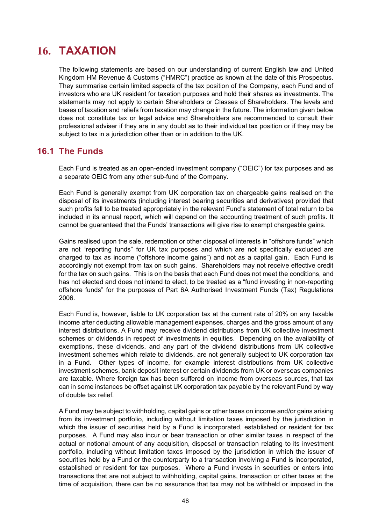# **16. TAXATION**

The following statements are based on our understanding of current English law and United Kingdom HM Revenue & Customs ("HMRC") practice as known at the date of this Prospectus. They summarise certain limited aspects of the tax position of the Company, each Fund and of investors who are UK resident for taxation purposes and hold their shares as investments. The statements may not apply to certain Shareholders or Classes of Shareholders. The levels and bases of taxation and reliefs from taxation may change in the future. The information given below does not constitute tax or legal advice and Shareholders are recommended to consult their professional adviser if they are in any doubt as to their individual tax position or if they may be subject to tax in a jurisdiction other than or in addition to the UK.

#### **16.1 The Funds**

Each Fund is treated as an open-ended investment company ("OEIC") for tax purposes and as a separate OEIC from any other sub-fund of the Company.

Each Fund is generally exempt from UK corporation tax on chargeable gains realised on the disposal of its investments (including interest bearing securities and derivatives) provided that such profits fall to be treated appropriately in the relevant Fund's statement of total return to be included in its annual report, which will depend on the accounting treatment of such profits. It cannot be guaranteed that the Funds' transactions will give rise to exempt chargeable gains.

Gains realised upon the sale, redemption or other disposal of interests in "offshore funds" which are not "reporting funds" for UK tax purposes and which are not specifically excluded are charged to tax as income ("offshore income gains") and not as a capital gain. Each Fund is accordingly not exempt from tax on such gains. Shareholders may not receive effective credit for the tax on such gains. This is on the basis that each Fund does not meet the conditions, and has not elected and does not intend to elect, to be treated as a "fund investing in non-reporting offshore funds" for the purposes of Part 6A Authorised Investment Funds (Tax) Regulations 2006.

Each Fund is, however, liable to UK corporation tax at the current rate of 20% on any taxable income after deducting allowable management expenses, charges and the gross amount of any interest distributions. A Fund may receive dividend distributions from UK collective investment schemes or dividends in respect of investments in equities. Depending on the availability of exemptions, these dividends, and any part of the dividend distributions from UK collective investment schemes which relate to dividends, are not generally subject to UK corporation tax in a Fund. Other types of income, for example interest distributions from UK collective investment schemes, bank deposit interest or certain dividends from UK or overseas companies are taxable. Where foreign tax has been suffered on income from overseas sources, that tax can in some instances be offset against UK corporation tax payable by the relevant Fund by way of double tax relief.

A Fund may be subject to withholding, capital gains or other taxes on income and/or gains arising from its investment portfolio, including without limitation taxes imposed by the jurisdiction in which the issuer of securities held by a Fund is incorporated, established or resident for tax purposes. A Fund may also incur or bear transaction or other similar taxes in respect of the actual or notional amount of any acquisition, disposal or transaction relating to its investment portfolio, including without limitation taxes imposed by the jurisdiction in which the issuer of securities held by a Fund or the counterparty to a transaction involving a Fund is incorporated, established or resident for tax purposes. Where a Fund invests in securities or enters into transactions that are not subject to withholding, capital gains, transaction or other taxes at the time of acquisition, there can be no assurance that tax may not be withheld or imposed in the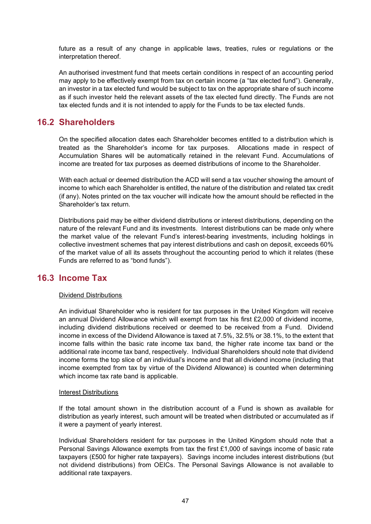future as a result of any change in applicable laws, treaties, rules or regulations or the interpretation thereof.

An authorised investment fund that meets certain conditions in respect of an accounting period may apply to be effectively exempt from tax on certain income (a "tax elected fund"). Generally, an investor in a tax elected fund would be subject to tax on the appropriate share of such income as if such investor held the relevant assets of the tax elected fund directly. The Funds are not tax elected funds and it is not intended to apply for the Funds to be tax elected funds.

#### **16.2 Shareholders**

On the specified allocation dates each Shareholder becomes entitled to a distribution which is treated as the Shareholder's income for tax purposes. Allocations made in respect of Accumulation Shares will be automatically retained in the relevant Fund. Accumulations of income are treated for tax purposes as deemed distributions of income to the Shareholder.

With each actual or deemed distribution the ACD will send a tax voucher showing the amount of income to which each Shareholder is entitled, the nature of the distribution and related tax credit (if any). Notes printed on the tax voucher will indicate how the amount should be reflected in the Shareholder's tax return.

Distributions paid may be either dividend distributions or interest distributions, depending on the nature of the relevant Fund and its investments. Interest distributions can be made only where the market value of the relevant Fund's interest-bearing investments, including holdings in collective investment schemes that pay interest distributions and cash on deposit, exceeds 60% of the market value of all its assets throughout the accounting period to which it relates (these Funds are referred to as "bond funds").

#### **16.3 Income Tax**

#### Dividend Distributions

An individual Shareholder who is resident for tax purposes in the United Kingdom will receive an annual Dividend Allowance which will exempt from tax his first £2,000 of dividend income, including dividend distributions received or deemed to be received from a Fund. Dividend income in excess of the Dividend Allowance is taxed at 7.5%, 32.5% or 38.1%, to the extent that income falls within the basic rate income tax band, the higher rate income tax band or the additional rate income tax band, respectively. Individual Shareholders should note that dividend income forms the top slice of an individual's income and that all dividend income (including that income exempted from tax by virtue of the Dividend Allowance) is counted when determining which income tax rate band is applicable.

#### Interest Distributions

If the total amount shown in the distribution account of a Fund is shown as available for distribution as yearly interest, such amount will be treated when distributed or accumulated as if it were a payment of yearly interest.

Individual Shareholders resident for tax purposes in the United Kingdom should note that a Personal Savings Allowance exempts from tax the first  $£1,000$  of savings income of basic rate taxpayers (£500 for higher rate taxpayers). Savings income includes interest distributions (but not dividend distributions) from OEICs. The Personal Savings Allowance is not available to additional rate taxpayers.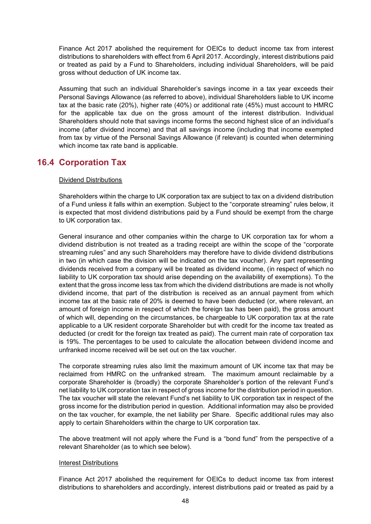Finance Act 2017 abolished the requirement for OEICs to deduct income tax from interest distributions to shareholders with effect from 6 April 2017. Accordingly, interest distributions paid or treated as paid by a Fund to Shareholders, including individual Shareholders, will be paid gross without deduction of UK income tax.

Assuming that such an individual Shareholder's savings income in a tax year exceeds their Personal Savings Allowance (as referred to above), individual Shareholders liable to UK income tax at the basic rate (20%), higher rate (40%) or additional rate (45%) must account to HMRC for the applicable tax due on the gross amount of the interest distribution. Individual Shareholders should note that savings income forms the second highest slice of an individual's income (after dividend income) and that all savings income (including that income exempted from tax by virtue of the Personal Savings Allowance (if relevant) is counted when determining which income tax rate band is applicable.

### **16.4 Corporation Tax**

#### Dividend Distributions

Shareholders within the charge to UK corporation tax are subject to tax on a dividend distribution of a Fund unless it falls within an exemption. Subject to the "corporate streaming" rules below, it is expected that most dividend distributions paid by a Fund should be exempt from the charge to UK corporation tax.

General insurance and other companies within the charge to UK corporation tax for whom a dividend distribution is not treated as a trading receipt are within the scope of the "corporate streaming rules" and any such Shareholders may therefore have to divide dividend distributions in two (in which case the division will be indicated on the tax voucher). Any part representing dividends received from a company will be treated as dividend income, (in respect of which no liability to UK corporation tax should arise depending on the availability of exemptions). To the extent that the gross income less tax from which the dividend distributions are made is not wholly dividend income, that part of the distribution is received as an annual payment from which income tax at the basic rate of 20% is deemed to have been deducted (or, where relevant, an amount of foreign income in respect of which the foreign tax has been paid), the gross amount of which will, depending on the circumstances, be chargeable to UK corporation tax at the rate applicable to a UK resident corporate Shareholder but with credit for the income tax treated as deducted (or credit for the foreign tax treated as paid). The current main rate of corporation tax is 19%. The percentages to be used to calculate the allocation between dividend income and unfranked income received will be set out on the tax voucher.

The corporate streaming rules also limit the maximum amount of UK income tax that may be reclaimed from HMRC on the unfranked stream. The maximum amount reclaimable by a corporate Shareholder is (broadly) the corporate Shareholder's portion of the relevant Fund's net liability to UK corporation tax in respect of gross income for the distribution period in question. The tax voucher will state the relevant Fund's net liability to UK corporation tax in respect of the gross income for the distribution period in question. Additional information may also be provided on the tax voucher, for example, the net liability per Share. Specific additional rules may also apply to certain Shareholders within the charge to UK corporation tax.

The above treatment will not apply where the Fund is a "bond fund" from the perspective of a relevant Shareholder (as to which see below).

#### Interest Distributions

Finance Act 2017 abolished the requirement for OEICs to deduct income tax from interest distributions to shareholders and accordingly, interest distributions paid or treated as paid by a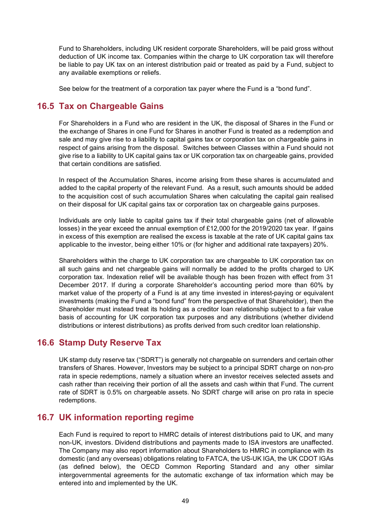Fund to Shareholders, including UK resident corporate Shareholders, will be paid gross without deduction of UK income tax. Companies within the charge to UK corporation tax will therefore be liable to pay UK tax on an interest distribution paid or treated as paid by a Fund, subject to any available exemptions or reliefs.

See below for the treatment of a corporation tax payer where the Fund is a "bond fund".

# **16.5 Tax on Chargeable Gains**

For Shareholders in a Fund who are resident in the UK, the disposal of Shares in the Fund or the exchange of Shares in one Fund for Shares in another Fund is treated as a redemption and sale and may give rise to a liability to capital gains tax or corporation tax on chargeable gains in respect of gains arising from the disposal. Switches between Classes within a Fund should not give rise to a liability to UK capital gains tax or UK corporation tax on chargeable gains, provided that certain conditions are satisfied.

In respect of the Accumulation Shares, income arising from these shares is accumulated and added to the capital property of the relevant Fund. As a result, such amounts should be added to the acquisition cost of such accumulation Shares when calculating the capital gain realised on their disposal for UK capital gains tax or corporation tax on chargeable gains purposes.

Individuals are only liable to capital gains tax if their total chargeable gains (net of allowable losses) in the year exceed the annual exemption of £12,000 for the 2019/2020 tax year. If gains in excess of this exemption are realised the excess is taxable at the rate of UK capital gains tax applicable to the investor, being either 10% or (for higher and additional rate taxpayers) 20%.

Shareholders within the charge to UK corporation tax are chargeable to UK corporation tax on all such gains and net chargeable gains will normally be added to the profits charged to UK corporation tax. Indexation relief will be available though has been frozen with effect from 31 December 2017. If during a corporate Shareholder's accounting period more than 60% by market value of the property of a Fund is at any time invested in interest-paying or equivalent investments (making the Fund a "bond fund" from the perspective of that Shareholder), then the Shareholder must instead treat its holding as a creditor loan relationship subject to a fair value basis of accounting for UK corporation tax purposes and any distributions (whether dividend distributions or interest distributions) as profits derived from such creditor loan relationship.

# **16.6 Stamp Duty Reserve Tax**

UK stamp duty reserve tax ("SDRT") is generally not chargeable on surrenders and certain other transfers of Shares. However, Investors may be subject to a principal SDRT charge on non-pro rata in specie redemptions, namely a situation where an investor receives selected assets and cash rather than receiving their portion of all the assets and cash within that Fund. The current rate of SDRT is 0.5% on chargeable assets. No SDRT charge will arise on pro rata in specie redemptions.

# **16.7 UK information reporting regime**

Each Fund is required to report to HMRC details of interest distributions paid to UK, and many non-UK, investors. Dividend distributions and payments made to ISA investors are unaffected. The Company may also report information about Shareholders to HMRC in compliance with its domestic (and any overseas) obligations relating to FATCA, the US-UK IGA, the UK CDOT IGAs (as defined below), the OECD Common Reporting Standard and any other similar intergovernmental agreements for the automatic exchange of tax information which may be entered into and implemented by the UK.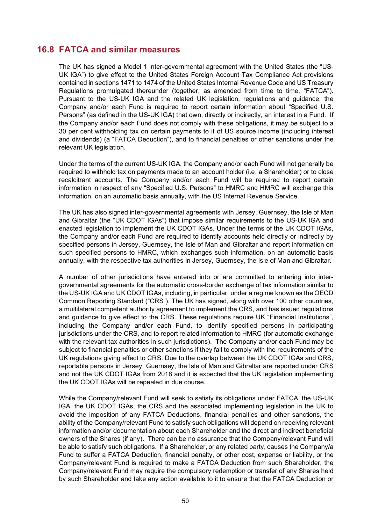#### **16.8 FATCA and similar measures**

The UK has signed a Model 1 inter-governmental agreement with the United States (the "US-UK IGA") to give effect to the United States Foreign Account Tax Compliance Act provisions contained in sections 1471 to 1474 of the United States Internal Revenue Code and US Treasury Regulations promulgated thereunder (together, as amended from time to time, "FATCA"). Pursuant to the US-UK IGA and the related UK legislation, regulations and guidance, the Company and/or each Fund is required to report certain information about "Specified U.S. Persons" (as defined in the US-UK IGA) that own, directly or indirectly, an interest in a Fund. If the Company and/or each Fund does not comply with these obligations, it may be subject to a 30 per cent withholding tax on certain payments to it of US source income (including interest and dividends) (a "FATCA Deduction"), and to financial penalties or other sanctions under the relevant UK legislation.

Under the terms of the current US-UK IGA, the Company and/or each Fund will not generally be required to withhold tax on payments made to an account holder (i.e. a Shareholder) or to close recalcitrant accounts. The Company and/or each Fund will be required to report certain information in respect of any "Specified U.S. Persons" to HMRC and HMRC will exchange this information, on an automatic basis annually, with the US Internal Revenue Service.

The UK has also signed inter-governmental agreements with Jersey, Guernsey, the Isle of Man and Gibraltar (the "UK CDOT IGAs") that impose similar requirements to the US-UK IGA and enacted legislation to implement the UK CDOT IGAs. Under the terms of the UK CDOT IGAs, the Company and/or each Fund are required to identify accounts held directly or indirectly by specified persons in Jersey, Guernsey, the Isle of Man and Gibraltar and report information on such specified persons to HMRC, which exchanges such information, on an automatic basis annually, with the respective tax authorities in Jersey, Guernsey, the Isle of Man and Gibraltar.

A number of other jurisdictions have entered into or are committed to entering into intergovernmental agreements for the automatic cross-border exchange of tax information similar to the US-UK IGA and UK CDOT IGAs, including, in particular, under a regime known as the OECD Common Reporting Standard ("CRS"). The UK has signed, along with over 100 other countries, a multilateral competent authority agreement to implement the CRS, and has issued regulations and guidance to give effect to the CRS. These regulations require UK "Financial Institutions", including the Company and/or each Fund, to identify specified persons in participating jurisdictions under the CRS, and to report related information to HMRC (for automatic exchange with the relevant tax authorities in such jurisdictions). The Company and/or each Fund may be subject to financial penalties or other sanctions if they fail to comply with the requirements of the UK regulations giving effect to CRS. Due to the overlap between the UK CDOT IGAs and CRS, reportable persons in Jersey, Guernsey, the Isle of Man and Gibraltar are reported under CRS and not the UK CDOT IGAs from 2018 and it is expected that the UK legislation implementing the UK CDOT IGAs will be repealed in due course.

While the Company/relevant Fund will seek to satisfy its obligations under FATCA, the US-UK IGA, the UK CDOT IGAs, the CRS and the associated implementing legislation in the UK to avoid the imposition of any FATCA Deductions, financial penalties and other sanctions, the ability of the Company/relevant Fund to satisfy such obligations will depend on receiving relevant information and/or documentation about each Shareholder and the direct and indirect beneficial owners of the Shares (if any). There can be no assurance that the Company/relevant Fund will be able to satisfy such obligations. If a Shareholder, or any related party, causes the Company/a Fund to suffer a FATCA Deduction, financial penalty, or other cost, expense or liability, or the Company/relevant Fund is required to make a FATCA Deduction from such Shareholder, the Company/relevant Fund may require the compulsory redemption or transfer of any Shares held by such Shareholder and take any action available to it to ensure that the FATCA Deduction or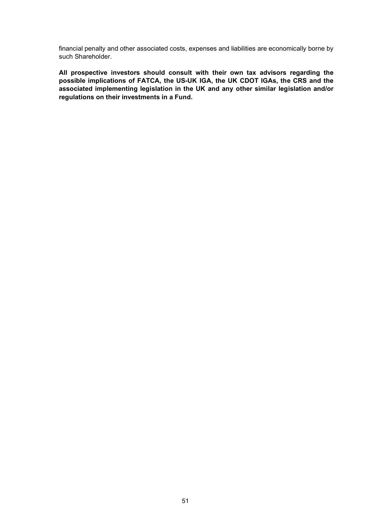financial penalty and other associated costs, expenses and liabilities are economically borne by such Shareholder.

**All prospective investors should consult with their own tax advisors regarding the possible implications of FATCA, the US-UK IGA, the UK CDOT IGAs, the CRS and the associated implementing legislation in the UK and any other similar legislation and/or regulations on their investments in a Fund.**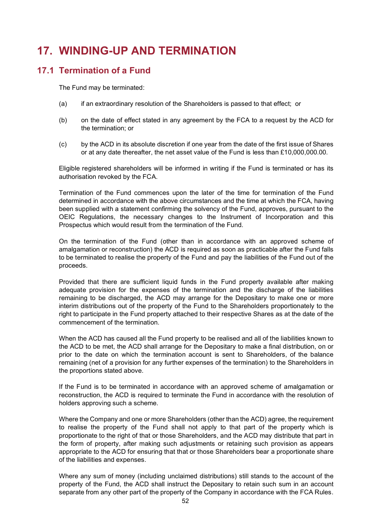# **17. WINDING-UP AND TERMINATION**

# **17.1 Termination of a Fund**

The Fund may be terminated:

- (a) if an extraordinary resolution of the Shareholders is passed to that effect; or
- (b) on the date of effect stated in any agreement by the FCA to a request by the ACD for the termination; or
- (c) by the ACD in its absolute discretion if one year from the date of the first issue of Shares or at any date thereafter, the net asset value of the Fund is less than £10,000,000.00.

Eligible registered shareholders will be informed in writing if the Fund is terminated or has its authorisation revoked by the FCA.

Termination of the Fund commences upon the later of the time for termination of the Fund determined in accordance with the above circumstances and the time at which the FCA, having been supplied with a statement confirming the solvency of the Fund, approves, pursuant to the OEIC Regulations, the necessary changes to the Instrument of Incorporation and this Prospectus which would result from the termination of the Fund.

On the termination of the Fund (other than in accordance with an approved scheme of amalgamation or reconstruction) the ACD is required as soon as practicable after the Fund falls to be terminated to realise the property of the Fund and pay the liabilities of the Fund out of the proceeds.

Provided that there are sufficient liquid funds in the Fund property available after making adequate provision for the expenses of the termination and the discharge of the liabilities remaining to be discharged, the ACD may arrange for the Depositary to make one or more interim distributions out of the property of the Fund to the Shareholders proportionately to the right to participate in the Fund property attached to their respective Shares as at the date of the commencement of the termination.

When the ACD has caused all the Fund property to be realised and all of the liabilities known to the ACD to be met, the ACD shall arrange for the Depositary to make a final distribution, on or prior to the date on which the termination account is sent to Shareholders, of the balance remaining (net of a provision for any further expenses of the termination) to the Shareholders in the proportions stated above.

If the Fund is to be terminated in accordance with an approved scheme of amalgamation or reconstruction, the ACD is required to terminate the Fund in accordance with the resolution of holders approving such a scheme.

Where the Company and one or more Shareholders (other than the ACD) agree, the requirement to realise the property of the Fund shall not apply to that part of the property which is proportionate to the right of that or those Shareholders, and the ACD may distribute that part in the form of property, after making such adjustments or retaining such provision as appears appropriate to the ACD for ensuring that that or those Shareholders bear a proportionate share of the liabilities and expenses.

Where any sum of money (including unclaimed distributions) still stands to the account of the property of the Fund, the ACD shall instruct the Depositary to retain such sum in an account separate from any other part of the property of the Company in accordance with the FCA Rules.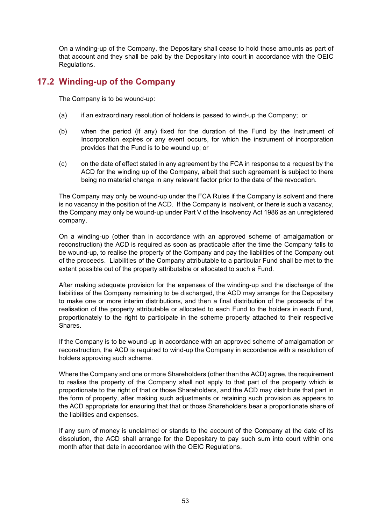On a winding-up of the Company, the Depositary shall cease to hold those amounts as part of that account and they shall be paid by the Depositary into court in accordance with the OEIC Regulations.

## **17.2 Winding-up of the Company**

The Company is to be wound-up:

- (a) if an extraordinary resolution of holders is passed to wind-up the Company; or
- (b) when the period (if any) fixed for the duration of the Fund by the Instrument of Incorporation expires or any event occurs, for which the instrument of incorporation provides that the Fund is to be wound up; or
- (c) on the date of effect stated in any agreement by the FCA in response to a request by the ACD for the winding up of the Company, albeit that such agreement is subject to there being no material change in any relevant factor prior to the date of the revocation.

The Company may only be wound-up under the FCA Rules if the Company is solvent and there is no vacancy in the position of the ACD. If the Company is insolvent, or there is such a vacancy, the Company may only be wound-up under Part V of the Insolvency Act 1986 as an unregistered company.

On a winding-up (other than in accordance with an approved scheme of amalgamation or reconstruction) the ACD is required as soon as practicable after the time the Company falls to be wound-up, to realise the property of the Company and pay the liabilities of the Company out of the proceeds. Liabilities of the Company attributable to a particular Fund shall be met to the extent possible out of the property attributable or allocated to such a Fund.

After making adequate provision for the expenses of the winding-up and the discharge of the liabilities of the Company remaining to be discharged, the ACD may arrange for the Depositary to make one or more interim distributions, and then a final distribution of the proceeds of the realisation of the property attributable or allocated to each Fund to the holders in each Fund, proportionately to the right to participate in the scheme property attached to their respective Shares.

If the Company is to be wound-up in accordance with an approved scheme of amalgamation or reconstruction, the ACD is required to wind-up the Company in accordance with a resolution of holders approving such scheme.

Where the Company and one or more Shareholders (other than the ACD) agree, the requirement to realise the property of the Company shall not apply to that part of the property which is proportionate to the right of that or those Shareholders, and the ACD may distribute that part in the form of property, after making such adjustments or retaining such provision as appears to the ACD appropriate for ensuring that that or those Shareholders bear a proportionate share of the liabilities and expenses.

If any sum of money is unclaimed or stands to the account of the Company at the date of its dissolution, the ACD shall arrange for the Depositary to pay such sum into court within one month after that date in accordance with the OEIC Regulations.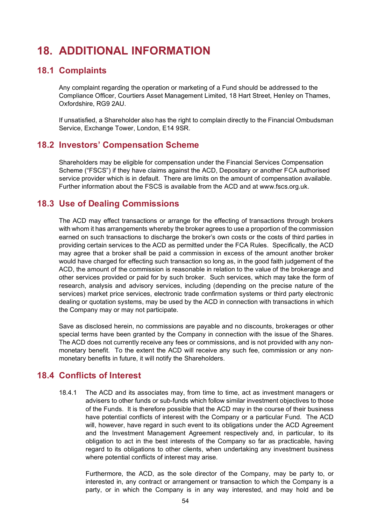# **18. ADDITIONAL INFORMATION**

#### **18.1 Complaints**

Any complaint regarding the operation or marketing of a Fund should be addressed to the Compliance Officer, Courtiers Asset Management Limited, 18 Hart Street, Henley on Thames, Oxfordshire, RG9 2AU.

If unsatisfied, a Shareholder also has the right to complain directly to the Financial Ombudsman Service, Exchange Tower, London, E14 9SR.

#### **18.2 Investors' Compensation Scheme**

Shareholders may be eligible for compensation under the Financial Services Compensation Scheme ("FSCS") if they have claims against the ACD, Depositary or another FCA authorised service provider which is in default. There are limits on the amount of compensation available. Further information about the FSCS is available from the ACD and at www.fscs.org.uk.

### **18.3 Use of Dealing Commissions**

The ACD may effect transactions or arrange for the effecting of transactions through brokers with whom it has arrangements whereby the broker agrees to use a proportion of the commission earned on such transactions to discharge the broker's own costs or the costs of third parties in providing certain services to the ACD as permitted under the FCA Rules. Specifically, the ACD may agree that a broker shall be paid a commission in excess of the amount another broker would have charged for effecting such transaction so long as, in the good faith judgement of the ACD, the amount of the commission is reasonable in relation to the value of the brokerage and other services provided or paid for by such broker. Such services, which may take the form of research, analysis and advisory services, including (depending on the precise nature of the services) market price services, electronic trade confirmation systems or third party electronic dealing or quotation systems, may be used by the ACD in connection with transactions in which the Company may or may not participate.

Save as disclosed herein, no commissions are payable and no discounts, brokerages or other special terms have been granted by the Company in connection with the issue of the Shares. The ACD does not currently receive any fees or commissions, and is not provided with any nonmonetary benefit. To the extent the ACD will receive any such fee, commission or any nonmonetary benefits in future, it will notify the Shareholders.

### **18.4 Conflicts of Interest**

18.4.1 The ACD and its associates may, from time to time, act as investment managers or advisers to other funds or sub-funds which follow similar investment objectives to those of the Funds. It is therefore possible that the ACD may in the course of their business have potential conflicts of interest with the Company or a particular Fund. The ACD will, however, have regard in such event to its obligations under the ACD Agreement and the Investment Management Agreement respectively and, in particular, to its obligation to act in the best interests of the Company so far as practicable, having regard to its obligations to other clients, when undertaking any investment business where potential conflicts of interest may arise.

 Furthermore, the ACD, as the sole director of the Company, may be party to, or interested in, any contract or arrangement or transaction to which the Company is a party, or in which the Company is in any way interested, and may hold and be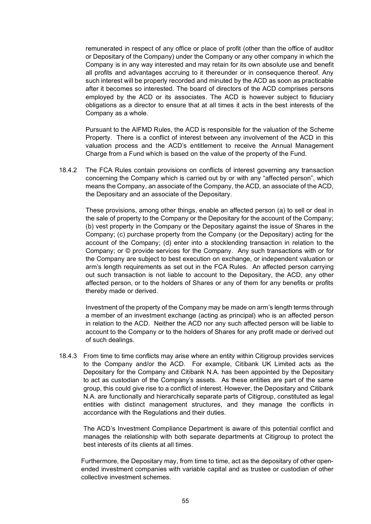remunerated in respect of any office or place of profit (other than the office of auditor or Depositary of the Company) under the Company or any other company in which the Company is in any way interested and may retain for its own absolute use and benefit all profits and advantages accruing to it thereunder or in consequence thereof. Any such interest will be properly recorded and minuted by the ACD as soon as practicable after it becomes so interested. The board of directors of the ACD comprises persons employed by the ACD or its associates. The ACD is however subject to fiduciary obligations as a director to ensure that at all times it acts in the best interests of the Company as a whole.

Pursuant to the AIFMD Rules, the ACD is responsible for the valuation of the Scheme Property. There is a conflict of interest between any involvement of the ACD in this valuation process and the ACD's entitlement to receive the Annual Management Charge from a Fund which is based on the value of the property of the Fund.

18.4.2 The FCA Rules contain provisions on conflicts of interest governing any transaction concerning the Company which is carried out by or with any "affected person", which means the Company, an associate of the Company, the ACD, an associate of the ACD, the Depositary and an associate of the Depositary.

These provisions, among other things, enable an affected person (a) to sell or deal in the sale of property to the Company or the Depositary for the account of the Company; (b) vest property in the Company or the Depositary against the issue of Shares in the Company; (c) purchase property from the Company (or the Depositary) acting for the account of the Company; (d) enter into a stocklending transaction in relation to the Company; or © provide services for the Company. Any such transactions with or for the Company are subject to best execution on exchange, or independent valuation or arm's length requirements as set out in the FCA Rules. An affected person carrying out such transaction is not liable to account to the Depositary, the ACD, any other affected person, or to the holders of Shares or any of them for any benefits or profits thereby made or derived.

Investment of the property of the Company may be made on arm's length terms through a member of an investment exchange (acting as principal) who is an affected person in relation to the ACD. Neither the ACD nor any such affected person will be liable to account to the Company or to the holders of Shares for any profit made or derived out of such dealings.

18.4.3 From time to time conflicts may arise where an entity within Citigroup provides services to the Company and/or the ACD. For example, Citibank UK Limited acts as the Depositary for the Company and Citibank N.A. has been appointed by the Depositary to act as custodian of the Company's assets. As these entities are part of the same group, this could give rise to a conflict of interest. However, the Depositary and Citibank N.A. are functionally and hierarchically separate parts of Citigroup, constituted as legal entities with distinct management structures, and they manage the conflicts in accordance with the Regulations and their duties.

The ACD's Investment Compliance Department is aware of this potential conflict and manages the relationship with both separate departments at Citigroup to protect the best interests of its clients at all times.

Furthermore, the Depositary may, from time to time, act as the depositary of other openended investment companies with variable capital and as trustee or custodian of other collective investment schemes.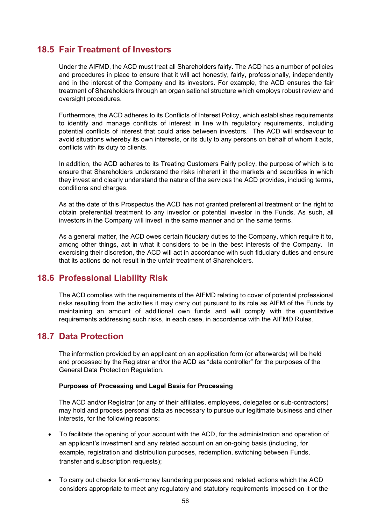## **18.5 Fair Treatment of Investors**

Under the AIFMD, the ACD must treat all Shareholders fairly. The ACD has a number of policies and procedures in place to ensure that it will act honestly, fairly, professionally, independently and in the interest of the Company and its investors. For example, the ACD ensures the fair treatment of Shareholders through an organisational structure which employs robust review and oversight procedures.

Furthermore, the ACD adheres to its Conflicts of Interest Policy, which establishes requirements to identify and manage conflicts of interest in line with regulatory requirements, including potential conflicts of interest that could arise between investors. The ACD will endeavour to avoid situations whereby its own interests, or its duty to any persons on behalf of whom it acts, conflicts with its duty to clients.

In addition, the ACD adheres to its Treating Customers Fairly policy, the purpose of which is to ensure that Shareholders understand the risks inherent in the markets and securities in which they invest and clearly understand the nature of the services the ACD provides, including terms, conditions and charges.

As at the date of this Prospectus the ACD has not granted preferential treatment or the right to obtain preferential treatment to any investor or potential investor in the Funds. As such, all investors in the Company will invest in the same manner and on the same terms.

As a general matter, the ACD owes certain fiduciary duties to the Company, which require it to, among other things, act in what it considers to be in the best interests of the Company. In exercising their discretion, the ACD will act in accordance with such fiduciary duties and ensure that its actions do not result in the unfair treatment of Shareholders.

### **18.6 Professional Liability Risk**

The ACD complies with the requirements of the AIFMD relating to cover of potential professional risks resulting from the activities it may carry out pursuant to its role as AIFM of the Funds by maintaining an amount of additional own funds and will comply with the quantitative requirements addressing such risks, in each case, in accordance with the AIFMD Rules.

#### **18.7 Data Protection**

The information provided by an applicant on an application form (or afterwards) will be held and processed by the Registrar and/or the ACD as "data controller" for the purposes of the General Data Protection Regulation.

#### **Purposes of Processing and Legal Basis for Processing**

The ACD and/or Registrar (or any of their affiliates, employees, delegates or sub-contractors) may hold and process personal data as necessary to pursue our legitimate business and other interests, for the following reasons:

- To facilitate the opening of your account with the ACD, for the administration and operation of an applicant's investment and any related account on an on-going basis (including, for example, registration and distribution purposes, redemption, switching between Funds, transfer and subscription requests);
- To carry out checks for anti-money laundering purposes and related actions which the ACD considers appropriate to meet any regulatory and statutory requirements imposed on it or the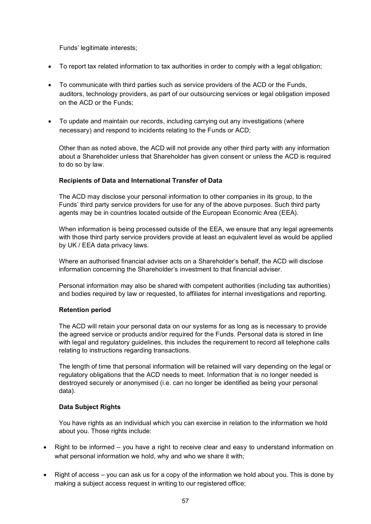Funds' legitimate interests;

- To report tax related information to tax authorities in order to comply with a legal obligation;
- To communicate with third parties such as service providers of the ACD or the Funds, auditors, technology providers, as part of our outsourcing services or legal obligation imposed on the ACD or the Funds;
- To update and maintain our records, including carrying out any investigations (where necessary) and respond to incidents relating to the Funds or ACD;

Other than as noted above, the ACD will not provide any other third party with any information about a Shareholder unless that Shareholder has given consent or unless the ACD is required to do so by law.

#### **Recipients of Data and International Transfer of Data**

The ACD may disclose your personal information to other companies in its group, to the Funds' third party service providers for use for any of the above purposes. Such third party agents may be in countries located outside of the European Economic Area (EEA).

When information is being processed outside of the EEA, we ensure that any legal agreements with those third party service providers provide at least an equivalent level as would be applied by UK / EEA data privacy laws.

Where an authorised financial adviser acts on a Shareholder's behalf, the ACD will disclose information concerning the Shareholder's investment to that financial adviser.

Personal information may also be shared with competent authorities (including tax authorities) and bodies required by law or requested, to affiliates for internal investigations and reporting.

#### **Retention period**

The ACD will retain your personal data on our systems for as long as is necessary to provide the agreed service or products and/or required for the Funds. Personal data is stored in line with legal and regulatory guidelines, this includes the requirement to record all telephone calls relating to instructions regarding transactions.

The length of time that personal information will be retained will vary depending on the legal or regulatory obligations that the ACD needs to meet. Information that is no longer needed is destroyed securely or anonymised (i.e. can no longer be identified as being your personal data).

#### **Data Subject Rights**

You have rights as an individual which you can exercise in relation to the information we hold about you. Those rights include:

- Right to be informed you have a right to receive clear and easy to understand information on what personal information we hold, why and who we share it with;
- Right of access you can ask us for a copy of the information we hold about you. This is done by making a subject access request in writing to our registered office;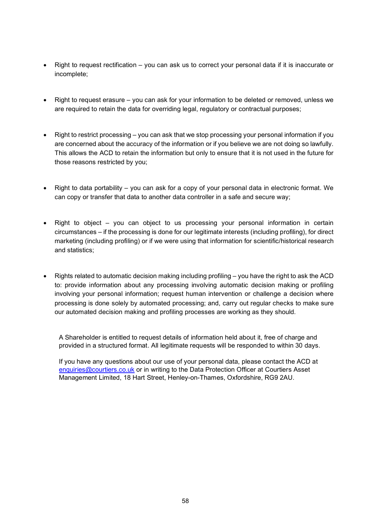- Right to request rectification you can ask us to correct your personal data if it is inaccurate or incomplete;
- Right to request erasure you can ask for your information to be deleted or removed, unless we are required to retain the data for overriding legal, regulatory or contractual purposes;
- Right to restrict processing you can ask that we stop processing your personal information if you are concerned about the accuracy of the information or if you believe we are not doing so lawfully. This allows the ACD to retain the information but only to ensure that it is not used in the future for those reasons restricted by you;
- Right to data portability you can ask for a copy of your personal data in electronic format. We can copy or transfer that data to another data controller in a safe and secure way;
- Right to object you can object to us processing your personal information in certain circumstances – if the processing is done for our legitimate interests (including profiling), for direct marketing (including profiling) or if we were using that information for scientific/historical research and statistics;
- Rights related to automatic decision making including profiling you have the right to ask the ACD to: provide information about any processing involving automatic decision making or profiling involving your personal information; request human intervention or challenge a decision where processing is done solely by automated processing; and, carry out regular checks to make sure our automated decision making and profiling processes are working as they should.

A Shareholder is entitled to request details of information held about it, free of charge and provided in a structured format. All legitimate requests will be responded to within 30 days.

If you have any questions about our use of your personal data, please contact the ACD at [enquiries@courtiers.co.uk](mailto:enquiries@courtiers.co.uk) or in writing to the Data Protection Officer at Courtiers Asset Management Limited, 18 Hart Street, Henley-on-Thames, Oxfordshire, RG9 2AU.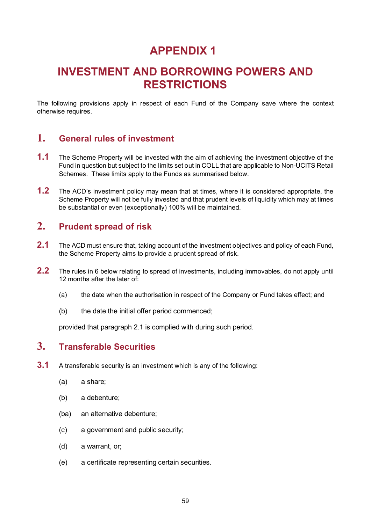# **APPENDIX 1**

# **INVESTMENT AND BORROWING POWERS AND RESTRICTIONS**

The following provisions apply in respect of each Fund of the Company save where the context otherwise requires.

# **1. General rules of investment**

- **1.1** The Scheme Property will be invested with the aim of achieving the investment objective of the Fund in question but subject to the limits set out in COLL that are applicable to Non-UCITS Retail Schemes. These limits apply to the Funds as summarised below.
- **1.2** The ACD's investment policy may mean that at times, where it is considered appropriate, the Scheme Property will not be fully invested and that prudent levels of liquidity which may at times be substantial or even (exceptionally) 100% will be maintained.

# **2. Prudent spread of risk**

- **2.1** The ACD must ensure that, taking account of the investment objectives and policy of each Fund, the Scheme Property aims to provide a prudent spread of risk.
- **2.2** The rules in 6 below relating to spread of investments, including immovables, do not apply until 12 months after the later of:
	- (a) the date when the authorisation in respect of the Company or Fund takes effect; and
	- (b) the date the initial offer period commenced;

provided that paragraph 2.1 is complied with during such period.

# **3. Transferable Securities**

- **3.1** A transferable security is an investment which is any of the following:
	- (a) a share;
	- (b) a debenture;
	- (ba) an alternative debenture;
	- (c) a government and public security;
	- (d) a warrant, or;
	- (e) a certificate representing certain securities.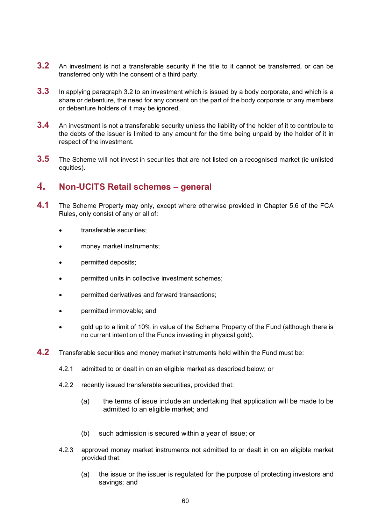- **3.2** An investment is not a transferable security if the title to it cannot be transferred, or can be transferred only with the consent of a third party.
- **3.3** In applying paragraph 3.2 to an investment which is issued by a body corporate, and which is a share or debenture, the need for any consent on the part of the body corporate or any members or debenture holders of it may be ignored.
- **3.4** An investment is not a transferable security unless the liability of the holder of it to contribute to the debts of the issuer is limited to any amount for the time being unpaid by the holder of it in respect of the investment.
- **3.5** The Scheme will not invest in securities that are not listed on a recognised market (ie unlisted equities).

### **4. Non-UCITS Retail schemes – general**

- **4.1** The Scheme Property may only, except where otherwise provided in Chapter 5.6 of the FCA Rules, only consist of any or all of:
	- transferable securities;
	- money market instruments;
	- permitted deposits;
	- permitted units in collective investment schemes;
	- permitted derivatives and forward transactions;
	- permitted immovable; and
	- gold up to a limit of 10% in value of the Scheme Property of the Fund (although there is no current intention of the Funds investing in physical gold).
- <span id="page-59-0"></span>**4.2** Transferable securities and money market instruments held within the Fund must be:
	- 4.2.1 admitted to or dealt in on an eligible market as described below; or
	- 4.2.2 recently issued transferable securities, provided that:
		- (a) the terms of issue include an undertaking that application will be made to be admitted to an eligible market; and
		- (b) such admission is secured within a year of issue; or
	- 4.2.3 approved money market instruments not admitted to or dealt in on an eligible market provided that:
		- (a) the issue or the issuer is regulated for the purpose of protecting investors and savings; and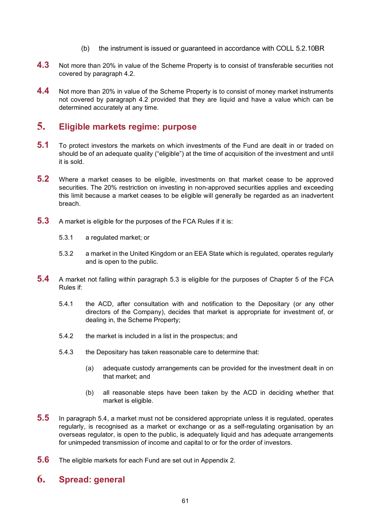- (b) the instrument is issued or guaranteed in accordance with COLL 5.2.10BR
- **4.3** Not more than 20% in value of the Scheme Property is to consist of transferable securities not covered by paragraph [4.2.](#page-59-0)
- **4.4** Not more than 20% in value of the Scheme Property is to consist of money market instruments not covered by paragraph [4.2](#page-59-0) provided that they are liquid and have a value which can be determined accurately at any time.

# **5. Eligible markets regime: purpose**

- **5.1** To protect investors the markets on which investments of the Fund are dealt in or traded on should be of an adequate quality ("eligible") at the time of acquisition of the investment and until it is sold.
- **5.2** Where a market ceases to be eligible, investments on that market cease to be approved securities. The 20% restriction on investing in non-approved securities applies and exceeding this limit because a market ceases to be eligible will generally be regarded as an inadvertent breach.
- **5.3** A market is eligible for the purposes of the FCA Rules if it is:
	- 5.3.1 a regulated market; or
	- 5.3.2 a market in the United Kingdom or an EEA State which is regulated, operates regularly and is open to the public.
- <span id="page-60-0"></span>**5.4** A market not falling within paragraph 5.3 is eligible for the purposes of Chapter 5 of the FCA Rules if:
	- 5.4.1 the ACD, after consultation with and notification to the Depositary (or any other directors of the Company), decides that market is appropriate for investment of, or dealing in, the Scheme Property;
	- 5.4.2 the market is included in a list in the prospectus; and
	- 5.4.3 the Depositary has taken reasonable care to determine that:
		- (a) adequate custody arrangements can be provided for the investment dealt in on that market; and
		- (b) all reasonable steps have been taken by the ACD in deciding whether that market is eligible.
- **5.5** In paragraph [5.4,](#page-60-0) a market must not be considered appropriate unless it is regulated, operates regularly, is recognised as a market or exchange or as a self-regulating organisation by an overseas regulator, is open to the public, is adequately liquid and has adequate arrangements for unimpeded transmission of income and capital to or for the order of investors.
- **5.6** The eligible markets for each Fund are set out in Appendix 2.

# **6. Spread: general**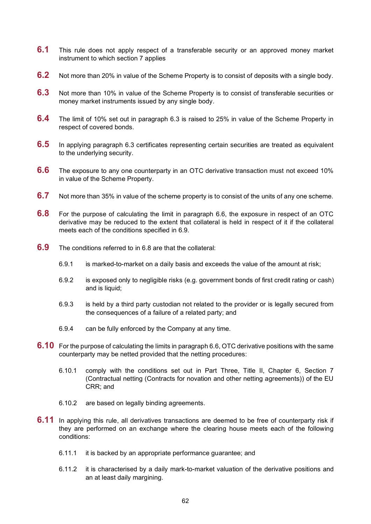- **6.1** This rule does not apply respect of a transferable security or an approved money market instrument to which section 7 applies
- **6.2** Not more than 20% in value of the Scheme Property is to consist of deposits with a single body.
- **6.3** Not more than 10% in value of the Scheme Property is to consist of transferable securities or money market instruments issued by any single body.
- **6.4** The limit of 10% set out in paragraph 6.3 is raised to 25% in value of the Scheme Property in respect of covered bonds.
- **6.5** In applying paragraph 6.3 certificates representing certain securities are treated as equivalent to the underlying security.
- **6.6** The exposure to any one counterparty in an OTC derivative transaction must not exceed 10% in value of the Scheme Property.
- **6.7** Not more than 35% in value of the scheme property is to consist of the units of any one scheme.
- **6.8** For the purpose of calculating the limit in paragraph 6.6, the exposure in respect of an OTC derivative may be reduced to the extent that collateral is held in respect of it if the collateral meets each of the conditions specified in 6.9.
- **6.9** The conditions referred to in 6.8 are that the collateral:
	- 6.9.1 is marked-to-market on a daily basis and exceeds the value of the amount at risk;
	- 6.9.2 is exposed only to negligible risks (e.g. government bonds of first credit rating or cash) and is liquid;
	- 6.9.3 is held by a third party custodian not related to the provider or is legally secured from the consequences of a failure of a related party; and
	- 6.9.4 can be fully enforced by the Company at any time.
- **6.10** For the purpose of calculating the limits in paragraph 6.6, OTC derivative positions with the same counterparty may be netted provided that the netting procedures:
	- 6.10.1 comply with the conditions set out in Part Three, Title II, Chapter 6, Section 7 (Contractual netting (Contracts for novation and other netting agreements)) of the EU CRR; and
	- 6.10.2 are based on legally binding agreements.
- **6.11** In applying this rule, all derivatives transactions are deemed to be free of counterparty risk if they are performed on an exchange where the clearing house meets each of the following conditions:
	- 6.11.1 it is backed by an appropriate performance guarantee; and
	- 6.11.2 it is characterised by a daily mark-to-market valuation of the derivative positions and an at least daily margining.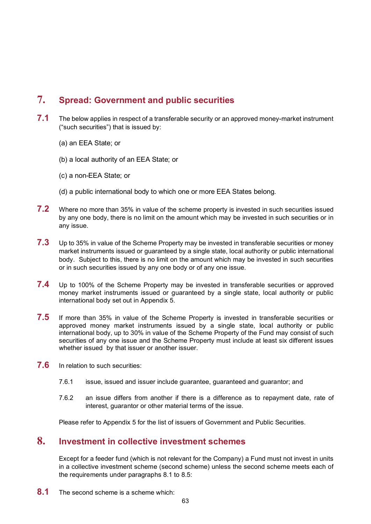# **7. Spread: Government and public securities**

- **7.1** The below applies in respect of a transferable security or an approved money-market instrument ("such securities") that is issued by:
	- (a) an EEA State; or
	- (b) a local authority of an EEA State; or
	- (c) a non-EEA State; or
	- (d) a public international body to which one or more EEA States belong.
- **7.2** Where no more than 35% in value of the scheme property is invested in such securities issued by any one body, there is no limit on the amount which may be invested in such securities or in any issue.
- **7.3** Up to 35% in value of the Scheme Property may be invested in transferable securities or money market instruments issued or guaranteed by a single state, local authority or public international body. Subject to this, there is no limit on the amount which may be invested in such securities or in such securities issued by any one body or of any one issue.
- **7.4** Up to 100% of the Scheme Property may be invested in transferable securities or approved money market instruments issued or guaranteed by a single state, local authority or public international body set out in Appendix 5.
- **7.5** If more than 35% in value of the Scheme Property is invested in transferable securities or approved money market instruments issued by a single state, local authority or public international body, up to 30% in value of the Scheme Property of the Fund may consist of such securities of any one issue and the Scheme Property must include at least six different issues whether issued by that issuer or another issuer.
- **7.6** In relation to such securities:
	- 7.6.1 issue, issued and issuer include guarantee, guaranteed and guarantor; and
	- 7.6.2 an issue differs from another if there is a difference as to repayment date, rate of interest, guarantor or other material terms of the issue.

Please refer to Appendix 5 for the list of issuers of Government and Public Securities.

## **8. Investment in collective investment schemes**

Except for a feeder fund (which is not relevant for the Company) a Fund must not invest in units in a collective investment scheme (second scheme) unless the second scheme meets each of the requirements under paragraphs 8.1 to 8.5:

**8.1** The second scheme is a scheme which: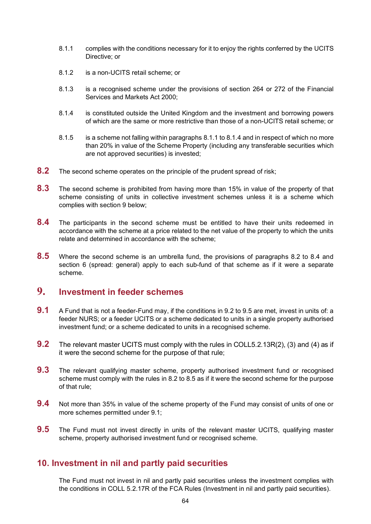- 8.1.1 complies with the conditions necessary for it to enjoy the rights conferred by the UCITS Directive; or
- 8.1.2 is a non-UCITS retail scheme; or
- 8.1.3 is a recognised scheme under the provisions of section 264 or 272 of the Financial Services and Markets Act 2000;
- 8.1.4 is constituted outside the United Kingdom and the investment and borrowing powers of which are the same or more restrictive than those of a non-UCITS retail scheme; or
- 8.1.5 is a scheme not falling within paragraphs 8.1.1 to 8.1.4 and in respect of which no more than 20% in value of the Scheme Property (including any transferable securities which are not approved securities) is invested;
- <span id="page-63-0"></span>**8.2** The second scheme operates on the principle of the prudent spread of risk;
- **8.3** The second [scheme](http://fsahandbook.info/FSA/glossary-html/handbook/Glossary/S?definition=G1043) is prohibited from having more than 15% in value of the property of that [scheme](http://fsahandbook.info/FSA/glossary-html/handbook/Glossary/S?definition=G1043) consisting of [units](http://fsahandbook.info/FSA/glossary-html/handbook/Glossary/U?definition=G1230) in collective investment schemes unless it is a scheme which complies with section 9 below;
- **8.4** The participants in the second scheme must be entitled to have their units redeemed in accordance with the scheme at a price related to the net value of the property to which the units relate and determined in accordance with the scheme;
- **8.5** Where the second scheme is an umbrella fund, the provisions of paragraphs [8.2](#page-63-0) to 8.4 and section 6 (spread: general) apply to each sub-fund of that scheme as if it were a separate scheme.

# **9. Investment in feeder schemes**

- **9.1** A Fund that is not a feeder-Fund may, if the conditions in 9.2 to 9.5 are met, invest in units of: a feeder NURS; or a feeder UCITS or a scheme dedicated to units in a single property authorised investment fund; or a scheme dedicated to units in a recognised scheme.
- **9.2** The relevant master UCITS must comply with the rules in COLL5.2.13R(2), (3) and (4) as if it were the second scheme for the purpose of that rule;
- **9.3** The relevant qualifying master scheme, property authorised investment fund or recognised scheme must comply with the rules in 8.2 to 8.5 as if it were the second scheme for the purpose of that rule;
- **9.4** Not more than 35% in value of the scheme property of the Fund may consist of units of one or more schemes permitted under 9.1;
- **9.5** The Fund must not invest directly in units of the relevant master UCITS, qualifying master scheme, property authorised investment fund or recognised scheme.

### **10. Investment in nil and partly paid securities**

The Fund must not invest in nil and partly paid securities unless the investment complies with the conditions in COLL 5.2.17R of the FCA Rules (Investment in nil and partly paid securities).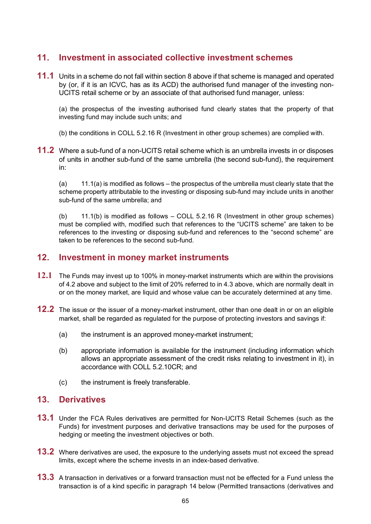## **11. Investment in associated collective investment schemes**

**11.1** Units in a scheme do not fall within section 8 above if that scheme is managed and operated by (or, if it is an ICVC, has as its ACD) the authorised fund manager of the investing non-UCITS retail scheme or by an associate of that authorised fund manager, unless:

(a) the prospectus of the investing authorised fund clearly states that the property of that investing fund may include such units; and

(b) the conditions in COLL 5.2.16 R (Investment in other group schemes) are complied with.

**11.2** Where a sub-fund of a non-UCITS retail scheme which is an umbrella invests in or disposes of units in another sub-fund of the same umbrella (the second sub-fund), the requirement in:

(a) 11.1(a) is modified as follows – the prospectus of the umbrella must clearly state that the scheme property attributable to the investing or disposing sub-fund may include units in another sub-fund of the same umbrella; and

(b) 11.1(b) is modified as follows – COLL 5.2.16 R (Investment in other group schemes) must be complied with, modified such that references to the "UCITS scheme" are taken to be references to the investing or disposing sub-fund and references to the "second scheme" are taken to be references to the second sub-fund.

### **12. Investment in money market instruments**

- **12.1** The Funds may invest up to 100% in money-market instruments which are within the provisions of 4.2 above and subject to the limit of 20% referred to in 4.3 above, which are normally dealt in or on the money market, are liquid and whose value can be accurately determined at any time.
- **12.2** The issue or the issuer of a money-market instrument, other than one dealt in or on an eligible market, shall be regarded as regulated for the purpose of protecting investors and savings if:
	- (a) the instrument is an approved money-market instrument;
	- (b) appropriate information is available for the instrument (including information which allows an appropriate assessment of the credit risks relating to investment in it), in accordance with COLL 5.2.10CR; and
	- (c) the instrument is freely transferable.

# **13. Derivatives**

- **13.1** Under the FCA Rules derivatives are permitted for Non-UCITS Retail Schemes (such as the Funds) for investment purposes and derivative transactions may be used for the purposes of hedging or meeting the investment objectives or both.
- **13.2** Where derivatives are used, the exposure to the underlying assets must not exceed the spread limits, except where the scheme invests in an index-based derivative.
- **13.3** A transaction in derivatives or a forward transaction must not be effected for a Fund unless the transaction is of a kind specific in paragraph 14 below (Permitted transactions (derivatives and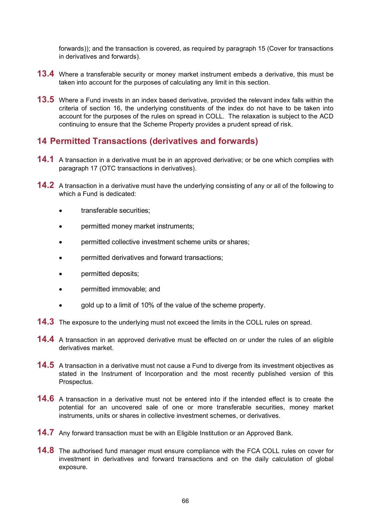forwards)); and the transaction is covered, as required by paragraph 15 (Cover for transactions in derivatives and forwards).

- **13.4** Where a transferable security or money market instrument embeds a derivative, this must be taken into account for the purposes of calculating any limit in this section.
- **13.5** Where a Fund invests in an index based derivative, provided the relevant index falls within the criteria of section 16, the underlying constituents of the index do not have to be taken into account for the purposes of the rules on spread in COLL. The relaxation is subject to the ACD continuing to ensure that the Scheme Property provides a prudent spread of risk.

### **14 Permitted Transactions (derivatives and forwards)**

- **14.1** A transaction in a derivative must be in an approved derivative; or be one which complies with paragraph 17 (OTC transactions in derivatives).
- **14.2** A transaction in a derivative must have the underlying consisting of any or all of the following to which a Fund is dedicated:
	- transferable securities;
	- permitted money market instruments;
	- permitted collective investment scheme units or shares;
	- permitted derivatives and forward transactions;
	- **permitted deposits;**
	- permitted immovable; and
	- gold up to a limit of 10% of the value of the scheme property.
- **14.3** The exposure to the underlying must not exceed the limits in the COLL rules on spread.
- **14.4** A transaction in an approved derivative must be effected on or under the rules of an eligible derivatives market.
- **14.5** A transaction in a derivative must not cause a Fund to diverge from its investment objectives as stated in the Instrument of Incorporation and the most recently published version of this Prospectus.
- **14.6** A transaction in a derivative must not be entered into if the intended effect is to create the potential for an uncovered sale of one or more transferable securities, money market instruments, units or shares in collective investment schemes, or derivatives.
- **14.7** Any forward transaction must be with an Eligible Institution or an Approved Bank.
- **14.8** The authorised fund manager must ensure compliance with the FCA COLL rules on cover for investment in derivatives and forward transactions and on the daily calculation of global exposure.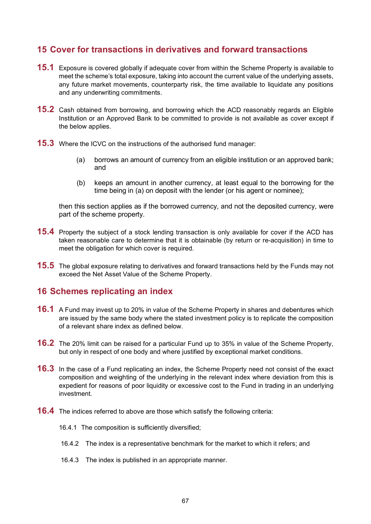# **15 Cover for transactions in derivatives and forward transactions**

- **15.1** Exposure is covered globally if adequate cover from within the Scheme Property is available to meet the scheme's total exposure, taking into account the current value of the underlying assets, any future market movements, counterparty risk, the time available to liquidate any positions and any underwriting commitments.
- **15.2** Cash obtained from borrowing, and borrowing which the ACD reasonably regards an Eligible Institution or an Approved Bank to be committed to provide is not available as cover except if the below applies.
- **15.3** Where the ICVC on the instructions of the authorised fund manager:
	- (a) borrows an amount of currency from an eligible institution or an approved bank; and
	- (b) keeps an amount in another currency, at least equal to the borrowing for the time being in (a) on deposit with the lender (or his agent or nominee);

then this section applies as if the borrowed currency, and not the deposited currency, were part of the scheme property.

- **15.4** Property the subject of a stock lending transaction is only available for cover if the ACD has taken reasonable care to determine that it is obtainable (by return or re-acquisition) in time to meet the obligation for which cover is required.
- **15.5** The global exposure relating to derivatives and forward transactions held by the Funds may not exceed the Net Asset Value of the Scheme Property.

### **16 Schemes replicating an index**

- **16.1** A Fund may invest up to 20% in value of the Scheme Property in shares and debentures which are issued by the same body where the stated investment policy is to replicate the composition of a relevant share index as defined below.
- **16.2** The 20% limit can be raised for a particular Fund up to 35% in value of the Scheme Property, but only in respect of one body and where justified by exceptional market conditions.
- **16.3** In the case of a Fund replicating an index, the Scheme Property need not consist of the exact composition and weighting of the underlying in the relevant index where deviation from this is expedient for reasons of poor liquidity or excessive cost to the Fund in trading in an underlying investment.
- **16.4** The indices referred to above are those which satisfy the following criteria:
	- 16.4.1 The composition is sufficiently diversified;
	- 16.4.2 The index is a representative benchmark for the market to which it refers; and
	- 16.4.3 The index is published in an appropriate manner.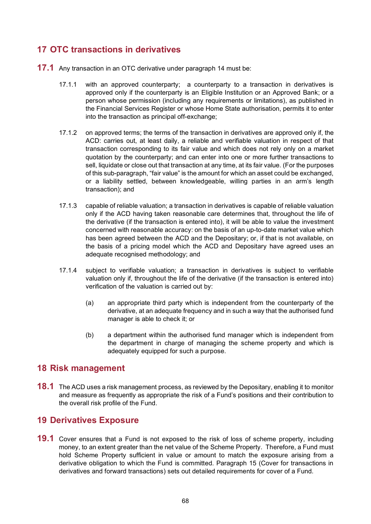# **17 OTC transactions in derivatives**

- **17.1** Any transaction in an OTC derivative under paragraph 14 must be:
	- 17.1.1 with an approved counterparty; a counterparty to a transaction in derivatives is approved only if the counterparty is an Eligible Institution or an Approved Bank; or a person whose permission (including any requirements or limitations), as published in the Financial Services Register or whose Home State authorisation, permits it to enter into the transaction as principal off-exchange;
	- 17.1.2 on approved terms; the terms of the transaction in derivatives are approved only if, the ACD: carries out, at least daily, a reliable and verifiable valuation in respect of that transaction corresponding to its fair value and which does not rely only on a market quotation by the counterparty; and can enter into one or more further transactions to sell, liquidate or close out that transaction at any time, at its fair value. (For the purposes of this sub-paragraph, "fair value" is the amount for which an asset could be exchanged, or a liability settled, between knowledgeable, willing parties in an arm's length transaction); and
	- 17.1.3 capable of reliable valuation; a transaction in derivatives is capable of reliable valuation only if the ACD having taken reasonable care determines that, throughout the life of the derivative (if the transaction is entered into), it will be able to value the investment concerned with reasonable accuracy: on the basis of an up-to-date market value which has been agreed between the ACD and the Depositary; or, if that is not available, on the basis of a pricing model which the ACD and Depositary have agreed uses an adequate recognised methodology; and
	- 17.1.4 subject to verifiable valuation; a transaction in derivatives is subject to verifiable valuation only if, throughout the life of the derivative (if the transaction is entered into) verification of the valuation is carried out by:
		- (a) an appropriate third party which is independent from the counterparty of the derivative, at an adequate frequency and in such a way that the authorised fund manager is able to check it; or
		- (b) a department within the authorised fund manager which is independent from the department in charge of managing the scheme property and which is adequately equipped for such a purpose.

### **18 Risk management**

**18.1** The ACD uses a risk management process, as reviewed by the Depositary, enabling it to monitor and measure as frequently as appropriate the risk of a Fund's positions and their contribution to the overall risk profile of the Fund.

#### **19 Derivatives Exposure**

**19.1** Cover ensures that a Fund is not exposed to the risk of loss of scheme property, including money, to an extent greater than the net value of the Scheme Property. Therefore, a Fund must hold Scheme Property sufficient in value or amount to match the exposure arising from a derivative obligation to which the Fund is committed. Paragraph 15 (Cover for transactions in derivatives and forward transactions) sets out detailed requirements for cover of a Fund.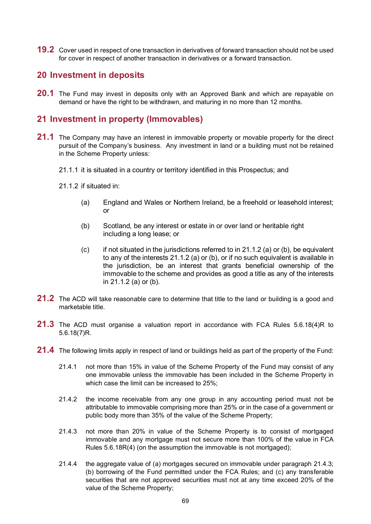**19.2** Cover used in respect of one transaction in derivatives of forward transaction should not be used for cover in respect of another transaction in derivatives or a forward transaction.

#### **20 Investment in deposits**

**20.1** The Fund may invest in deposits only with an Approved Bank and which are repayable on demand or have the right to be withdrawn, and maturing in no more than 12 months.

### **21 Investment in property (Immovables)**

- **21.1** The Company may have an interest in immovable property or movable property for the direct pursuit of the Company's business. Any investment in land or a building must not be retained in the Scheme Property unless:
	- 21.1.1 it is situated in a country or territory identified in this Prospectus; and
	- 21.1.2 if situated in:
		- (a) England and Wales or Northern Ireland, be a freehold or leasehold interest; or
		- (b) Scotland, be any interest or estate in or over land or heritable right including a long lease; or
		- $(c)$  if not situated in the jurisdictions referred to in 21.1.2 (a) or (b), be equivalent to any of the interests 21.1.2 (a) or (b), or if no such equivalent is available in the jurisdiction, be an interest that grants beneficial ownership of the immovable to the scheme and provides as good a title as any of the interests in 21.1.2 (a) or (b).
- **21.2** The ACD will take reasonable care to determine that title to the land or building is a good and marketable title.
- **21.3** The ACD must organise a valuation report in accordance with FCA Rules 5.6.18(4)R to 5.6.18(7)R.
- **21.4** The following limits apply in respect of land or buildings held as part of the property of the Fund:
	- 21.4.1 not more than 15% in value of the Scheme Property of the Fund may consist of any one immovable unless the immovable has been included in the Scheme Property in which case the limit can be increased to 25%;
	- 21.4.2 the income receivable from any one group in any accounting period must not be attributable to immovable comprising more than 25% or in the case of a government or public body more than 35% of the value of the Scheme Property;
	- 21.4.3 not more than 20% in value of the Scheme Property is to consist of mortgaged immovable and any mortgage must not secure more than 100% of the value in FCA Rules 5.6.18R(4) (on the assumption the immovable is not mortgaged);
	- 21.4.4 the aggregate value of (a) mortgages secured on immovable under paragraph 21.4.3; (b) borrowing of the Fund permitted under the FCA Rules; and (c) any transferable securities that are not approved securities must not at any time exceed 20% of the value of the Scheme Property;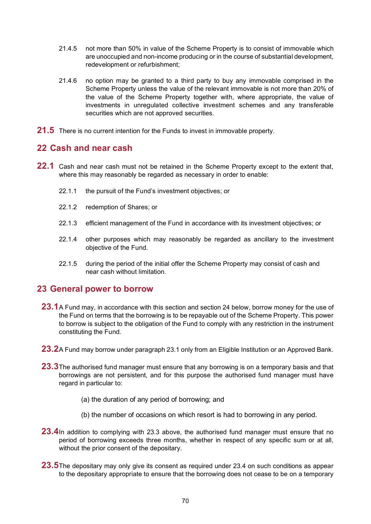- 21.4.5 not more than 50% in value of the Scheme Property is to consist of immovable which are unoccupied and non-income producing or in the course of substantial development, redevelopment or refurbishment;
- 21.4.6 no option may be granted to a third party to buy any immovable comprised in the Scheme Property unless the value of the relevant immovable is not more than 20% of the value of the Scheme Property together with, where appropriate, the value of investments in unregulated collective investment schemes and any transferable securities which are not approved securities.
- **21.5** There is no current intention for the Funds to invest in immovable property.

## **22 Cash and near cash**

- **22.1** Cash and near cash must not be retained in the Scheme Property except to the extent that, where this may reasonably be regarded as necessary in order to enable:
	- 22.1.1 the pursuit of the Fund's investment objectives; or
	- 22.1.2 redemption of Shares; or
	- 22.1.3 efficient management of the Fund in accordance with its investment objectives; or
	- 22.1.4 other purposes which may reasonably be regarded as ancillary to the investment objective of the Fund.
	- 22.1.5 during the period of the initial offer the Scheme Property may consist of cash and near cash without limitation.

### **23 General power to borrow**

- **23.1**A Fund may, in accordance with this section and section 24 below, borrow money for the use of the Fund on terms that the borrowing is to be repayable out of the Scheme Property. This power to borrow is subject to the obligation of the Fund to comply with any restriction in the instrument constituting the Fund.
- **23.2**A Fund may borrow under paragraph 23.1 only from an Eligible Institution or an Approved Bank.
- **23.3**The authorised fund manager must ensure that any borrowing is on a temporary basis and that borrowings are not persistent, and for this purpose the authorised fund manager must have regard in particular to:
	- (a) the duration of any period of borrowing; and
	- (b) the number of occasions on which resort is had to borrowing in any period.
- **23.4**In addition to complying with 23.3 above, the authorised fund manager must ensure that no period of borrowing exceeds three months, whether in respect of any specific sum or at all, without the prior consent of the depositary.
- **23.5**The depositary may only give its consent as required under 23.4 on such conditions as appear to the depositary appropriate to ensure that the borrowing does not cease to be on a temporary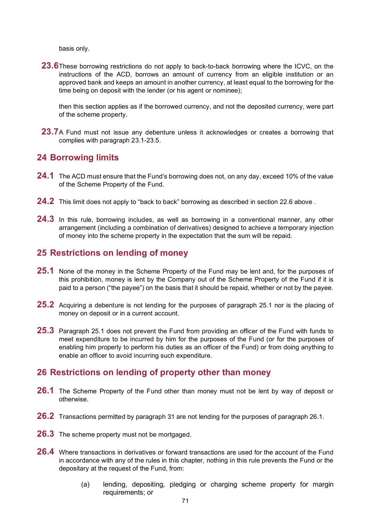basis only.

**23.6**These borrowing restrictions do not apply to back-to-back borrowing where the ICVC, on the instructions of the ACD, borrows an amount of currency from an eligible institution or an approved bank and keeps an amount in another currency, at least equal to the borrowing for the time being on deposit with the lender (or his agent or nominee);

then this section applies as if the borrowed currency, and not the deposited currency, were part of the scheme property.

**23.7**A Fund must not issue any debenture unless it acknowledges or creates a borrowing that complies with paragraph 23.1-23.5.

## **24 Borrowing limits**

- **24.1** The ACD must ensure that the Fund's borrowing does not, on any day, exceed 10% of the value of the Scheme Property of the Fund.
- **24.2** This limit does not apply to "back to back" borrowing as described in section 22.6 above .
- **24.3** In this rule, borrowing includes, as well as borrowing in a conventional manner, any other arrangement (including a combination of derivatives) designed to achieve a temporary injection of money into the scheme property in the expectation that the sum will be repaid.

### **25 Restrictions on lending of money**

- **25.1** None of the money in the Scheme Property of the Fund may be lent and, for the purposes of this prohibition, money is lent by the Company out of the Scheme Property of the Fund if it is paid to a person ("the payee") on the basis that it should be repaid, whether or not by the payee.
- **25.2** Acquiring a debenture is not lending for the purposes of paragraph 25.1 nor is the placing of money on deposit or in a current account.
- **25.3** Paragraph 25.1 does not prevent the Fund from providing an officer of the Fund with funds to meet expenditure to be incurred by him for the purposes of the Fund (or for the purposes of enabling him properly to perform his duties as an officer of the Fund) or from doing anything to enable an officer to avoid incurring such expenditure.

### **26 Restrictions on lending of property other than money**

- **26.1** The Scheme Property of the Fund other than money must not be lent by way of deposit or otherwise.
- **26.2** Transactions permitted by paragraph 31 are not lending for the purposes of paragraph 26.1.
- **26.3** The scheme property must not be mortgaged.
- **26.4** Where transactions in derivatives or forward transactions are used for the account of the Fund in accordance with any of the rules in this chapter, nothing in this rule prevents the Fund or the depositary at the request of the Fund, from:
	- (a) lending, depositing, pledging or charging scheme property for margin requirements; or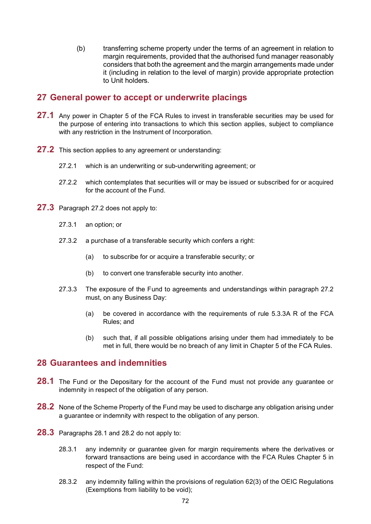(b) transferring scheme property under the terms of an agreement in relation to margin requirements, provided that the authorised fund manager reasonably considers that both the agreement and the margin arrangements made under it (including in relation to the level of margin) provide appropriate protection to Unit holders.

#### **27 General power to accept or underwrite placings**

- **27.1** Any power in Chapter 5 of the FCA Rules to invest in transferable securities may be used for the purpose of entering into transactions to which this section applies, subject to compliance with any restriction in the Instrument of Incorporation.
- **27.2** This section applies to any agreement or understanding:
	- 27.2.1 which is an underwriting or sub-underwriting agreement; or
	- 27.2.2 which contemplates that securities will or may be issued or subscribed for or acquired for the account of the Fund.
- **27.3** Paragraph 27.2 does not apply to:
	- 27.3.1 an option; or
	- 27.3.2 a purchase of a transferable security which confers a right:
		- (a) to subscribe for or acquire a transferable security; or
		- (b) to convert one transferable security into another.
	- 27.3.3 The exposure of the Fund to agreements and understandings within paragraph 27.2 must, on any Business Day:
		- (a) be covered in accordance with the requirements of rule 5.3.3A R of the FCA Rules; and
		- (b) such that, if all possible obligations arising under them had immediately to be met in full, there would be no breach of any limit in Chapter 5 of the FCA Rules.

#### **28 Guarantees and indemnities**

- **28.1** The Fund or the Depositary for the account of the Fund must not provide any guarantee or indemnity in respect of the obligation of any person.
- **28.2** None of the Scheme Property of the Fund may be used to discharge any obligation arising under a guarantee or indemnity with respect to the obligation of any person.
- **28.3** Paragraphs 28.1 and 28.2 do not apply to:
	- 28.3.1 any indemnity or guarantee given for margin requirements where the derivatives or forward transactions are being used in accordance with the FCA Rules Chapter 5 in respect of the Fund:
	- 28.3.2 any indemnity falling within the provisions of regulation 62(3) of the OEIC Regulations (Exemptions from liability to be void);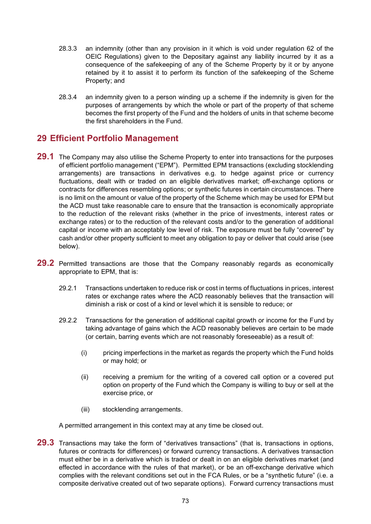- 28.3.3 an indemnity (other than any provision in it which is void under regulation 62 of the OEIC Regulations) given to the Depositary against any liability incurred by it as a consequence of the safekeeping of any of the Scheme Property by it or by anyone retained by it to assist it to perform its function of the safekeeping of the Scheme Property; and
- 28.3.4 an indemnity given to a person winding up a scheme if the indemnity is given for the purposes of arrangements by which the whole or part of the property of that scheme becomes the first property of the Fund and the holders of units in that scheme become the first shareholders in the Fund.

## **29 Efficient Portfolio Management**

- **29.1** The Company may also utilise the Scheme Property to enter into transactions for the purposes of efficient portfolio management ("EPM"). Permitted EPM transactions (excluding stocklending arrangements) are transactions in derivatives e.g. to hedge against price or currency fluctuations, dealt with or traded on an eligible derivatives market; off-exchange options or contracts for differences resembling options; or synthetic futures in certain circumstances. There is no limit on the amount or value of the property of the Scheme which may be used for EPM but the ACD must take reasonable care to ensure that the transaction is economically appropriate to the reduction of the relevant risks (whether in the price of investments, interest rates or exchange rates) or to the reduction of the relevant costs and/or to the generation of additional capital or income with an acceptably low level of risk. The exposure must be fully "covered" by cash and/or other property sufficient to meet any obligation to pay or deliver that could arise (see below).
- **29.2** Permitted transactions are those that the Company reasonably regards as economically appropriate to EPM, that is:
	- 29.2.1 Transactions undertaken to reduce risk or cost in terms of fluctuations in prices, interest rates or exchange rates where the ACD reasonably believes that the transaction will diminish a risk or cost of a kind or level which it is sensible to reduce; or
	- 29.2.2 Transactions for the generation of additional capital growth or income for the Fund by taking advantage of gains which the ACD reasonably believes are certain to be made (or certain, barring events which are not reasonably foreseeable) as a result of:
		- (i) pricing imperfections in the market as regards the property which the Fund holds or may hold; or
		- (ii) receiving a premium for the writing of a covered call option or a covered put option on property of the Fund which the Company is willing to buy or sell at the exercise price, or
		- (iii) stocklending arrangements.

A permitted arrangement in this context may at any time be closed out.

**29.3** Transactions may take the form of "derivatives transactions" (that is, transactions in options, futures or contracts for differences) or forward currency transactions. A derivatives transaction must either be in a derivative which is traded or dealt in on an eligible derivatives market (and effected in accordance with the rules of that market), or be an off-exchange derivative which complies with the relevant conditions set out in the FCA Rules, or be a "synthetic future" (i.e. a composite derivative created out of two separate options). Forward currency transactions must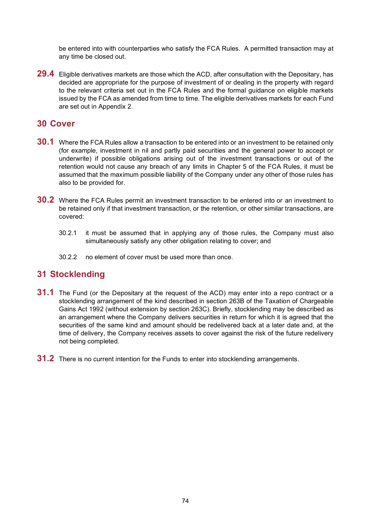be entered into with counterparties who satisfy the FCA Rules. A permitted transaction may at any time be closed out.

**29.4** Eligible derivatives markets are those which the ACD, after consultation with the Depositary, has decided are appropriate for the purpose of investment of or dealing in the property with regard to the relevant criteria set out in the FCA Rules and the formal guidance on eligible markets issued by the FCA as amended from time to time. The eligible derivatives markets for each Fund are set out in Appendix 2.

### **30 Cover**

- **30.1** Where the FCA Rules allow a transaction to be entered into or an investment to be retained only (for example, investment in nil and partly paid securities and the general power to accept or underwrite) if possible obligations arising out of the investment transactions or out of the retention would not cause any breach of any limits in Chapter 5 of the FCA Rules, it must be assumed that the maximum possible liability of the Company under any other of those rules has also to be provided for.
- **30.2** Where the FCA Rules permit an investment transaction to be entered into or an investment to be retained only if that investment transaction, or the retention, or other similar transactions, are covered:
	- 30.2.1 it must be assumed that in applying any of those rules, the Company must also simultaneously satisfy any other obligation relating to cover; and
	- 30.2.2 no element of cover must be used more than once.

### **31 Stocklending**

- **31.1** The Fund (or the Depositary at the request of the ACD) may enter into a repo contract or a stocklending arrangement of the kind described in section 263B of the Taxation of Chargeable Gains Act 1992 (without extension by section 263C). Briefly, stocklending may be described as an arrangement where the Company delivers securities in return for which it is agreed that the securities of the same kind and amount should be redelivered back at a later date and, at the time of delivery, the Company receives assets to cover against the risk of the future redelivery not being completed.
- **31.2** There is no current intention for the Funds to enter into stocklending arrangements.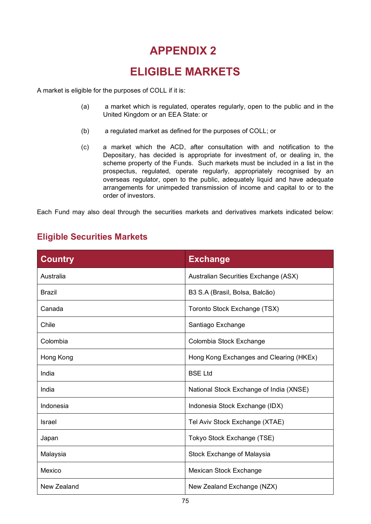# **ELIGIBLE MARKETS**

A market is eligible for the purposes of COLL if it is:

- (a) a market which is regulated, operates regularly, open to the public and in the United Kingdom or an EEA State: or
- (b) a regulated market as defined for the purposes of COLL; or
- (c) a market which the ACD, after consultation with and notification to the Depositary, has decided is appropriate for investment of, or dealing in, the scheme property of the Funds. Such markets must be included in a list in the prospectus, regulated, operate regularly, appropriately recognised by an overseas regulator, open to the public, adequately liquid and have adequate arrangements for unimpeded transmission of income and capital to or to the order of investors.

Each Fund may also deal through the securities markets and derivatives markets indicated below:

| <b>Country</b> | <b>Exchange</b>                         |
|----------------|-----------------------------------------|
| Australia      | Australian Securities Exchange (ASX)    |
| <b>Brazil</b>  | B3 S.A (Brasil, Bolsa, Balcão)          |
| Canada         | Toronto Stock Exchange (TSX)            |
| Chile          | Santiago Exchange                       |
| Colombia       | Colombia Stock Exchange                 |
| Hong Kong      | Hong Kong Exchanges and Clearing (HKEx) |
| India          | <b>BSE Ltd</b>                          |
| India          | National Stock Exchange of India (XNSE) |
| Indonesia      | Indonesia Stock Exchange (IDX)          |
| Israel         | Tel Aviv Stock Exchange (XTAE)          |
| Japan          | Tokyo Stock Exchange (TSE)              |
| Malaysia       | Stock Exchange of Malaysia              |
| Mexico         | Mexican Stock Exchange                  |
| New Zealand    | New Zealand Exchange (NZX)              |

## **Eligible Securities Markets**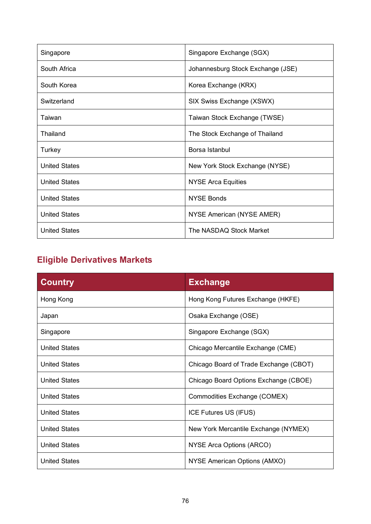| Singapore            | Singapore Exchange (SGX)          |
|----------------------|-----------------------------------|
| South Africa         | Johannesburg Stock Exchange (JSE) |
| South Korea          | Korea Exchange (KRX)              |
| Switzerland          | SIX Swiss Exchange (XSWX)         |
| Taiwan               | Taiwan Stock Exchange (TWSE)      |
| Thailand             | The Stock Exchange of Thailand    |
| Turkey               | Borsa Istanbul                    |
| <b>United States</b> | New York Stock Exchange (NYSE)    |
| <b>United States</b> | <b>NYSE Arca Equities</b>         |
| <b>United States</b> | <b>NYSE Bonds</b>                 |
| <b>United States</b> | NYSE American (NYSE AMER)         |
| <b>United States</b> | The NASDAQ Stock Market           |

# **Eligible Derivatives Markets**

| <b>Country</b>       | <b>Exchange</b>                        |
|----------------------|----------------------------------------|
| Hong Kong            | Hong Kong Futures Exchange (HKFE)      |
| Japan                | Osaka Exchange (OSE)                   |
| Singapore            | Singapore Exchange (SGX)               |
| <b>United States</b> | Chicago Mercantile Exchange (CME)      |
| <b>United States</b> | Chicago Board of Trade Exchange (CBOT) |
| <b>United States</b> | Chicago Board Options Exchange (CBOE)  |
| <b>United States</b> | Commodities Exchange (COMEX)           |
| <b>United States</b> | ICE Futures US (IFUS)                  |
| <b>United States</b> | New York Mercantile Exchange (NYMEX)   |
| <b>United States</b> | NYSE Arca Options (ARCO)               |
| <b>United States</b> | NYSE American Options (AMXO)           |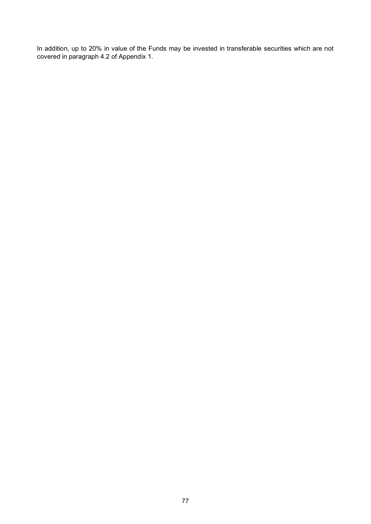In addition, up to 20% in value of the Funds may be invested in transferable securities which are not covered in paragraph 4.2 of Appendix 1.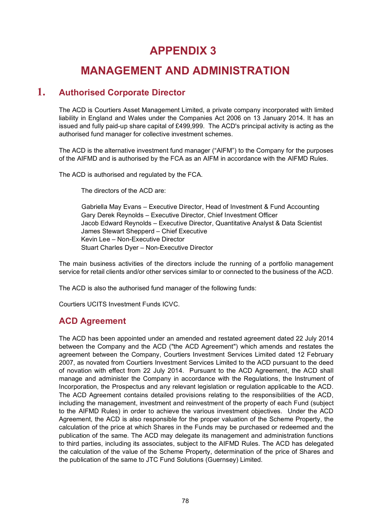# **MANAGEMENT AND ADMINISTRATION**

## **1. Authorised Corporate Director**

The ACD is Courtiers Asset Management Limited, a private company incorporated with limited liability in England and Wales under the Companies Act 2006 on 13 January 2014. It has an issued and fully paid-up share capital of £499,999. The ACD's principal activity is acting as the authorised fund manager for collective investment schemes.

The ACD is the alternative investment fund manager ("AIFM") to the Company for the purposes of the AIFMD and is authorised by the FCA as an AIFM in accordance with the AIFMD Rules.

The ACD is authorised and regulated by the FCA.

The directors of the ACD are:

Gabriella May Evans – Executive Director, Head of Investment & Fund Accounting Gary Derek Reynolds – Executive Director, Chief Investment Officer Jacob Edward Reynolds – Executive Director, Quantitative Analyst & Data Scientist James Stewart Shepperd – Chief Executive Kevin Lee – Non-Executive Director Stuart Charles Dyer – Non-Executive Director

The main business activities of the directors include the running of a portfolio management service for retail clients and/or other services similar to or connected to the business of the ACD.

The ACD is also the authorised fund manager of the following funds:

Courtiers UCITS Investment Funds ICVC.

## **ACD Agreement**

The ACD has been appointed under an amended and restated agreement dated 22 July 2014 between the Company and the ACD ("the ACD Agreement") which amends and restates the agreement between the Company, Courtiers Investment Services Limited dated 12 February 2007, as novated from Courtiers Investment Services Limited to the ACD pursuant to the deed of novation with effect from 22 July 2014. Pursuant to the ACD Agreement, the ACD shall manage and administer the Company in accordance with the Regulations, the Instrument of Incorporation, the Prospectus and any relevant legislation or regulation applicable to the ACD. The ACD Agreement contains detailed provisions relating to the responsibilities of the ACD, including the management, investment and reinvestment of the property of each Fund (subject to the AIFMD Rules) in order to achieve the various investment objectives. Under the ACD Agreement, the ACD is also responsible for the proper valuation of the Scheme Property, the calculation of the price at which Shares in the Funds may be purchased or redeemed and the publication of the same. The ACD may delegate its management and administration functions to third parties, including its associates, subject to the AIFMD Rules. The ACD has delegated the calculation of the value of the Scheme Property, determination of the price of Shares and the publication of the same to JTC Fund Solutions (Guernsey) Limited.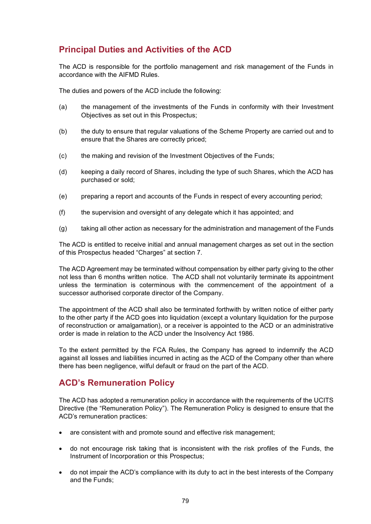## **Principal Duties and Activities of the ACD**

The ACD is responsible for the portfolio management and risk management of the Funds in accordance with the AIFMD Rules.

The duties and powers of the ACD include the following:

- (a) the management of the investments of the Funds in conformity with their Investment Objectives as set out in this Prospectus;
- (b) the duty to ensure that regular valuations of the Scheme Property are carried out and to ensure that the Shares are correctly priced;
- (c) the making and revision of the Investment Objectives of the Funds;
- (d) keeping a daily record of Shares, including the type of such Shares, which the ACD has purchased or sold;
- (e) preparing a report and accounts of the Funds in respect of every accounting period;
- (f) the supervision and oversight of any delegate which it has appointed; and
- (g) taking all other action as necessary for the administration and management of the Funds

The ACD is entitled to receive initial and annual management charges as set out in the section of this Prospectus headed "Charges" at section [7.](#page-26-0)

The ACD Agreement may be terminated without compensation by either party giving to the other not less than 6 months written notice. The ACD shall not voluntarily terminate its appointment unless the termination is coterminous with the commencement of the appointment of a successor authorised corporate director of the Company.

The appointment of the ACD shall also be terminated forthwith by written notice of either party to the other party if the ACD goes into liquidation (except a voluntary liquidation for the purpose of reconstruction or amalgamation), or a receiver is appointed to the ACD or an administrative order is made in relation to the ACD under the Insolvency Act 1986.

To the extent permitted by the FCA Rules, the Company has agreed to indemnify the ACD against all losses and liabilities incurred in acting as the ACD of the Company other than where there has been negligence, wilful default or fraud on the part of the ACD.

## **ACD's Remuneration Policy**

The ACD has adopted a remuneration policy in accordance with the requirements of the UCITS Directive (the "Remuneration Policy"). The Remuneration Policy is designed to ensure that the ACD's remuneration practices:

- are consistent with and promote sound and effective risk management;
- do not encourage risk taking that is inconsistent with the risk profiles of the Funds, the Instrument of Incorporation or this Prospectus;
- do not impair the ACD's compliance with its duty to act in the best interests of the Company and the Funds;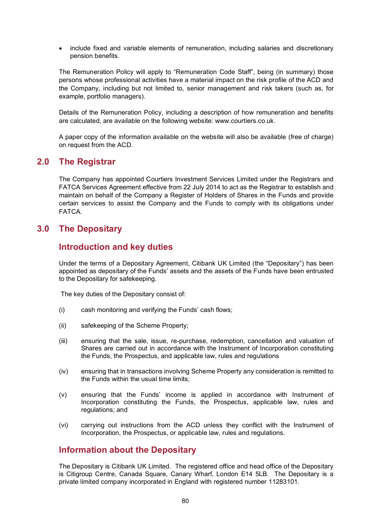• include fixed and variable elements of remuneration, including salaries and discretionary pension benefits.

The Remuneration Policy will apply to "Remuneration Code Staff", being (in summary) those persons whose professional activities have a material impact on the risk profile of the ACD and the Company, including but not limited to, senior management and risk takers (such as, for example, portfolio managers).

Details of the Remuneration Policy, including a description of how remuneration and benefits are calculated, are available on the following website: www.courtiers.co.uk.

A paper copy of the information available on the website will also be available (free of charge) on request from the ACD.

### **2.0 The Registrar**

The Company has appointed Courtiers Investment Services Limited under the Registrars and FATCA Services Agreement effective from 22 July 2014 to act as the Registrar to establish and maintain on behalf of the Company a Register of Holders of Shares in the Funds and provide certain services to assist the Company and the Funds to comply with its obligations under FATCA.

### **3.0 The Depositary**

### **Introduction and key duties**

Under the terms of a Depositary Agreement, Citibank UK Limited (the "Depositary") has been appointed as depositary of the Funds' assets and the assets of the Funds have been entrusted to the Depositary for safekeeping.

The key duties of the Depositary consist of:

- (i) cash monitoring and verifying the Funds' cash flows;
- (ii) safekeeping of the Scheme Property;
- (iii) ensuring that the sale, issue, re-purchase, redemption, cancellation and valuation of Shares are carried out in accordance with the Instrument of Incorporation constituting the Funds, the Prospectus, and applicable law, rules and regulations
- (iv) ensuring that in transactions involving Scheme Property any consideration is remitted to the Funds within the usual time limits;
- (v) ensuring that the Funds' income is applied in accordance with Instrument of Incorporation constituting the Funds, the Prospectus, applicable law, rules and regulations; and
- (vi) carrying out instructions from the ACD unless they conflict with the Instrument of Incorporation, the Prospectus, or applicable law, rules and regulations.

### **Information about the Depositary**

The Depositary is Citibank UK Limited. The registered office and head office of the Depositary is Citigroup Centre, Canada Square, Canary Wharf, London E14 5LB. The Depositary is a private limited company incorporated in England with registered number 11283101.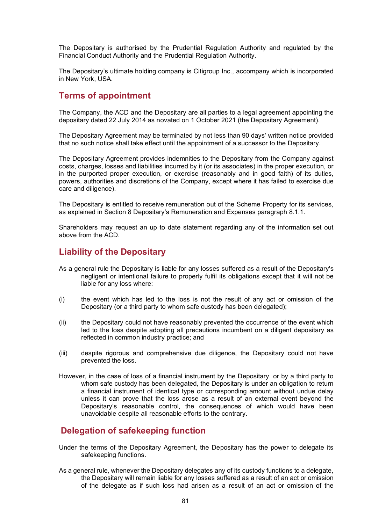The Depositary is authorised by the Prudential Regulation Authority and regulated by the Financial Conduct Authority and the Prudential Regulation Authority.

The Depositary's ultimate holding company is Citigroup Inc., accompany which is incorporated in New York, USA.

### **Terms of appointment**

The Company, the ACD and the Depositary are all parties to a legal agreement appointing the depositary dated 22 July 2014 as novated on 1 October 2021 (the Depositary Agreement).

The Depositary Agreement may be terminated by not less than 90 days' written notice provided that no such notice shall take effect until the appointment of a successor to the Depositary.

The Depositary Agreement provides indemnities to the Depositary from the Company against costs, charges, losses and liabilities incurred by it (or its associates) in the proper execution, or in the purported proper execution, or exercise (reasonably and in good faith) of its duties, powers, authorities and discretions of the Company, except where it has failed to exercise due care and diligence).

The Depositary is entitled to receive remuneration out of the Scheme Property for its services, as explained in Section 8 Depositary's Remuneration and Expenses paragraph 8.1.1.

Shareholders may request an up to date statement regarding any of the information set out above from the ACD.

### **Liability of the Depositary**

- As a general rule the Depositary is liable for any losses suffered as a result of the Depositary's negligent or intentional failure to properly fulfil its obligations except that it will not be liable for any loss where:
- (i) the event which has led to the loss is not the result of any act or omission of the Depositary (or a third party to whom safe custody has been delegated);
- (ii) the Depositary could not have reasonably prevented the occurrence of the event which led to the loss despite adopting all precautions incumbent on a diligent depositary as reflected in common industry practice; and
- (iii) despite rigorous and comprehensive due diligence, the Depositary could not have prevented the loss.
- However, in the case of loss of a financial instrument by the Depositary, or by a third party to whom safe custody has been delegated, the Depositary is under an obligation to return a financial instrument of identical type or corresponding amount without undue delay unless it can prove that the loss arose as a result of an external event beyond the Depositary's reasonable control, the consequences of which would have been unavoidable despite all reasonable efforts to the contrary.

### **Delegation of safekeeping function**

- Under the terms of the Depositary Agreement, the Depositary has the power to delegate its safekeeping functions.
- As a general rule, whenever the Depositary delegates any of its custody functions to a delegate, the Depositary will remain liable for any losses suffered as a result of an act or omission of the delegate as if such loss had arisen as a result of an act or omission of the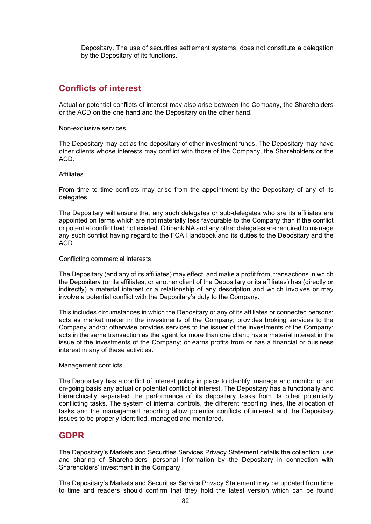Depositary. The use of securities settlement systems, does not constitute a delegation by the Depositary of its functions.

### **Conflicts of interest**

Actual or potential conflicts of interest may also arise between the Company, the Shareholders or the ACD on the one hand and the Depositary on the other hand.

Non-exclusive services

The Depositary may act as the depositary of other investment funds. The Depositary may have other clients whose interests may conflict with those of the Company, the Shareholders or the ACD.

#### Affiliates

From time to time conflicts may arise from the appointment by the Depositary of any of its delegates.

The Depositary will ensure that any such delegates or sub-delegates who are its affiliates are appointed on terms which are not materially less favourable to the Company than if the conflict or potential conflict had not existed. Citibank NA and any other delegates are required to manage any such conflict having regard to the FCA Handbook and its duties to the Depositary and the ACD.

#### Conflicting commercial interests

The Depositary (and any of its affiliates) may effect, and make a profit from, transactions in which the Depositary (or its affiliates, or another client of the Depositary or its affiliates) has (directly or indirectly) a material interest or a relationship of any description and which involves or may involve a potential conflict with the Depositary's duty to the Company.

This includes circumstances in which the Depositary or any of its affiliates or connected persons: acts as market maker in the investments of the Company; provides broking services to the Company and/or otherwise provides services to the issuer of the investments of the Company; acts in the same transaction as the agent for more than one client; has a material interest in the issue of the investments of the Company; or earns profits from or has a financial or business interest in any of these activities.

#### Management conflicts

The Depositary has a conflict of interest policy in place to identify, manage and monitor on an on-going basis any actual or potential conflict of interest. The Depositary has a functionally and hierarchically separated the performance of its depositary tasks from its other potentially conflicting tasks. The system of internal controls, the different reporting lines, the allocation of tasks and the management reporting allow potential conflicts of interest and the Depositary issues to be properly identified, managed and monitored.

#### **GDPR**

The Depositary's Markets and Securities Services Privacy Statement details the collection, use and sharing of Shareholders' personal information by the Depositary in connection with Shareholders' investment in the Company.

The Depositary's Markets and Securities Service Privacy Statement may be updated from time to time and readers should confirm that they hold the latest version which can be found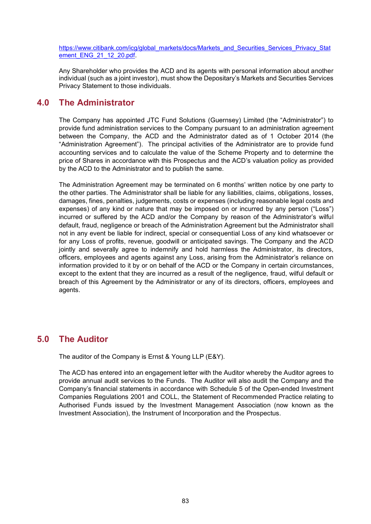[https://www.citibank.com/icg/global\\_markets/docs/Markets\\_and\\_Securities\\_Services\\_Privacy\\_Stat](https://www.citibank.com/icg/global_markets/docs/Markets_and_Securities_Services_Privacy_Statement_ENG_21_12_20.pdf) [ement\\_ENG\\_21\\_12\\_20.pdf.](https://www.citibank.com/icg/global_markets/docs/Markets_and_Securities_Services_Privacy_Statement_ENG_21_12_20.pdf)

Any Shareholder who provides the ACD and its agents with personal information about another individual (such as a joint investor), must show the Depositary's Markets and Securities Services Privacy Statement to those individuals.

### **4.0 The Administrator**

The Company has appointed JTC Fund Solutions (Guernsey) Limited (the "Administrator") to provide fund administration services to the Company pursuant to an administration agreement between the Company, the ACD and the Administrator dated as of 1 October 2014 (the "Administration Agreement"). The principal activities of the Administrator are to provide fund accounting services and to calculate the value of the Scheme Property and to determine the price of Shares in accordance with this Prospectus and the ACD's valuation policy as provided by the ACD to the Administrator and to publish the same.

The Administration Agreement may be terminated on 6 months' written notice by one party to the other parties. The Administrator shall be liable for any liabilities, claims, obligations, losses, damages, fines, penalties, judgements, costs or expenses (including reasonable legal costs and expenses) of any kind or nature that may be imposed on or incurred by any person ("Loss") incurred or suffered by the ACD and/or the Company by reason of the Administrator's wilful default, fraud, negligence or breach of the Administration Agreement but the Administrator shall not in any event be liable for indirect, special or consequential Loss of any kind whatsoever or for any Loss of profits, revenue, goodwill or anticipated savings. The Company and the ACD jointly and severally agree to indemnify and hold harmless the Administrator, its directors, officers, employees and agents against any Loss, arising from the Administrator's reliance on information provided to it by or on behalf of the ACD or the Company in certain circumstances, except to the extent that they are incurred as a result of the negligence, fraud, wilful default or breach of this Agreement by the Administrator or any of its directors, officers, employees and agents.

### **5.0 The Auditor**

The auditor of the Company is Ernst & Young LLP (E&Y).

The ACD has entered into an engagement letter with the Auditor whereby the Auditor agrees to provide annual audit services to the Funds. The Auditor will also audit the Company and the Company's financial statements in accordance with Schedule 5 of the Open-ended Investment Companies Regulations 2001 and COLL, the Statement of Recommended Practice relating to Authorised Funds issued by the Investment Management Association (now known as the Investment Association), the Instrument of Incorporation and the Prospectus.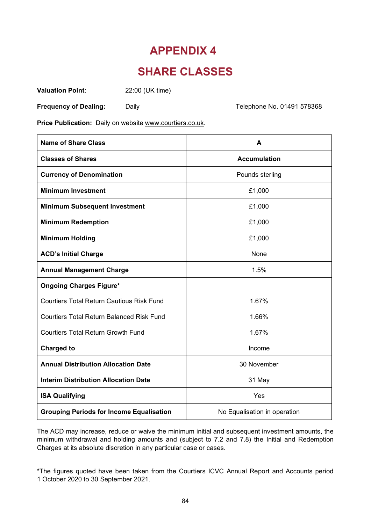## **SHARE CLASSES**

**Valuation Point**: 22:00 (UK time)

**Frequency of Dealing:** Daily Daily Daily Daily Developme No. 01491 578368

**Price Publication:** Daily on website [www.courtiers.co.uk.](http://www.courtiers.co.uk/)

| <b>Name of Share Class</b>                       | A                            |
|--------------------------------------------------|------------------------------|
| <b>Classes of Shares</b>                         | <b>Accumulation</b>          |
| <b>Currency of Denomination</b>                  | Pounds sterling              |
| <b>Minimum Investment</b>                        | £1,000                       |
| <b>Minimum Subsequent Investment</b>             | £1,000                       |
| <b>Minimum Redemption</b>                        | £1,000                       |
| <b>Minimum Holding</b>                           | £1,000                       |
| <b>ACD's Initial Charge</b>                      | None                         |
| <b>Annual Management Charge</b>                  | 1.5%                         |
| <b>Ongoing Charges Figure*</b>                   |                              |
| <b>Courtiers Total Return Cautious Risk Fund</b> | 1.67%                        |
| <b>Courtiers Total Return Balanced Risk Fund</b> | 1.66%                        |
| <b>Courtiers Total Return Growth Fund</b>        | 1.67%                        |
| <b>Charged to</b>                                | Income                       |
| <b>Annual Distribution Allocation Date</b>       | 30 November                  |
| <b>Interim Distribution Allocation Date</b>      | 31 May                       |
| <b>ISA Qualifying</b>                            | Yes                          |
| <b>Grouping Periods for Income Equalisation</b>  | No Equalisation in operation |

The ACD may increase, reduce or waive the minimum initial and subsequent investment amounts, the minimum withdrawal and holding amounts and (subject to 7.2 and 7.8) the Initial and Redemption Charges at its absolute discretion in any particular case or cases.

\*The figures quoted have been taken from the Courtiers ICVC Annual Report and Accounts period 1 October 2020 to 30 September 2021.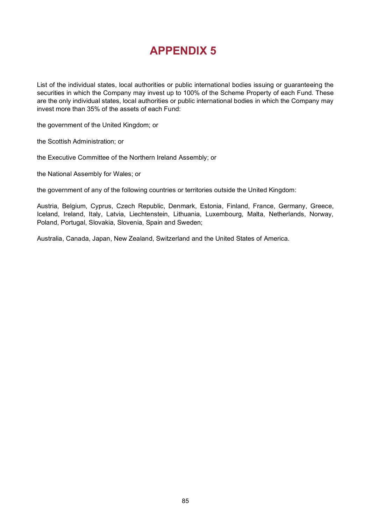List of the individual states, local authorities or public international bodies issuing or guaranteeing the securities in which the Company may invest up to 100% of the Scheme Property of each Fund. These are the only individual states, local authorities or public international bodies in which the Company may invest more than 35% of the assets of each Fund:

the government of the United Kingdom; or

the Scottish Administration; or

the Executive Committee of the Northern Ireland Assembly; or

the National Assembly for Wales; or

the government of any of the following countries or territories outside the United Kingdom:

Austria, Belgium, Cyprus, Czech Republic, Denmark, Estonia, Finland, France, Germany, Greece, Iceland, Ireland, Italy, Latvia, Liechtenstein, Lithuania, Luxembourg, Malta, Netherlands, Norway, Poland, Portugal, Slovakia, Slovenia, Spain and Sweden;

Australia, Canada, Japan, New Zealand, Switzerland and the United States of America.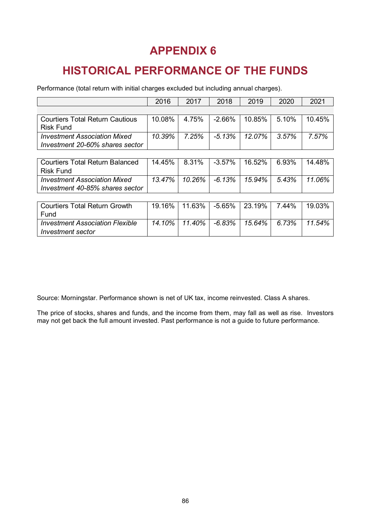# **HISTORICAL PERFORMANCE OF THE FUNDS**

Performance (total return with initial charges excluded but including annual charges).

|                                        | 2016   | 2017   | 2018     | 2019   | 2020  | 2021   |
|----------------------------------------|--------|--------|----------|--------|-------|--------|
|                                        |        |        |          |        |       |        |
| <b>Courtiers Total Return Cautious</b> | 10.08% | 4.75%  | $-2.66%$ | 10.85% | 5.10% | 10.45% |
| <b>Risk Fund</b>                       |        |        |          |        |       |        |
| <b>Investment Association Mixed</b>    | 10.39% | 7.25%  | $-5.13%$ | 12.07% | 3.57% | 7.57%  |
| Investment 20-60% shares sector        |        |        |          |        |       |        |
|                                        |        |        |          |        |       |        |
| <b>Courtiers Total Return Balanced</b> | 14.45% | 8.31%  | $-3.57%$ | 16.52% | 6.93% | 14.48% |
| <b>Risk Fund</b>                       |        |        |          |        |       |        |
| <b>Investment Association Mixed</b>    | 13.47% | 10.26% | $-6.13%$ | 15.94% | 5.43% | 11.06% |
| Investment 40-85% shares sector        |        |        |          |        |       |        |
|                                        |        |        |          |        |       |        |
| <b>Courtiers Total Return Growth</b>   | 19.16% | 11.63% | $-5.65%$ | 23.19% | 7.44% | 19.03% |
| Fund                                   |        |        |          |        |       |        |
| <b>Investment Association Flexible</b> | 14.10% | 11.40% | $-6.83%$ | 15.64% | 6.73% | 11.54% |

Source: Morningstar. Performance shown is net of UK tax, income reinvested. Class A shares.

*Investment sector*

The price of stocks, shares and funds, and the income from them, may fall as well as rise. Investors may not get back the full amount invested. Past performance is not a guide to future performance.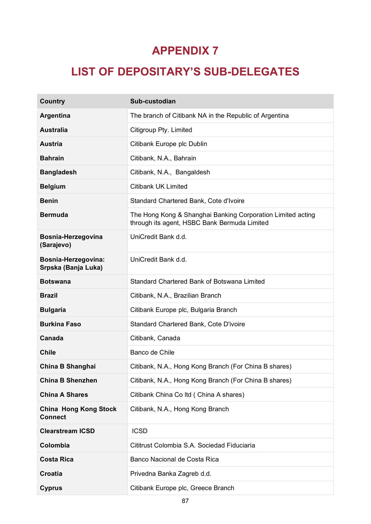# **LIST OF DEPOSITARY'S SUB-DELEGATES**

| <b>Country</b>                                 | Sub-custodian                                                                                               |
|------------------------------------------------|-------------------------------------------------------------------------------------------------------------|
| Argentina                                      | The branch of Citibank NA in the Republic of Argentina                                                      |
| <b>Australia</b>                               | Citigroup Pty. Limited                                                                                      |
| <b>Austria</b>                                 | Citibank Europe plc Dublin                                                                                  |
| <b>Bahrain</b>                                 | Citibank, N.A., Bahrain                                                                                     |
| <b>Bangladesh</b>                              | Citibank, N.A., Bangaldesh                                                                                  |
| <b>Belgium</b>                                 | <b>Citibank UK Limited</b>                                                                                  |
| <b>Benin</b>                                   | Standard Chartered Bank, Cote d'Ivoire                                                                      |
| <b>Bermuda</b>                                 | The Hong Kong & Shanghai Banking Corporation Limited acting<br>through its agent, HSBC Bank Bermuda Limited |
| Bosnia-Herzegovina<br>(Sarajevo)               | UniCredit Bank d.d.                                                                                         |
| Bosnia-Herzegovina:<br>Srpska (Banja Luka)     | UniCredit Bank d.d.                                                                                         |
| <b>Botswana</b>                                | Standard Chartered Bank of Botswana Limited                                                                 |
| <b>Brazil</b>                                  | Citibank, N.A., Brazilian Branch                                                                            |
| <b>Bulgaria</b>                                | Citibank Europe plc, Bulgaria Branch                                                                        |
| <b>Burkina Faso</b>                            | Standard Chartered Bank, Cote D'ivoire                                                                      |
| Canada                                         | Citibank, Canada                                                                                            |
| <b>Chile</b>                                   | Banco de Chile                                                                                              |
| <b>China B Shanghai</b>                        | Citibank, N.A., Hong Kong Branch (For China B shares)                                                       |
| <b>China B Shenzhen</b>                        | Citibank, N.A., Hong Kong Branch (For China B shares)                                                       |
| <b>China A Shares</b>                          | Citibank China Co Itd (China A shares)                                                                      |
| <b>China Hong Kong Stock</b><br><b>Connect</b> | Citibank, N.A., Hong Kong Branch                                                                            |
| <b>Clearstream ICSD</b>                        | <b>ICSD</b>                                                                                                 |
| Colombia                                       | Cititrust Colombia S.A. Sociedad Fiduciaria                                                                 |
| <b>Costa Rica</b>                              | Banco Nacional de Costa Rica                                                                                |
| Croatia                                        | Privedna Banka Zagreb d.d.                                                                                  |
| <b>Cyprus</b>                                  | Citibank Europe plc, Greece Branch                                                                          |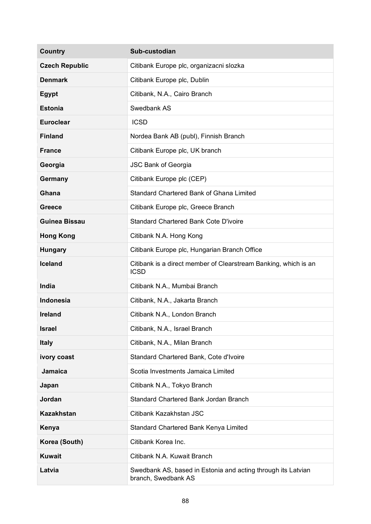| <b>Country</b>        | Sub-custodian                                                                       |
|-----------------------|-------------------------------------------------------------------------------------|
| <b>Czech Republic</b> | Citibank Europe plc, organizacni slozka                                             |
| <b>Denmark</b>        | Citibank Europe plc, Dublin                                                         |
| <b>Egypt</b>          | Citibank, N.A., Cairo Branch                                                        |
| <b>Estonia</b>        | Swedbank AS                                                                         |
| <b>Euroclear</b>      | <b>ICSD</b>                                                                         |
| <b>Finland</b>        | Nordea Bank AB (publ), Finnish Branch                                               |
| <b>France</b>         | Citibank Europe plc, UK branch                                                      |
| Georgia               | <b>JSC Bank of Georgia</b>                                                          |
| Germany               | Citibank Europe plc (CEP)                                                           |
| Ghana                 | Standard Chartered Bank of Ghana Limited                                            |
| <b>Greece</b>         | Citibank Europe plc, Greece Branch                                                  |
| <b>Guinea Bissau</b>  | <b>Standard Chartered Bank Cote D'ivoire</b>                                        |
| <b>Hong Kong</b>      | Citibank N.A. Hong Kong                                                             |
| <b>Hungary</b>        | Citibank Europe plc, Hungarian Branch Office                                        |
| <b>Iceland</b>        | Citibank is a direct member of Clearstream Banking, which is an<br><b>ICSD</b>      |
| India                 | Citibank N.A., Mumbai Branch                                                        |
| <b>Indonesia</b>      | Citibank, N.A., Jakarta Branch                                                      |
| <b>Ireland</b>        | Citibank N.A., London Branch                                                        |
| <b>Israel</b>         | Citibank, N.A., Israel Branch                                                       |
| <b>Italy</b>          | Citibank, N.A., Milan Branch                                                        |
| ivory coast           | Standard Chartered Bank, Cote d'Ivoire                                              |
| <b>Jamaica</b>        | Scotia Investments Jamaica Limited                                                  |
| Japan                 | Citibank N.A., Tokyo Branch                                                         |
| <b>Jordan</b>         | Standard Chartered Bank Jordan Branch                                               |
| <b>Kazakhstan</b>     | Citibank Kazakhstan JSC                                                             |
| Kenya                 | Standard Chartered Bank Kenya Limited                                               |
| Korea (South)         | Citibank Korea Inc.                                                                 |
| <b>Kuwait</b>         | Citibank N.A. Kuwait Branch                                                         |
| Latvia                | Swedbank AS, based in Estonia and acting through its Latvian<br>branch, Swedbank AS |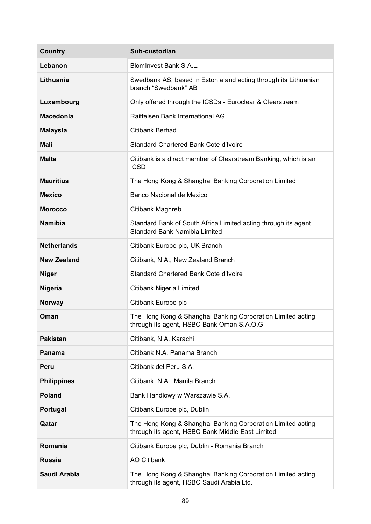| Country            | Sub-custodian                                                                                                   |
|--------------------|-----------------------------------------------------------------------------------------------------------------|
| Lebanon            | BlomInvest Bank S.A.L.                                                                                          |
| Lithuania          | Swedbank AS, based in Estonia and acting through its Lithuanian<br>branch "Swedbank" AB                         |
| Luxembourg         | Only offered through the ICSDs - Euroclear & Clearstream                                                        |
| <b>Macedonia</b>   | Raiffeisen Bank International AG                                                                                |
| <b>Malaysia</b>    | <b>Citibank Berhad</b>                                                                                          |
| <b>Mali</b>        | <b>Standard Chartered Bank Cote d'Ivoire</b>                                                                    |
| <b>Malta</b>       | Citibank is a direct member of Clearstream Banking, which is an<br><b>ICSD</b>                                  |
| <b>Mauritius</b>   | The Hong Kong & Shanghai Banking Corporation Limited                                                            |
| <b>Mexico</b>      | Banco Nacional de Mexico                                                                                        |
| <b>Morocco</b>     | Citibank Maghreb                                                                                                |
| <b>Namibia</b>     | Standard Bank of South Africa Limited acting through its agent,<br><b>Standard Bank Namibia Limited</b>         |
| <b>Netherlands</b> | Citibank Europe plc, UK Branch                                                                                  |
| <b>New Zealand</b> | Citibank, N.A., New Zealand Branch                                                                              |
| <b>Niger</b>       | <b>Standard Chartered Bank Cote d'Ivoire</b>                                                                    |
| <b>Nigeria</b>     | Citibank Nigeria Limited                                                                                        |
| <b>Norway</b>      | Citibank Europe plc                                                                                             |
| Oman               | The Hong Kong & Shanghai Banking Corporation Limited acting<br>through its agent, HSBC Bank Oman S.A.O.G        |
| <b>Pakistan</b>    | Citibank, N.A. Karachi                                                                                          |
| <b>Panama</b>      | Citibank N.A. Panama Branch                                                                                     |
| Peru               | Citibank del Peru S.A.                                                                                          |
| <b>Philippines</b> | Citibank, N.A., Manila Branch                                                                                   |
| <b>Poland</b>      | Bank Handlowy w Warszawie S.A.                                                                                  |
| Portugal           | Citibank Europe plc, Dublin                                                                                     |
| Qatar              | The Hong Kong & Shanghai Banking Corporation Limited acting<br>through its agent, HSBC Bank Middle East Limited |
| Romania            | Citibank Europe plc, Dublin - Romania Branch                                                                    |
| <b>Russia</b>      | <b>AO Citibank</b>                                                                                              |
| Saudi Arabia       | The Hong Kong & Shanghai Banking Corporation Limited acting<br>through its agent, HSBC Saudi Arabia Ltd.        |